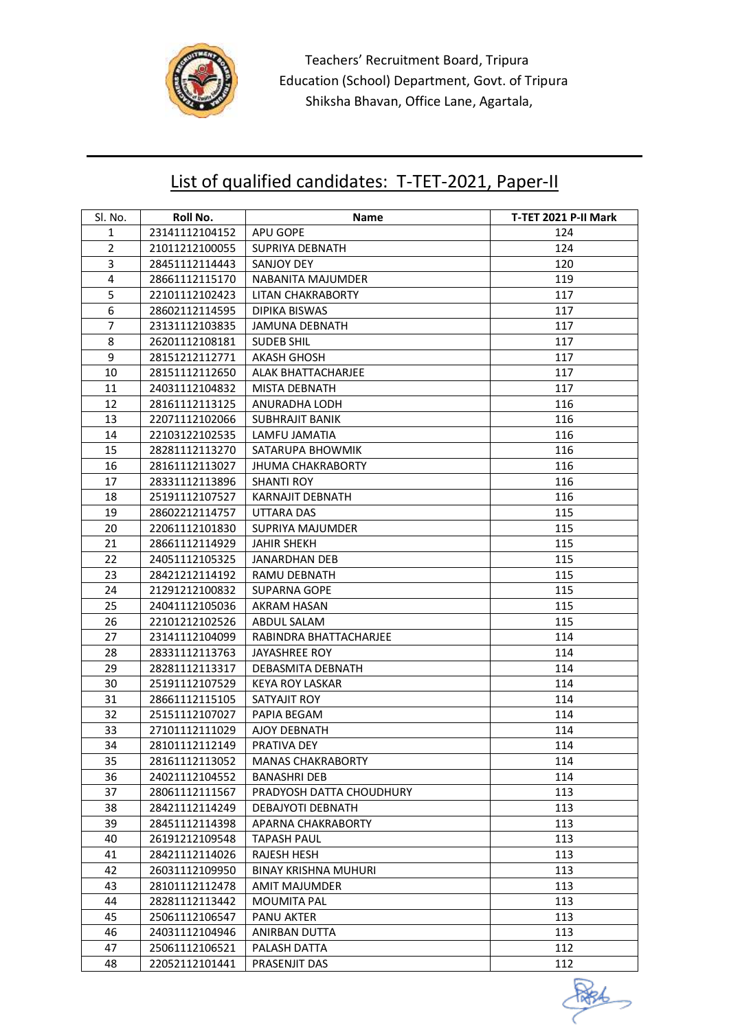

 Teachers' Recruitment Board, Tripura Education (School) Department, Govt. of Tripura Shiksha Bhavan, Office Lane, Agartala,

## List of qualified candidates: T-TET-2021, Paper-II

| SI. No.        | Roll No.       | Name                        | T-TET 2021 P-II Mark |
|----------------|----------------|-----------------------------|----------------------|
| $\mathbf{1}$   | 23141112104152 | APU GOPE                    | 124                  |
| $\overline{2}$ | 21011212100055 | SUPRIYA DEBNATH             | 124                  |
| 3              | 28451112114443 | SANJOY DEY                  | 120                  |
| 4              | 28661112115170 | <b>NABANITA MAJUMDER</b>    | 119                  |
| 5              | 22101112102423 | <b>LITAN CHAKRABORTY</b>    | 117                  |
| 6              | 28602112114595 | <b>DIPIKA BISWAS</b>        | 117                  |
| $\overline{7}$ | 23131112103835 | <b>JAMUNA DEBNATH</b>       | 117                  |
| 8              | 26201112108181 | <b>SUDEB SHIL</b>           | 117                  |
| 9              | 28151212112771 | <b>AKASH GHOSH</b>          | 117                  |
| 10             | 28151112112650 | ALAK BHATTACHARJEE          | 117                  |
| 11             | 24031112104832 | MISTA DEBNATH               | 117                  |
| 12             | 28161112113125 | ANURADHA LODH               | 116                  |
| 13             | 22071112102066 | <b>SUBHRAJIT BANIK</b>      | 116                  |
| 14             | 22103122102535 | LAMFU JAMATIA               | 116                  |
| 15             | 28281112113270 | SATARUPA BHOWMIK            | 116                  |
| 16             | 28161112113027 | <b>JHUMA CHAKRABORTY</b>    | 116                  |
| 17             | 28331112113896 | <b>SHANTI ROY</b>           | 116                  |
| 18             | 25191112107527 | <b>KARNAJIT DEBNATH</b>     | 116                  |
| 19             | 28602212114757 | UTTARA DAS                  | 115                  |
| 20             | 22061112101830 | <b>SUPRIYA MAJUMDER</b>     | 115                  |
| 21             | 28661112114929 | <b>JAHIR SHEKH</b>          | 115                  |
| 22             | 24051112105325 | <b>JANARDHAN DEB</b>        | 115                  |
| 23             | 28421212114192 | RAMU DEBNATH                | 115                  |
| 24             | 21291212100832 | <b>SUPARNA GOPE</b>         | 115                  |
| 25             | 24041112105036 | AKRAM HASAN                 | 115                  |
| 26             | 22101212102526 | ABDUL SALAM                 | 115                  |
| 27             | 23141112104099 | RABINDRA BHATTACHARJEE      | 114                  |
| 28             | 28331112113763 | JAYASHREE ROY               | 114                  |
| 29             | 28281112113317 | DEBASMITA DEBNATH           | 114                  |
| 30             | 25191112107529 | <b>KEYA ROY LASKAR</b>      | 114                  |
| 31             | 28661112115105 | SATYAJIT ROY                | 114                  |
| 32             | 25151112107027 | PAPIA BEGAM                 | 114                  |
| 33             | 27101112111029 | AJOY DEBNATH                | 114                  |
| 34             | 28101112112149 | PRATIVA DEY                 | 114                  |
| 35             | 28161112113052 | <b>MANAS CHAKRABORTY</b>    | 114                  |
| 36             | 24021112104552 | <b>BANASHRI DEB</b>         | 114                  |
| 37             | 28061112111567 | PRADYOSH DATTA CHOUDHURY    | 113                  |
| 38             | 28421112114249 | DEBAJYOTI DEBNATH           | 113                  |
| 39             | 28451112114398 | APARNA CHAKRABORTY          | 113                  |
| 40             | 26191212109548 | <b>TAPASH PAUL</b>          | 113                  |
| 41             | 28421112114026 | <b>RAJESH HESH</b>          | 113                  |
| 42             | 26031112109950 | <b>BINAY KRISHNA MUHURI</b> | 113                  |
| 43             | 28101112112478 | <b>AMIT MAJUMDER</b>        | 113                  |
| 44             | 28281112113442 | <b>MOUMITA PAL</b>          | 113                  |
| 45             | 25061112106547 | <b>PANU AKTER</b>           | 113                  |
| 46             | 24031112104946 | ANIRBAN DUTTA               | 113                  |
| 47             | 25061112106521 | PALASH DATTA                | 112                  |
| 48             | 22052112101441 | PRASENJIT DAS               | 112                  |

Red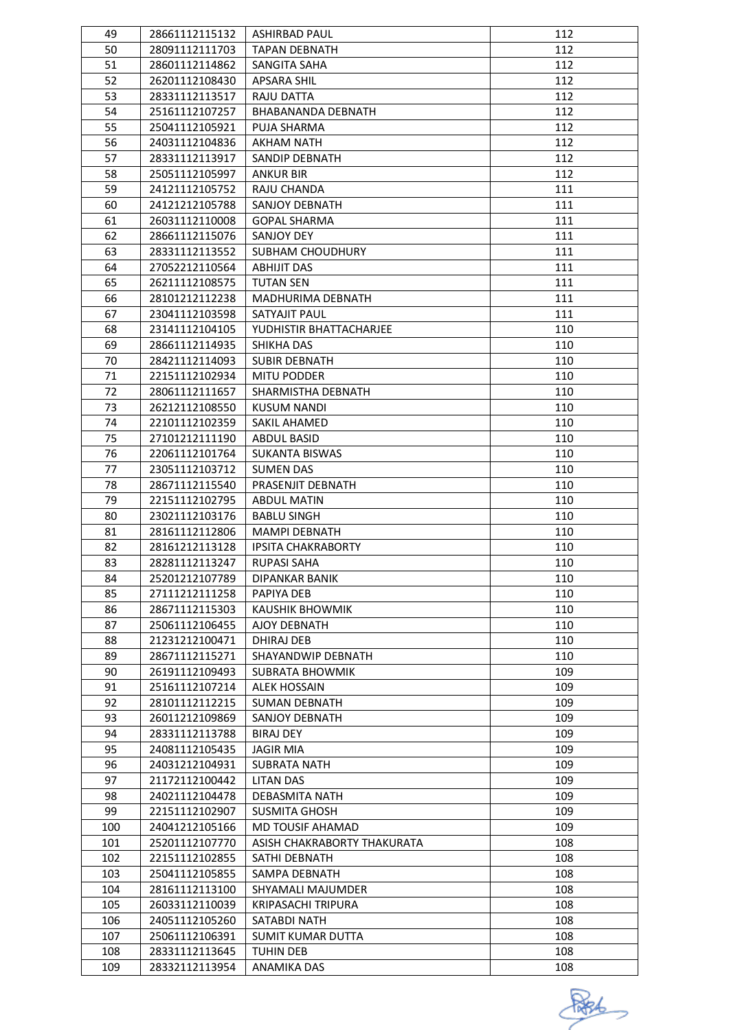| 49  | 28661112115132                   | <b>ASHIRBAD PAUL</b>        | 112 |
|-----|----------------------------------|-----------------------------|-----|
| 50  | 28091112111703                   | <b>TAPAN DEBNATH</b>        | 112 |
| 51  | 28601112114862                   | SANGITA SAHA                | 112 |
| 52  | 26201112108430                   | <b>APSARA SHIL</b>          | 112 |
| 53  | 28331112113517                   | RAJU DATTA                  | 112 |
| 54  | 25161112107257                   | BHABANANDA DEBNATH          | 112 |
| 55  | 25041112105921                   | PUJA SHARMA                 | 112 |
| 56  | 24031112104836                   | <b>AKHAM NATH</b>           | 112 |
| 57  | 28331112113917                   | SANDIP DEBNATH              | 112 |
| 58  | 25051112105997                   | <b>ANKUR BIR</b>            | 112 |
| 59  | 24121112105752                   | RAJU CHANDA                 | 111 |
|     |                                  |                             |     |
| 60  | 24121212105788                   | SANJOY DEBNATH              | 111 |
| 61  | 26031112110008                   | <b>GOPAL SHARMA</b>         | 111 |
| 62  | 28661112115076                   | <b>SANJOY DEY</b>           | 111 |
| 63  | 28331112113552                   | <b>SUBHAM CHOUDHURY</b>     | 111 |
| 64  | 27052212110564                   | <b>ABHIJIT DAS</b>          | 111 |
| 65  | 26211112108575                   | <b>TUTAN SEN</b>            | 111 |
| 66  | 28101212112238                   | <b>MADHURIMA DEBNATH</b>    | 111 |
| 67  | 23041112103598                   | SATYAJIT PAUL               | 111 |
| 68  | 23141112104105                   | YUDHISTIR BHATTACHARJEE     | 110 |
| 69  | 28661112114935                   | <b>SHIKHA DAS</b>           | 110 |
| 70  | 28421112114093                   | <b>SUBIR DEBNATH</b>        | 110 |
| 71  | 22151112102934                   | <b>MITU PODDER</b>          | 110 |
| 72  | 28061112111657                   | SHARMISTHA DEBNATH          | 110 |
| 73  | 26212112108550                   | <b>KUSUM NANDI</b>          | 110 |
| 74  | 22101112102359                   | SAKIL AHAMED                | 110 |
| 75  | 27101212111190                   | <b>ABDUL BASID</b>          | 110 |
| 76  | 22061112101764                   | <b>SUKANTA BISWAS</b>       | 110 |
| 77  | 23051112103712                   | <b>SUMEN DAS</b>            | 110 |
| 78  | 28671112115540                   | PRASENJIT DEBNATH           | 110 |
| 79  | 22151112102795                   | <b>ABDUL MATIN</b>          | 110 |
| 80  | 23021112103176                   | <b>BABLU SINGH</b>          | 110 |
| 81  | 28161112112806                   | <b>MAMPI DEBNATH</b>        | 110 |
| 82  | 28161212113128                   | <b>IPSITA CHAKRABORTY</b>   | 110 |
| 83  | 28281112113247                   | <b>RUPASI SAHA</b>          | 110 |
| 84  |                                  | <b>DIPANKAR BANIK</b>       | 110 |
|     | 25201212107789<br>27111212111258 | PAPIYA DEB                  |     |
| 85  |                                  |                             | 110 |
| 86  | 28671112115303                   | <b>KAUSHIK BHOWMIK</b>      | 110 |
| 87  | 25061112106455                   | AJOY DEBNATH                | 110 |
| 88  | 21231212100471                   | DHIRAJ DEB                  | 110 |
| 89  | 28671112115271                   | SHAYANDWIP DEBNATH          | 110 |
| 90  | 26191112109493                   | <b>SUBRATA BHOWMIK</b>      | 109 |
| 91  | 25161112107214                   | <b>ALEK HOSSAIN</b>         | 109 |
| 92  | 28101112112215                   | <b>SUMAN DEBNATH</b>        | 109 |
| 93  | 26011212109869                   | SANJOY DEBNATH              | 109 |
| 94  | 28331112113788                   | <b>BIRAJ DEY</b>            | 109 |
| 95  | 24081112105435                   | <b>JAGIR MIA</b>            | 109 |
| 96  | 24031212104931                   | <b>SUBRATA NATH</b>         | 109 |
| 97  | 21172112100442                   | <b>LITAN DAS</b>            | 109 |
| 98  | 24021112104478                   | DEBASMITA NATH              | 109 |
| 99  | 22151112102907                   | <b>SUSMITA GHOSH</b>        | 109 |
| 100 | 24041212105166                   | MD TOUSIF AHAMAD            | 109 |
| 101 | 25201112107770                   | ASISH CHAKRABORTY THAKURATA | 108 |
| 102 | 22151112102855                   | SATHI DEBNATH               | 108 |
| 103 | 25041112105855                   | SAMPA DEBNATH               | 108 |
| 104 | 28161112113100                   | SHYAMALI MAJUMDER           | 108 |
| 105 | 26033112110039                   | <b>KRIPASACHI TRIPURA</b>   | 108 |
| 106 | 24051112105260                   | SATABDI NATH                | 108 |
| 107 | 25061112106391                   | <b>SUMIT KUMAR DUTTA</b>    | 108 |
|     |                                  |                             |     |
| 108 | 28331112113645                   | TUHIN DEB                   | 108 |
| 109 | 28332112113954                   | ANAMIKA DAS                 | 108 |

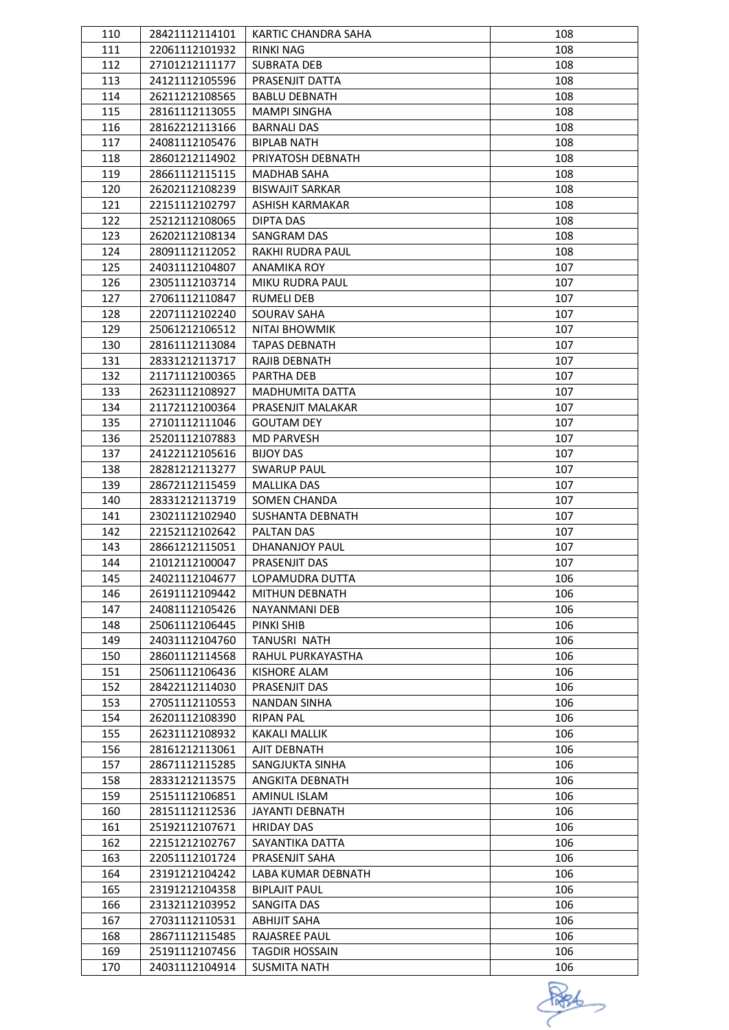| 110 | 28421112114101 | KARTIC CHANDRA SAHA     | 108 |
|-----|----------------|-------------------------|-----|
| 111 | 22061112101932 | <b>RINKI NAG</b>        | 108 |
| 112 | 27101212111177 | <b>SUBRATA DEB</b>      | 108 |
| 113 | 24121112105596 | PRASENJIT DATTA         | 108 |
| 114 | 26211212108565 | <b>BABLU DEBNATH</b>    | 108 |
| 115 | 28161112113055 | <b>MAMPI SINGHA</b>     | 108 |
| 116 | 28162212113166 | <b>BARNALI DAS</b>      | 108 |
| 117 | 24081112105476 | <b>BIPLAB NATH</b>      | 108 |
| 118 | 28601212114902 | PRIYATOSH DEBNATH       | 108 |
| 119 | 28661112115115 | <b>MADHAB SAHA</b>      | 108 |
| 120 | 26202112108239 | <b>BISWAJIT SARKAR</b>  | 108 |
| 121 | 22151112102797 | ASHISH KARMAKAR         | 108 |
| 122 | 25212112108065 | DIPTA DAS               | 108 |
| 123 | 26202112108134 | <b>SANGRAM DAS</b>      | 108 |
| 124 | 28091112112052 | RAKHI RUDRA PAUL        | 108 |
| 125 |                | <b>ANAMIKA ROY</b>      | 107 |
|     | 24031112104807 |                         |     |
| 126 | 23051112103714 | MIKU RUDRA PAUL         | 107 |
| 127 | 27061112110847 | <b>RUMELI DEB</b>       | 107 |
| 128 | 22071112102240 | SOURAV SAHA             | 107 |
| 129 | 25061212106512 | <b>NITAI BHOWMIK</b>    | 107 |
| 130 | 28161112113084 | <b>TAPAS DEBNATH</b>    | 107 |
| 131 | 28331212113717 | RAJIB DEBNATH           | 107 |
| 132 | 21171112100365 | PARTHA DEB              | 107 |
| 133 | 26231112108927 | <b>MADHUMITA DATTA</b>  | 107 |
| 134 | 21172112100364 | PRASENJIT MALAKAR       | 107 |
| 135 | 27101112111046 | <b>GOUTAM DEY</b>       | 107 |
| 136 | 25201112107883 | <b>MD PARVESH</b>       | 107 |
| 137 | 24122112105616 | <b>BIJOY DAS</b>        | 107 |
| 138 | 28281212113277 | <b>SWARUP PAUL</b>      | 107 |
| 139 | 28672112115459 | <b>MALLIKA DAS</b>      | 107 |
| 140 | 28331212113719 | SOMEN CHANDA            | 107 |
| 141 | 23021112102940 | <b>SUSHANTA DEBNATH</b> | 107 |
| 142 | 22152112102642 | PALTAN DAS              | 107 |
| 143 | 28661212115051 | DHANANJOY PAUL          | 107 |
| 144 | 21012112100047 | PRASENJIT DAS           | 107 |
| 145 | 24021112104677 | LOPAMUDRA DUTTA         | 106 |
| 146 | 26191112109442 | MITHUN DEBNATH          | 106 |
| 147 | 24081112105426 | NAYANMANI DEB           | 106 |
| 148 | 25061112106445 | PINKI SHIB              | 106 |
| 149 | 24031112104760 | <b>TANUSRI NATH</b>     | 106 |
| 150 | 28601112114568 | RAHUL PURKAYASTHA       | 106 |
| 151 | 25061112106436 | <b>KISHORE ALAM</b>     | 106 |
| 152 | 28422112114030 | PRASENJIT DAS           | 106 |
| 153 | 27051112110553 | <b>NANDAN SINHA</b>     | 106 |
| 154 | 26201112108390 | <b>RIPAN PAL</b>        | 106 |
| 155 | 26231112108932 | <b>KAKALI MALLIK</b>    | 106 |
| 156 | 28161212113061 | AJIT DEBNATH            | 106 |
| 157 | 28671112115285 | SANGJUKTA SINHA         | 106 |
| 158 | 28331212113575 | ANGKITA DEBNATH         | 106 |
| 159 | 25151112106851 | <b>AMINUL ISLAM</b>     | 106 |
| 160 | 28151112112536 | JAYANTI DEBNATH         | 106 |
| 161 | 25192112107671 | <b>HRIDAY DAS</b>       | 106 |
| 162 | 22151212102767 | SAYANTIKA DATTA         | 106 |
| 163 | 22051112101724 | PRASENJIT SAHA          | 106 |
| 164 | 23191212104242 | LABA KUMAR DEBNATH      | 106 |
| 165 | 23191212104358 | <b>BIPLAJIT PAUL</b>    | 106 |
| 166 | 23132112103952 | SANGITA DAS             | 106 |
| 167 | 27031112110531 | ABHIJIT SAHA            | 106 |
| 168 | 28671112115485 | RAJASREE PAUL           | 106 |
| 169 | 25191112107456 | <b>TAGDIR HOSSAIN</b>   | 106 |
| 170 | 24031112104914 | <b>SUSMITA NATH</b>     | 106 |

Posts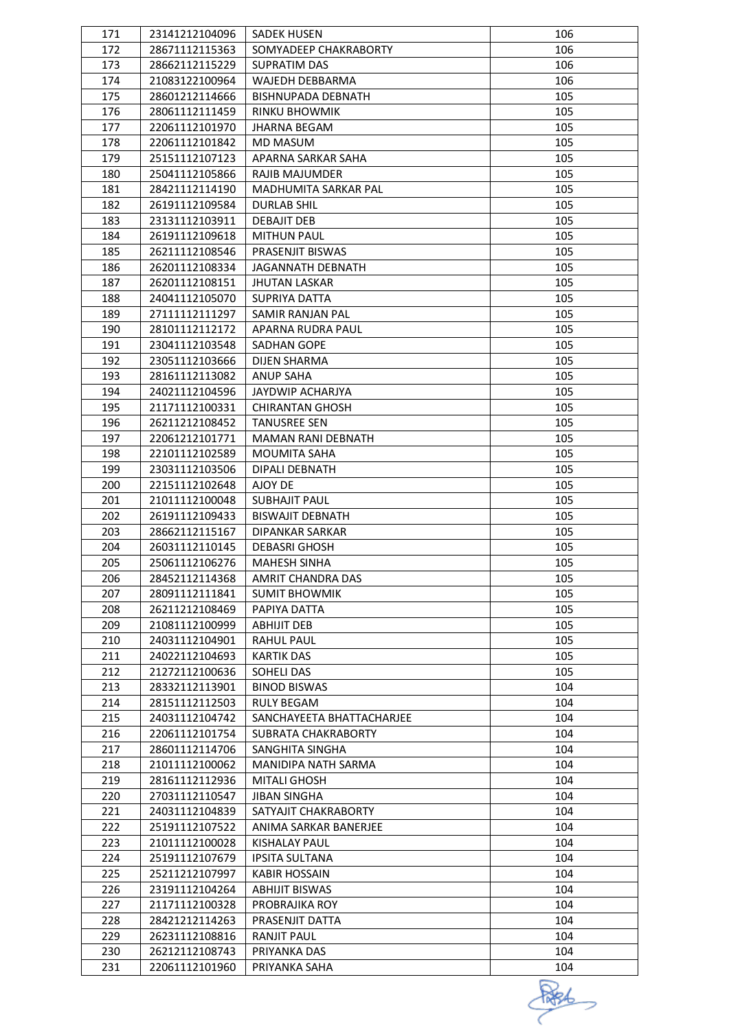| 171 | 23141212104096                   | <b>SADEK HUSEN</b>        | 106 |
|-----|----------------------------------|---------------------------|-----|
| 172 | 28671112115363                   | SOMYADEEP CHAKRABORTY     | 106 |
| 173 | 28662112115229                   | <b>SUPRATIM DAS</b>       | 106 |
| 174 | 21083122100964                   | WAJEDH DEBBARMA           | 106 |
| 175 | 28601212114666                   | <b>BISHNUPADA DEBNATH</b> | 105 |
| 176 | 28061112111459                   | <b>RINKU BHOWMIK</b>      | 105 |
| 177 | 22061112101970                   | <b>JHARNA BEGAM</b>       | 105 |
| 178 | 22061112101842                   | MD MASUM                  | 105 |
| 179 | 25151112107123                   | APARNA SARKAR SAHA        | 105 |
| 180 | 25041112105866                   | RAJIB MAJUMDER            | 105 |
| 181 | 28421112114190                   | MADHUMITA SARKAR PAL      | 105 |
| 182 | 26191112109584                   | <b>DURLAB SHIL</b>        | 105 |
| 183 | 23131112103911                   | <b>DEBAJIT DEB</b>        | 105 |
| 184 | 26191112109618                   | <b>MITHUN PAUL</b>        | 105 |
| 185 | 26211112108546                   | PRASENJIT BISWAS          | 105 |
| 186 |                                  | JAGANNATH DEBNATH         | 105 |
| 187 | 26201112108334<br>26201112108151 | <b>JHUTAN LASKAR</b>      | 105 |
|     |                                  |                           |     |
| 188 | 24041112105070<br>27111112111297 | SUPRIYA DATTA             | 105 |
| 189 |                                  | SAMIR RANJAN PAL          | 105 |
| 190 | 28101112112172                   | APARNA RUDRA PAUL         | 105 |
| 191 | 23041112103548                   | SADHAN GOPE               | 105 |
| 192 | 23051112103666                   | <b>DIJEN SHARMA</b>       | 105 |
| 193 | 28161112113082                   | ANUP SAHA                 | 105 |
| 194 | 24021112104596                   | JAYDWIP ACHARJYA          | 105 |
| 195 | 21171112100331                   | <b>CHIRANTAN GHOSH</b>    | 105 |
| 196 | 26211212108452                   | TANUSREE SEN              | 105 |
| 197 | 22061212101771                   | MAMAN RANI DEBNATH        | 105 |
| 198 | 22101112102589                   | MOUMITA SAHA              | 105 |
| 199 | 23031112103506                   | DIPALI DEBNATH            | 105 |
| 200 | 22151112102648                   | AJOY DE                   | 105 |
| 201 | 21011112100048                   | <b>SUBHAJIT PAUL</b>      | 105 |
| 202 | 26191112109433                   | <b>BISWAJIT DEBNATH</b>   | 105 |
| 203 | 28662112115167                   | <b>DIPANKAR SARKAR</b>    | 105 |
| 204 | 26031112110145                   | <b>DEBASRI GHOSH</b>      | 105 |
| 205 | 25061112106276                   | <b>MAHESH SINHA</b>       | 105 |
| 206 | 28452112114368                   | AMRIT CHANDRA DAS         | 105 |
| 207 | 28091112111841                   | <b>SUMIT BHOWMIK</b>      | 105 |
| 208 | 26211212108469                   | PAPIYA DATTA              | 105 |
| 209 | 21081112100999                   | <b>ABHIJIT DEB</b>        | 105 |
| 210 | 24031112104901                   | <b>RAHUL PAUL</b>         | 105 |
| 211 | 24022112104693                   | <b>KARTIK DAS</b>         | 105 |
| 212 | 21272112100636                   | <b>SOHELI DAS</b>         | 105 |
| 213 | 28332112113901                   | <b>BINOD BISWAS</b>       | 104 |
| 214 | 28151112112503                   | <b>RULY BEGAM</b>         | 104 |
| 215 | 24031112104742                   | SANCHAYEETA BHATTACHARJEE | 104 |
| 216 | 22061112101754                   | SUBRATA CHAKRABORTY       | 104 |
| 217 | 28601112114706                   | SANGHITA SINGHA           | 104 |
| 218 | 21011112100062                   | MANIDIPA NATH SARMA       | 104 |
| 219 | 28161112112936                   | <b>MITALI GHOSH</b>       | 104 |
| 220 | 27031112110547                   | <b>JIBAN SINGHA</b>       | 104 |
| 221 | 24031112104839                   | SATYAJIT CHAKRABORTY      | 104 |
| 222 | 25191112107522                   | ANIMA SARKAR BANERJEE     | 104 |
| 223 | 21011112100028                   | KISHALAY PAUL             | 104 |
| 224 | 25191112107679                   | <b>IPSITA SULTANA</b>     | 104 |
| 225 | 25211212107997                   | <b>KABIR HOSSAIN</b>      | 104 |
| 226 | 23191112104264                   | <b>ABHIJIT BISWAS</b>     | 104 |
| 227 | 21171112100328                   | PROBRAJIKA ROY            | 104 |
| 228 | 28421212114263                   | PRASENJIT DATTA           | 104 |
| 229 | 26231112108816                   | RANJIT PAUL               | 104 |
| 230 | 26212112108743                   | PRIYANKA DAS              | 104 |
| 231 | 22061112101960                   | PRIYANKA SAHA             | 104 |

Red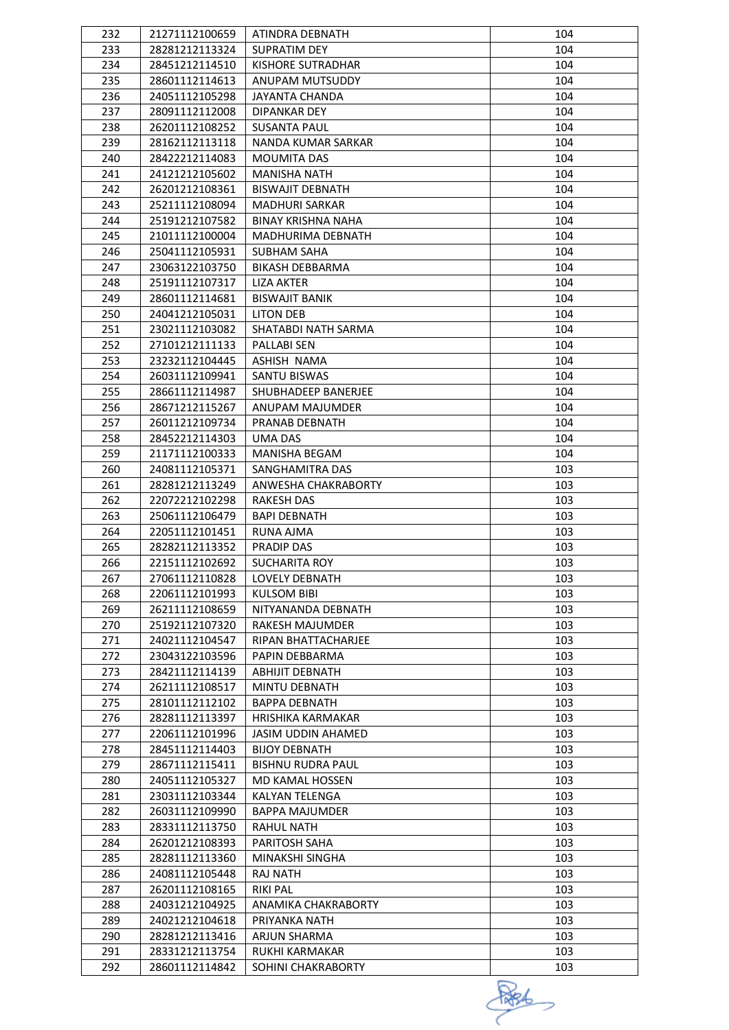| 232        | 21271112100659                   | ATINDRA DEBNATH                  | 104        |
|------------|----------------------------------|----------------------------------|------------|
| 233        | 28281212113324                   | <b>SUPRATIM DEY</b>              | 104        |
| 234        | 28451212114510                   | KISHORE SUTRADHAR                | 104        |
| 235        | 28601112114613                   | ANUPAM MUTSUDDY                  | 104        |
| 236        | 24051112105298                   | <b>JAYANTA CHANDA</b>            | 104        |
| 237        | 28091112112008                   | <b>DIPANKAR DEY</b>              | 104        |
| 238        | 26201112108252                   | <b>SUSANTA PAUL</b>              | 104        |
| 239        | 28162112113118                   | NANDA KUMAR SARKAR               | 104        |
| 240        | 28422212114083                   | MOUMITA DAS                      | 104        |
| 241        | 24121212105602                   | <b>MANISHA NATH</b>              | 104        |
| 242        | 26201212108361                   | <b>BISWAJIT DEBNATH</b>          | 104        |
| 243        | 25211112108094                   | <b>MADHURI SARKAR</b>            | 104        |
| 244        | 25191212107582                   | <b>BINAY KRISHNA NAHA</b>        | 104        |
| 245        | 21011112100004                   | MADHURIMA DEBNATH                | 104        |
| 246        | 25041112105931                   | <b>SUBHAM SAHA</b>               | 104        |
| 247        | 23063122103750                   | <b>BIKASH DEBBARMA</b>           | 104        |
| 248        | 25191112107317                   | <b>LIZA AKTER</b>                | 104        |
| 249        | 28601112114681                   | <b>BISWAJIT BANIK</b>            | 104        |
| 250        | 24041212105031                   | <b>LITON DEB</b>                 | 104        |
| 251        | 23021112103082                   | SHATABDI NATH SARMA              | 104        |
| 252        | 27101212111133                   | PALLABI SEN                      | 104        |
| 253        | 23232112104445                   | ASHISH NAMA                      | 104        |
| 254        | 26031112109941                   | SANTU BISWAS                     | 104        |
| 255        |                                  | SHUBHADEEP BANERJEE              | 104        |
| 256        | 28661112114987<br>28671212115267 | ANUPAM MAJUMDER                  | 104        |
|            |                                  |                                  |            |
| 257        | 26011212109734<br>28452212114303 | PRANAB DEBNATH<br><b>UMA DAS</b> | 104<br>104 |
| 258<br>259 | 21171112100333                   |                                  | 104        |
|            |                                  | MANISHA BEGAM                    |            |
| 260<br>261 | 24081112105371                   | SANGHAMITRA DAS                  | 103        |
|            | 28281212113249                   | ANWESHA CHAKRABORTY              | 103        |
| 262        | 22072212102298                   | <b>RAKESH DAS</b>                | 103        |
| 263        | 25061112106479                   | <b>BAPI DEBNATH</b>              | 103        |
| 264        | 22051112101451                   | <b>RUNA AJMA</b>                 | 103        |
| 265        | 28282112113352                   | PRADIP DAS                       | 103        |
| 266        | 22151112102692                   | <b>SUCHARITA ROY</b>             | 103        |
| 267        | 27061112110828                   | LOVELY DEBNATH                   | 103        |
| 268        | 22061112101993                   | <b>KULSOM BIBI</b>               | 103        |
| 269        | 26211112108659                   | NITYANANDA DEBNATH               | 103        |
| 270        | 25192112107320                   | <b>RAKESH MAJUMDER</b>           | 103        |
| 271        | 24021112104547                   | RIPAN BHATTACHARJEE              | 103        |
| 272        | 23043122103596                   | PAPIN DEBBARMA                   | 103        |
| 273        | 28421112114139                   | <b>ABHIJIT DEBNATH</b>           | 103        |
| 274        | 26211112108517                   | MINTU DEBNATH                    | 103        |
| 275        | 28101112112102                   | <b>BAPPA DEBNATH</b>             | 103        |
| 276        | 28281112113397                   | HRISHIKA KARMAKAR                | 103        |
| 277        | 22061112101996                   | <b>JASIM UDDIN AHAMED</b>        | 103        |
| 278        | 28451112114403                   | <b>BIJOY DEBNATH</b>             | 103        |
| 279        | 28671112115411                   | <b>BISHNU RUDRA PAUL</b>         | 103        |
| 280        | 24051112105327                   | MD KAMAL HOSSEN                  | 103        |
| 281        | 23031112103344                   | <b>KALYAN TELENGA</b>            | 103        |
| 282        | 26031112109990                   | BAPPA MAJUMDER                   | 103        |
| 283        | 28331112113750                   | <b>RAHUL NATH</b>                | 103        |
| 284        | 26201212108393                   | PARITOSH SAHA                    | 103        |
| 285        | 28281112113360                   | MINAKSHI SINGHA                  | 103        |
| 286        | 24081112105448                   | <b>RAJ NATH</b>                  | 103        |
| 287        | 26201112108165                   | <b>RIKI PAL</b>                  | 103        |
| 288        | 24031212104925                   | ANAMIKA CHAKRABORTY              | 103        |
| 289        | 24021212104618                   | PRIYANKA NATH                    | 103        |
| 290        | 28281212113416                   | ARJUN SHARMA                     | 103        |
| 291        | 28331212113754                   | <b>RUKHI KARMAKAR</b>            | 103        |
| 292        | 28601112114842                   | SOHINI CHAKRABORTY               | 103        |

Red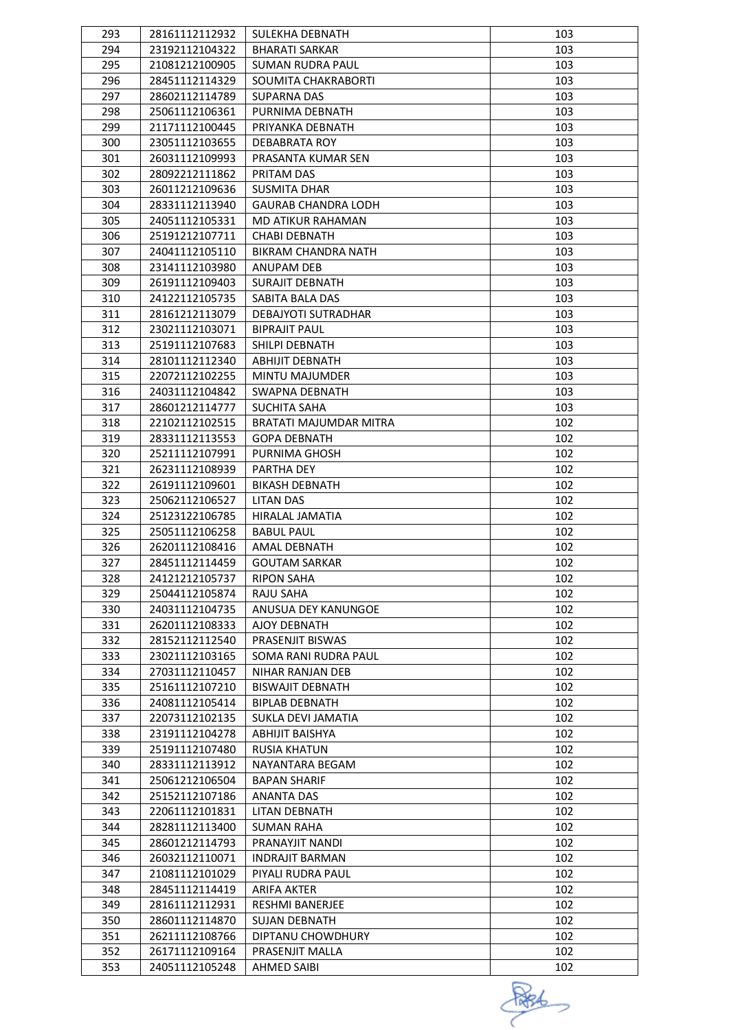| 293 | 28161112112932 | SULEKHA DEBNATH               | 103 |
|-----|----------------|-------------------------------|-----|
| 294 | 23192112104322 | <b>BHARATI SARKAR</b>         | 103 |
| 295 | 21081212100905 | <b>SUMAN RUDRA PAUL</b>       | 103 |
| 296 | 28451112114329 | SOUMITA CHAKRABORTI           | 103 |
| 297 | 28602112114789 | <b>SUPARNA DAS</b>            | 103 |
| 298 | 25061112106361 | PURNIMA DEBNATH               | 103 |
| 299 | 21171112100445 | PRIYANKA DEBNATH              | 103 |
| 300 | 23051112103655 | DEBABRATA ROY                 | 103 |
| 301 | 26031112109993 | PRASANTA KUMAR SEN            | 103 |
| 302 | 28092212111862 | PRITAM DAS                    | 103 |
| 303 | 26011212109636 | <b>SUSMITA DHAR</b>           | 103 |
| 304 | 28331112113940 | <b>GAURAB CHANDRA LODH</b>    | 103 |
| 305 | 24051112105331 | MD ATIKUR RAHAMAN             | 103 |
| 306 | 25191212107711 | <b>CHABI DEBNATH</b>          | 103 |
| 307 | 24041112105110 | <b>BIKRAM CHANDRA NATH</b>    | 103 |
| 308 | 23141112103980 | ANUPAM DEB                    | 103 |
| 309 | 26191112109403 | <b>SURAJIT DEBNATH</b>        | 103 |
| 310 | 24122112105735 | SABITA BALA DAS               | 103 |
|     |                |                               |     |
| 311 | 28161212113079 | DEBAJYOTI SUTRADHAR           | 103 |
| 312 | 23021112103071 | <b>BIPRAJIT PAUL</b>          | 103 |
| 313 | 25191112107683 | SHILPI DEBNATH                | 103 |
| 314 | 28101112112340 | <b>ABHIJIT DEBNATH</b>        | 103 |
| 315 | 22072112102255 | <b>MINTU MAJUMDER</b>         | 103 |
| 316 | 24031112104842 | SWAPNA DEBNATH                | 103 |
| 317 | 28601212114777 | <b>SUCHITA SAHA</b>           | 103 |
| 318 | 22102112102515 | <b>BRATATI MAJUMDAR MITRA</b> | 102 |
| 319 | 28331112113553 | GOPA DEBNATH                  | 102 |
| 320 | 25211112107991 | PURNIMA GHOSH                 | 102 |
| 321 | 26231112108939 | PARTHA DEY                    | 102 |
| 322 | 26191112109601 | <b>BIKASH DEBNATH</b>         | 102 |
| 323 | 25062112106527 | <b>LITAN DAS</b>              | 102 |
| 324 | 25123122106785 | HIRALAL JAMATIA               | 102 |
| 325 | 25051112106258 | <b>BABUL PAUL</b>             | 102 |
| 326 | 26201112108416 | AMAL DEBNATH                  | 102 |
| 327 | 28451112114459 | <b>GOUTAM SARKAR</b>          | 102 |
| 328 | 24121212105737 | <b>RIPON SAHA</b>             | 102 |
| 329 | 25044112105874 | <b>RAJU SAHA</b>              | 102 |
| 330 | 24031112104735 | ANUSUA DEY KANUNGOE           | 102 |
| 331 | 26201112108333 | AJOY DEBNATH                  | 102 |
| 332 | 28152112112540 | PRASENJIT BISWAS              | 102 |
| 333 | 23021112103165 | SOMA RANI RUDRA PAUL          | 102 |
| 334 | 27031112110457 | NIHAR RANJAN DEB              | 102 |
| 335 | 25161112107210 | <b>BISWAJIT DEBNATH</b>       | 102 |
| 336 | 24081112105414 | <b>BIPLAB DEBNATH</b>         | 102 |
| 337 | 22073112102135 | SUKLA DEVI JAMATIA            | 102 |
| 338 | 23191112104278 | ABHIJIT BAISHYA               | 102 |
| 339 | 25191112107480 | <b>RUSIA KHATUN</b>           | 102 |
| 340 | 28331112113912 | NAYANTARA BEGAM               | 102 |
| 341 | 25061212106504 | <b>BAPAN SHARIF</b>           | 102 |
| 342 | 25152112107186 | <b>ANANTA DAS</b>             | 102 |
| 343 | 22061112101831 | LITAN DEBNATH                 | 102 |
| 344 | 28281112113400 | <b>SUMAN RAHA</b>             | 102 |
| 345 | 28601212114793 | PRANAYJIT NANDI               | 102 |
| 346 | 26032112110071 | <b>INDRAJIT BARMAN</b>        | 102 |
| 347 | 21081112101029 | PIYALI RUDRA PAUL             | 102 |
| 348 | 28451112114419 | <b>ARIFA AKTER</b>            | 102 |
| 349 | 28161112112931 | RESHMI BANERJEE               | 102 |
| 350 | 28601112114870 | <b>SUJAN DEBNATH</b>          | 102 |
| 351 | 26211112108766 | DIPTANU CHOWDHURY             | 102 |
| 352 | 26171112109164 | PRASENJIT MALLA               | 102 |
| 353 | 24051112105248 | AHMED SAIBI                   | 102 |
|     |                |                               |     |

Posts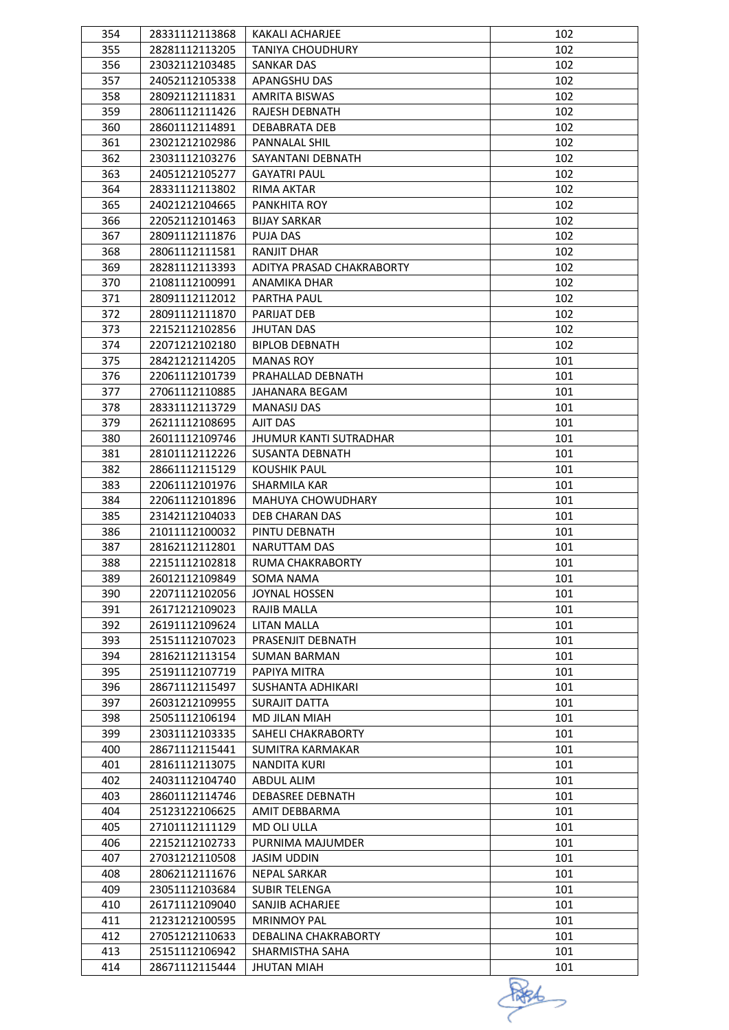| 354 | 28331112113868                   | <b>KAKALI ACHARJEE</b>        | 102 |
|-----|----------------------------------|-------------------------------|-----|
| 355 | 28281112113205                   | <b>TANIYA CHOUDHURY</b>       | 102 |
| 356 | 23032112103485                   | <b>SANKAR DAS</b>             | 102 |
| 357 | 24052112105338                   | APANGSHU DAS                  | 102 |
| 358 | 28092112111831                   | AMRITA BISWAS                 | 102 |
| 359 | 28061112111426                   | RAJESH DEBNATH                | 102 |
| 360 | 28601112114891                   | <b>DEBABRATA DEB</b>          | 102 |
| 361 | 23021212102986                   | PANNALAL SHIL                 | 102 |
| 362 | 23031112103276                   | SAYANTANI DEBNATH             | 102 |
| 363 | 24051212105277                   | <b>GAYATRI PAUL</b>           | 102 |
| 364 | 28331112113802                   | <b>RIMA AKTAR</b>             | 102 |
| 365 | 24021212104665                   | PANKHITA ROY                  | 102 |
| 366 | 22052112101463                   | <b>BIJAY SARKAR</b>           | 102 |
| 367 | 28091112111876                   | PUJA DAS                      | 102 |
| 368 | 28061112111581                   | <b>RANJIT DHAR</b>            | 102 |
| 369 | 28281112113393                   | ADITYA PRASAD CHAKRABORTY     | 102 |
| 370 | 21081112100991                   | ANAMIKA DHAR                  | 102 |
| 371 | 28091112112012                   | PARTHA PAUL                   | 102 |
| 372 | 28091112111870                   | PARIJAT DEB                   | 102 |
| 373 |                                  |                               | 102 |
| 374 | 22152112102856<br>22071212102180 | <b>JHUTAN DAS</b>             | 102 |
|     | 28421212114205                   | <b>BIPLOB DEBNATH</b>         |     |
| 375 |                                  | <b>MANAS ROY</b>              | 101 |
| 376 | 22061112101739                   | PRAHALLAD DEBNATH             | 101 |
| 377 | 27061112110885                   | JAHANARA BEGAM                | 101 |
| 378 | 28331112113729                   | <b>MANASIJ DAS</b>            | 101 |
| 379 | 26211112108695                   | AJIT DAS                      | 101 |
| 380 | 26011112109746                   | <b>JHUMUR KANTI SUTRADHAR</b> | 101 |
| 381 | 28101112112226                   | <b>SUSANTA DEBNATH</b>        | 101 |
| 382 | 28661112115129                   | <b>KOUSHIK PAUL</b>           | 101 |
| 383 | 22061112101976                   | SHARMILA KAR                  | 101 |
| 384 | 22061112101896                   | <b>MAHUYA CHOWUDHARY</b>      | 101 |
| 385 | 23142112104033                   | <b>DEB CHARAN DAS</b>         | 101 |
| 386 | 21011112100032                   | PINTU DEBNATH                 | 101 |
| 387 | 28162112112801                   | <b>NARUTTAM DAS</b>           | 101 |
| 388 | 22151112102818                   | RUMA CHAKRABORTY              | 101 |
| 389 | 26012112109849                   | SOMA NAMA                     | 101 |
| 390 | 22071112102056                   | JOYNAL HOSSEN                 | 101 |
| 391 | 26171212109023                   | <b>RAJIB MALLA</b>            | 101 |
| 392 | 26191112109624                   | LITAN MALLA                   | 101 |
| 393 | 25151112107023                   | PRASENJIT DEBNATH             | 101 |
| 394 | 28162112113154                   | <b>SUMAN BARMAN</b>           | 101 |
| 395 | 25191112107719                   | PAPIYA MITRA                  | 101 |
| 396 | 28671112115497                   | SUSHANTA ADHIKARI             | 101 |
| 397 | 26031212109955                   | <b>SURAJIT DATTA</b>          | 101 |
| 398 | 25051112106194                   | MD JILAN MIAH                 | 101 |
| 399 | 23031112103335                   | SAHELI CHAKRABORTY            | 101 |
| 400 | 28671112115441                   | SUMITRA KARMAKAR              | 101 |
| 401 | 28161112113075                   | NANDITA KURI                  | 101 |
| 402 | 24031112104740                   | <b>ABDUL ALIM</b>             | 101 |
| 403 | 28601112114746                   | <b>DEBASREE DEBNATH</b>       | 101 |
| 404 | 25123122106625                   | AMIT DEBBARMA                 | 101 |
| 405 | 27101112111129                   | MD OLI ULLA                   | 101 |
| 406 | 22152112102733                   | PURNIMA MAJUMDER              | 101 |
| 407 | 27031212110508                   | <b>JASIM UDDIN</b>            | 101 |
| 408 | 28062112111676                   | <b>NEPAL SARKAR</b>           | 101 |
| 409 | 23051112103684                   | <b>SUBIR TELENGA</b>          | 101 |
| 410 | 26171112109040                   | SANJIB ACHARJEE               | 101 |
| 411 | 21231212100595                   | <b>MRINMOY PAL</b>            | 101 |
| 412 | 27051212110633                   | DEBALINA CHAKRABORTY          | 101 |
| 413 | 25151112106942                   | SHARMISTHA SAHA               | 101 |
| 414 | 28671112115444                   | <b>JHUTAN MIAH</b>            | 101 |
|     |                                  |                               |     |

Red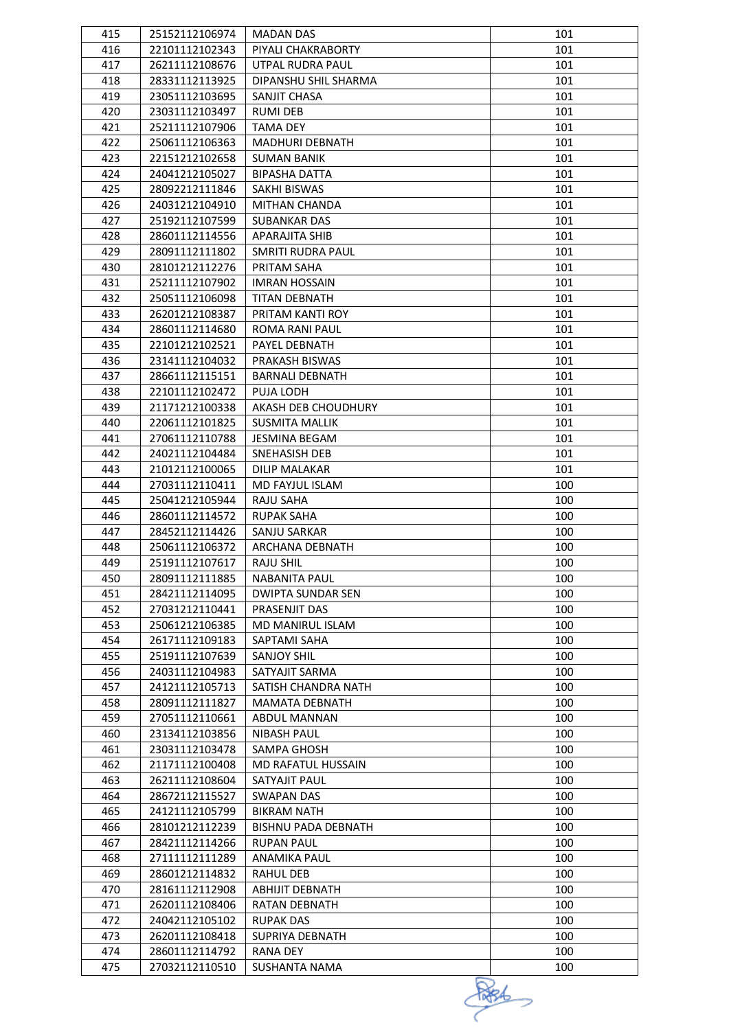| 415 | 25152112106974 | <b>MADAN DAS</b>           | 101 |
|-----|----------------|----------------------------|-----|
| 416 | 22101112102343 | PIYALI CHAKRABORTY         | 101 |
| 417 | 26211112108676 | UTPAL RUDRA PAUL           | 101 |
| 418 | 28331112113925 | DIPANSHU SHIL SHARMA       | 101 |
| 419 | 23051112103695 | SANJIT CHASA               | 101 |
| 420 | 23031112103497 | <b>RUMI DEB</b>            | 101 |
| 421 | 25211112107906 | <b>TAMA DEY</b>            | 101 |
| 422 | 25061112106363 | <b>MADHURI DEBNATH</b>     | 101 |
| 423 | 22151212102658 | <b>SUMAN BANIK</b>         | 101 |
| 424 | 24041212105027 | <b>BIPASHA DATTA</b>       | 101 |
| 425 | 28092212111846 | SAKHI BISWAS               | 101 |
| 426 | 24031212104910 | <b>MITHAN CHANDA</b>       | 101 |
| 427 | 25192112107599 | <b>SUBANKAR DAS</b>        | 101 |
| 428 | 28601112114556 | <b>APARAJITA SHIB</b>      | 101 |
| 429 | 28091112111802 | SMRITI RUDRA PAUL          | 101 |
| 430 | 28101212112276 | PRITAM SAHA                | 101 |
| 431 | 25211112107902 | <b>IMRAN HOSSAIN</b>       | 101 |
| 432 | 25051112106098 | <b>TITAN DEBNATH</b>       | 101 |
| 433 | 26201212108387 | PRITAM KANTI ROY           | 101 |
| 434 | 28601112114680 | ROMA RANI PAUL             | 101 |
| 435 | 22101212102521 | PAYEL DEBNATH              | 101 |
| 436 | 23141112104032 | PRAKASH BISWAS             | 101 |
| 437 | 28661112115151 | <b>BARNALI DEBNATH</b>     | 101 |
|     |                |                            |     |
| 438 | 22101112102472 | PUJA LODH                  | 101 |
| 439 | 21171212100338 | AKASH DEB CHOUDHURY        | 101 |
| 440 | 22061112101825 | <b>SUSMITA MALLIK</b>      | 101 |
| 441 | 27061112110788 | JESMINA BEGAM              | 101 |
| 442 | 24021112104484 | SNEHASISH DEB              | 101 |
| 443 | 21012112100065 | <b>DILIP MALAKAR</b>       | 101 |
| 444 | 27031112110411 | MD FAYJUL ISLAM            | 100 |
| 445 | 25041212105944 | RAJU SAHA                  | 100 |
| 446 | 28601112114572 | <b>RUPAK SAHA</b>          | 100 |
| 447 | 28452112114426 | SANJU SARKAR               | 100 |
| 448 | 25061112106372 | ARCHANA DEBNATH            | 100 |
| 449 | 25191112107617 | <b>RAJU SHIL</b>           | 100 |
| 450 | 28091112111885 | NABANITA PAUL              | 100 |
| 451 | 28421112114095 | <b>DWIPTA SUNDAR SEN</b>   | 100 |
| 452 | 27031212110441 | PRASENJIT DAS              | 100 |
| 453 | 25061212106385 | MD MANIRUL ISLAM           | 100 |
| 454 | 26171112109183 | SAPTAMI SAHA               | 100 |
| 455 | 25191112107639 | <b>SANJOY SHIL</b>         | 100 |
| 456 | 24031112104983 | SATYAJIT SARMA             | 100 |
| 457 | 24121112105713 | SATISH CHANDRA NATH        | 100 |
| 458 | 28091112111827 | <b>MAMATA DEBNATH</b>      | 100 |
| 459 | 27051112110661 | ABDUL MANNAN               | 100 |
| 460 | 23134112103856 | <b>NIBASH PAUL</b>         | 100 |
| 461 | 23031112103478 | SAMPA GHOSH                | 100 |
| 462 | 21171112100408 | MD RAFATUL HUSSAIN         | 100 |
| 463 | 26211112108604 | SATYAJIT PAUL              | 100 |
| 464 | 28672112115527 | <b>SWAPAN DAS</b>          | 100 |
| 465 | 24121112105799 | <b>BIKRAM NATH</b>         | 100 |
| 466 | 28101212112239 | <b>BISHNU PADA DEBNATH</b> | 100 |
| 467 | 28421112114266 | <b>RUPAN PAUL</b>          | 100 |
| 468 | 27111112111289 | ANAMIKA PAUL               | 100 |
| 469 | 28601212114832 | <b>RAHUL DEB</b>           | 100 |
| 470 | 28161112112908 | <b>ABHIJIT DEBNATH</b>     | 100 |
| 471 | 26201112108406 | RATAN DEBNATH              | 100 |
| 472 | 24042112105102 | <b>RUPAK DAS</b>           | 100 |
| 473 | 26201112108418 | SUPRIYA DEBNATH            | 100 |
| 474 | 28601112114792 | <b>RANA DEY</b>            | 100 |
| 475 | 27032112110510 | SUSHANTA NAMA              | 100 |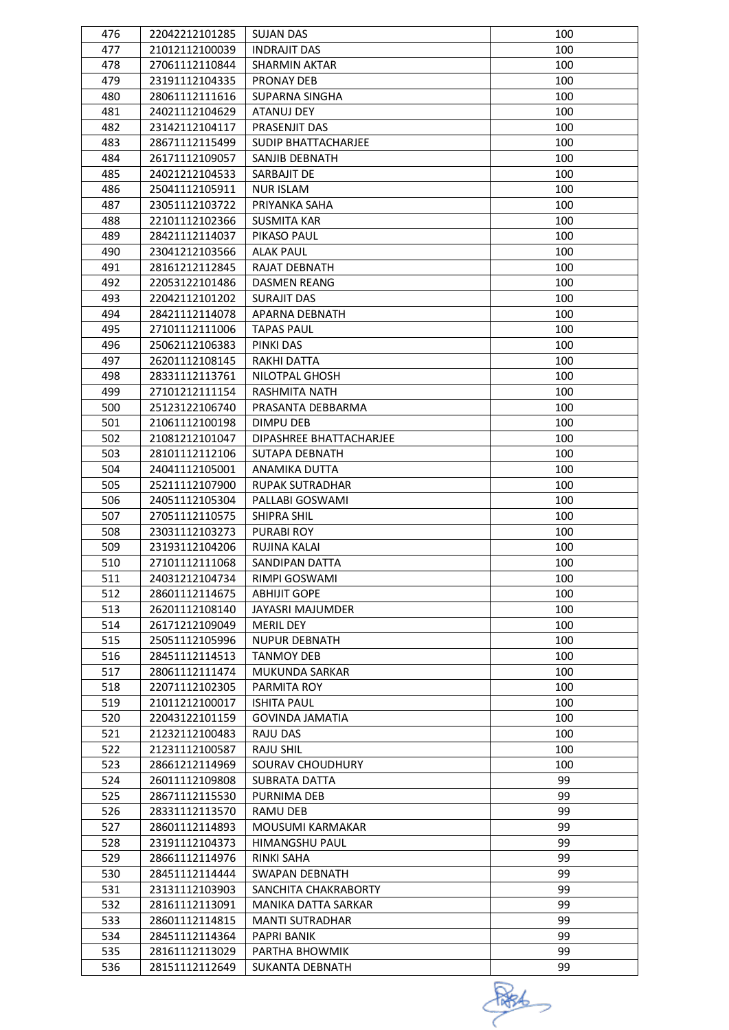| 476 | 22042212101285                   | SUJAN DAS                  | 100 |
|-----|----------------------------------|----------------------------|-----|
| 477 | 21012112100039                   | <b>INDRAJIT DAS</b>        | 100 |
| 478 | 27061112110844                   | <b>SHARMIN AKTAR</b>       | 100 |
| 479 | 23191112104335                   | <b>PRONAY DEB</b>          | 100 |
| 480 | 28061112111616                   | <b>SUPARNA SINGHA</b>      | 100 |
| 481 | 24021112104629                   | ATANUJ DEY                 | 100 |
| 482 | 23142112104117                   | PRASENJIT DAS              | 100 |
| 483 | 28671112115499                   | <b>SUDIP BHATTACHARJEE</b> | 100 |
| 484 | 26171112109057                   | SANJIB DEBNATH             | 100 |
| 485 | 24021212104533                   | SARBAJIT DE                | 100 |
| 486 | 25041112105911                   | <b>NUR ISLAM</b>           | 100 |
| 487 | 23051112103722                   | PRIYANKA SAHA              | 100 |
| 488 | 22101112102366                   | <b>SUSMITA KAR</b>         | 100 |
| 489 | 28421112114037                   | PIKASO PAUL                | 100 |
| 490 | 23041212103566                   | <b>ALAK PAUL</b>           | 100 |
| 491 | 28161212112845                   | RAJAT DEBNATH              | 100 |
| 492 | 22053122101486                   | <b>DASMEN REANG</b>        | 100 |
| 493 | 22042112101202                   | <b>SURAJIT DAS</b>         | 100 |
| 494 | 28421112114078                   | APARNA DEBNATH             | 100 |
| 495 | 27101112111006                   | <b>TAPAS PAUL</b>          | 100 |
| 496 | 25062112106383                   | PINKI DAS                  | 100 |
| 497 | 26201112108145                   | <b>RAKHI DATTA</b>         | 100 |
| 498 | 28331112113761                   | NILOTPAL GHOSH             | 100 |
| 499 | 27101212111154                   | RASHMITA NATH              | 100 |
| 500 | 25123122106740                   | PRASANTA DEBBARMA          | 100 |
| 501 | 21061112100198                   | <b>DIMPU DEB</b>           | 100 |
| 502 | 21081212101047                   | DIPASHREE BHATTACHARJEE    | 100 |
| 503 | 28101112112106                   | <b>SUTAPA DEBNATH</b>      | 100 |
| 504 | 24041112105001                   | ANAMIKA DUTTA              | 100 |
| 505 | 25211112107900                   | <b>RUPAK SUTRADHAR</b>     | 100 |
| 506 | 24051112105304                   | PALLABI GOSWAMI            | 100 |
| 507 | 27051112110575                   | SHIPRA SHIL                | 100 |
|     |                                  |                            |     |
| 508 | 23031112103273<br>23193112104206 | <b>PURABI ROY</b>          | 100 |
| 509 | 27101112111068                   | RUJINA KALAI               | 100 |
| 510 |                                  | SANDIPAN DATTA             | 100 |
| 511 | 24031212104734                   | RIMPI GOSWAMI              | 100 |
| 512 | 28601112114675                   | <b>ABHIJIT GOPE</b>        | 100 |
| 513 | 26201112108140                   | JAYASRI MAJUMDER           | 100 |
| 514 | 26171212109049                   | <b>MERIL DEY</b>           | 100 |
| 515 | 25051112105996                   | <b>NUPUR DEBNATH</b>       | 100 |
| 516 | 28451112114513                   | <b>TANMOY DEB</b>          | 100 |
| 517 | 28061112111474                   | MUKUNDA SARKAR             | 100 |
| 518 | 22071112102305                   | PARMITA ROY                | 100 |
| 519 | 21011212100017                   | <b>ISHITA PAUL</b>         | 100 |
| 520 | 22043122101159                   | <b>GOVINDA JAMATIA</b>     | 100 |
| 521 | 21232112100483                   | <b>RAJU DAS</b>            | 100 |
| 522 | 21231112100587                   | <b>RAJU SHIL</b>           | 100 |
| 523 | 28661212114969                   | SOURAV CHOUDHURY           | 100 |
| 524 | 26011112109808                   | SUBRATA DATTA              | 99  |
| 525 | 28671112115530                   | PURNIMA DEB                | 99  |
| 526 | 28331112113570                   | RAMU DEB                   | 99  |
| 527 | 28601112114893                   | MOUSUMI KARMAKAR           | 99  |
| 528 | 23191112104373                   | <b>HIMANGSHU PAUL</b>      | 99  |
| 529 | 28661112114976                   | <b>RINKI SAHA</b>          | 99  |
| 530 | 28451112114444                   | <b>SWAPAN DEBNATH</b>      | 99  |
| 531 | 23131112103903                   | SANCHITA CHAKRABORTY       | 99  |
| 532 | 28161112113091                   | MANIKA DATTA SARKAR        | 99  |
| 533 | 28601112114815                   | <b>MANTI SUTRADHAR</b>     | 99  |
| 534 | 28451112114364                   | PAPRI BANIK                | 99  |
| 535 | 28161112113029                   | PARTHA BHOWMIK             | 99  |
| 536 | 28151112112649                   | SUKANTA DEBNATH            | 99  |

Red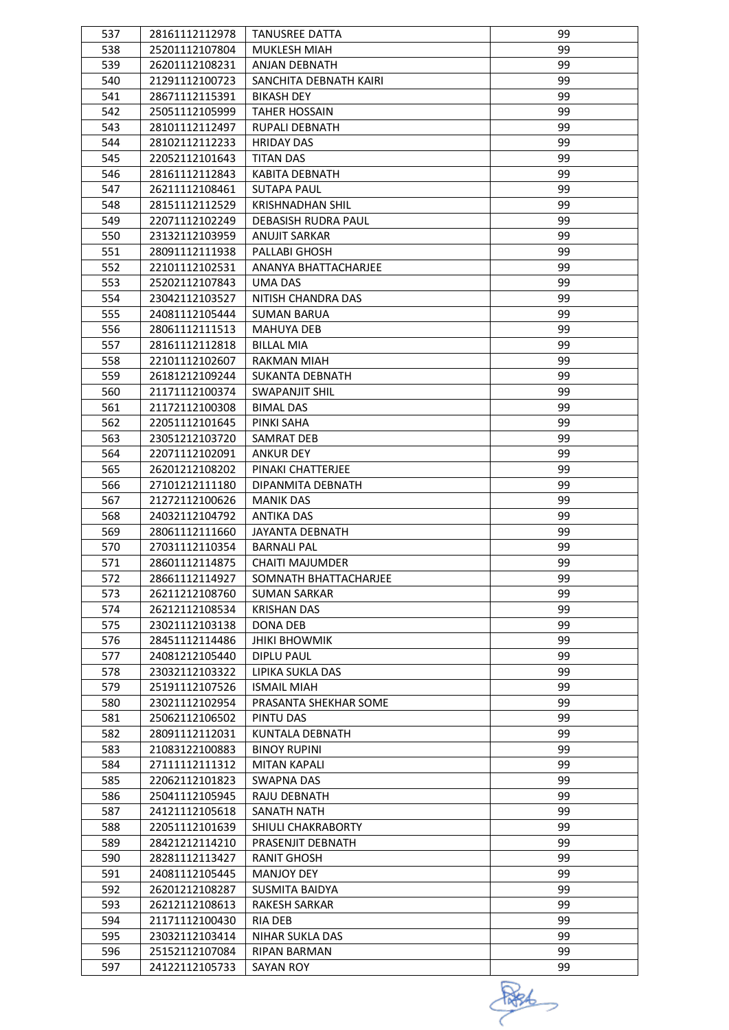| 537 | 28161112112978                   | TANUSREE DATTA          | 99 |
|-----|----------------------------------|-------------------------|----|
| 538 | 25201112107804                   | <b>MUKLESH MIAH</b>     | 99 |
| 539 | 26201112108231                   | ANJAN DEBNATH           | 99 |
| 540 | 21291112100723                   | SANCHITA DEBNATH KAIRI  | 99 |
| 541 | 28671112115391                   | <b>BIKASH DEY</b>       | 99 |
| 542 | 25051112105999                   | <b>TAHER HOSSAIN</b>    | 99 |
| 543 | 28101112112497                   | RUPALI DEBNATH          | 99 |
| 544 | 28102112112233                   | <b>HRIDAY DAS</b>       | 99 |
| 545 | 22052112101643                   | <b>TITAN DAS</b>        | 99 |
| 546 | 28161112112843                   | KABITA DEBNATH          | 99 |
| 547 | 26211112108461                   | <b>SUTAPA PAUL</b>      | 99 |
| 548 | 28151112112529                   | <b>KRISHNADHAN SHIL</b> | 99 |
| 549 | 22071112102249                   | DEBASISH RUDRA PAUL     | 99 |
| 550 | 23132112103959                   | <b>ANUJIT SARKAR</b>    | 99 |
| 551 | 28091112111938                   | <b>PALLABI GHOSH</b>    | 99 |
| 552 | 22101112102531                   | ANANYA BHATTACHARJEE    | 99 |
| 553 | 25202112107843                   | UMA DAS                 | 99 |
| 554 | 23042112103527                   | NITISH CHANDRA DAS      | 99 |
| 555 | 24081112105444                   | <b>SUMAN BARUA</b>      | 99 |
|     |                                  |                         |    |
| 556 | 28061112111513<br>28161112112818 | <b>MAHUYA DEB</b>       | 99 |
| 557 |                                  | <b>BILLAL MIA</b>       | 99 |
| 558 | 22101112102607                   | <b>RAKMAN MIAH</b>      | 99 |
| 559 | 26181212109244                   | <b>SUKANTA DEBNATH</b>  | 99 |
| 560 | 21171112100374                   | <b>SWAPANJIT SHIL</b>   | 99 |
| 561 | 21172112100308                   | <b>BIMAL DAS</b>        | 99 |
| 562 | 22051112101645                   | PINKI SAHA              | 99 |
| 563 | 23051212103720                   | SAMRAT DEB              | 99 |
| 564 | 22071112102091                   | <b>ANKUR DEY</b>        | 99 |
| 565 | 26201212108202                   | PINAKI CHATTERJEE       | 99 |
| 566 | 27101212111180                   | DIPANMITA DEBNATH       | 99 |
| 567 | 21272112100626                   | <b>MANIK DAS</b>        | 99 |
| 568 | 24032112104792                   | <b>ANTIKA DAS</b>       | 99 |
| 569 | 28061112111660                   | <b>JAYANTA DEBNATH</b>  | 99 |
| 570 | 27031112110354                   | <b>BARNALI PAL</b>      | 99 |
| 571 | 28601112114875                   | <b>CHAITI MAJUMDER</b>  | 99 |
| 572 | 28661112114927                   | SOMNATH BHATTACHARJEE   | 99 |
| 573 | 26211212108760                   | <b>SUMAN SARKAR</b>     | 99 |
| 574 | 26212112108534                   | <b>KRISHAN DAS</b>      | 99 |
| 575 | 23021112103138                   | DONA DEB                | 99 |
| 576 | 28451112114486                   | <b>JHIKI BHOWMIK</b>    | 99 |
| 577 | 24081212105440                   | <b>DIPLU PAUL</b>       | 99 |
| 578 | 23032112103322                   | LIPIKA SUKLA DAS        | 99 |
| 579 | 25191112107526                   | <b>ISMAIL MIAH</b>      | 99 |
| 580 | 23021112102954                   | PRASANTA SHEKHAR SOME   | 99 |
| 581 | 25062112106502                   | PINTU DAS               | 99 |
| 582 | 28091112112031                   | KUNTALA DEBNATH         | 99 |
| 583 | 21083122100883                   | <b>BINOY RUPINI</b>     | 99 |
| 584 | 27111112111312                   | <b>MITAN KAPALI</b>     | 99 |
| 585 | 22062112101823                   | SWAPNA DAS              | 99 |
| 586 | 25041112105945                   | RAJU DEBNATH            | 99 |
| 587 | 24121112105618                   | SANATH NATH             | 99 |
| 588 | 22051112101639                   | SHIULI CHAKRABORTY      | 99 |
| 589 | 28421212114210                   | PRASENJIT DEBNATH       | 99 |
| 590 | 28281112113427                   | <b>RANIT GHOSH</b>      | 99 |
| 591 | 24081112105445                   | <b>MANJOY DEY</b>       | 99 |
| 592 | 26201212108287                   | SUSMITA BAIDYA          | 99 |
| 593 | 26212112108613                   | <b>RAKESH SARKAR</b>    | 99 |
| 594 | 21171112100430                   | RIA DEB                 | 99 |
| 595 | 23032112103414                   | NIHAR SUKLA DAS         | 99 |
| 596 | 25152112107084                   | <b>RIPAN BARMAN</b>     | 99 |
| 597 | 24122112105733                   | SAYAN ROY               | 99 |

Posts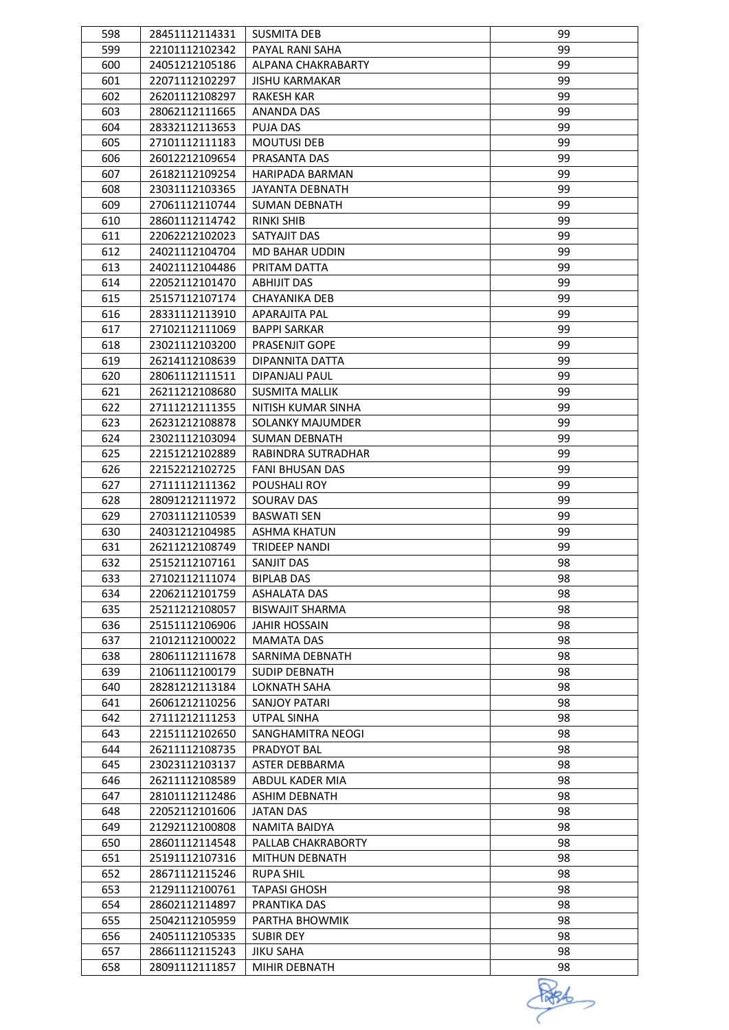| 598 | 28451112114331 | SUSMITA DEB             | 99 |
|-----|----------------|-------------------------|----|
| 599 | 22101112102342 | PAYAL RANI SAHA         | 99 |
| 600 | 24051212105186 | ALPANA CHAKRABARTY      | 99 |
| 601 | 22071112102297 | <b>JISHU KARMAKAR</b>   | 99 |
| 602 | 26201112108297 | <b>RAKESH KAR</b>       | 99 |
| 603 | 28062112111665 | ANANDA DAS              | 99 |
| 604 | 28332112113653 | <b>PUJA DAS</b>         | 99 |
| 605 | 27101112111183 | <b>MOUTUSI DEB</b>      | 99 |
| 606 | 26012212109654 | PRASANTA DAS            | 99 |
| 607 | 26182112109254 | HARIPADA BARMAN         | 99 |
| 608 | 23031112103365 | <b>JAYANTA DEBNATH</b>  | 99 |
|     |                |                         |    |
| 609 | 27061112110744 | <b>SUMAN DEBNATH</b>    | 99 |
| 610 | 28601112114742 | <b>RINKI SHIB</b>       | 99 |
| 611 | 22062212102023 | SATYAJIT DAS            | 99 |
| 612 | 24021112104704 | <b>MD BAHAR UDDIN</b>   | 99 |
| 613 | 24021112104486 | PRITAM DATTA            | 99 |
| 614 | 22052112101470 | <b>ABHIJIT DAS</b>      | 99 |
| 615 | 25157112107174 | <b>CHAYANIKA DEB</b>    | 99 |
| 616 | 28331112113910 | <b>APARAJITA PAL</b>    | 99 |
| 617 | 27102112111069 | <b>BAPPI SARKAR</b>     | 99 |
| 618 | 23021112103200 | PRASENJIT GOPE          | 99 |
| 619 | 26214112108639 | DIPANNITA DATTA         | 99 |
| 620 | 28061112111511 | DIPANJALI PAUL          | 99 |
| 621 | 26211212108680 | <b>SUSMITA MALLIK</b>   | 99 |
| 622 | 27111212111355 | NITISH KUMAR SINHA      | 99 |
| 623 | 26231212108878 | <b>SOLANKY MAJUMDER</b> | 99 |
| 624 | 23021112103094 | <b>SUMAN DEBNATH</b>    | 99 |
| 625 | 22151212102889 | RABINDRA SUTRADHAR      | 99 |
| 626 | 22152212102725 | <b>FANI BHUSAN DAS</b>  | 99 |
| 627 | 27111112111362 | POUSHALI ROY            | 99 |
| 628 | 28091212111972 | SOURAV DAS              | 99 |
| 629 | 27031112110539 | <b>BASWATI SEN</b>      | 99 |
| 630 | 24031212104985 | <b>ASHMA KHATUN</b>     | 99 |
| 631 | 26211212108749 | TRIDEEP NANDI           | 99 |
| 632 | 25152112107161 | SANJIT DAS              | 98 |
| 633 | 27102112111074 | <b>BIPLAB DAS</b>       | 98 |
| 634 | 22062112101759 | <b>ASHALATA DAS</b>     | 98 |
| 635 | 25211212108057 | <b>BISWAJIT SHARMA</b>  | 98 |
| 636 | 25151112106906 | <b>JAHIR HOSSAIN</b>    | 98 |
| 637 | 21012112100022 | <b>MAMATA DAS</b>       | 98 |
| 638 | 28061112111678 | SARNIMA DEBNATH         | 98 |
| 639 | 21061112100179 | <b>SUDIP DEBNATH</b>    | 98 |
| 640 | 28281212113184 | LOKNATH SAHA            | 98 |
| 641 | 26061212110256 | <b>SANJOY PATARI</b>    | 98 |
| 642 | 27111212111253 | UTPAL SINHA             | 98 |
| 643 | 22151112102650 | SANGHAMITRA NEOGI       | 98 |
| 644 | 26211112108735 | PRADYOT BAL             | 98 |
|     |                |                         |    |
| 645 | 23023112103137 | ASTER DEBBARMA          | 98 |
| 646 | 26211112108589 | ABDUL KADER MIA         | 98 |
| 647 | 28101112112486 | <b>ASHIM DEBNATH</b>    | 98 |
| 648 | 22052112101606 | <b>JATAN DAS</b>        | 98 |
| 649 | 21292112100808 | NAMITA BAIDYA           | 98 |
| 650 | 28601112114548 | PALLAB CHAKRABORTY      | 98 |
| 651 | 25191112107316 | MITHUN DEBNATH          | 98 |
| 652 | 28671112115246 | <b>RUPA SHIL</b>        | 98 |
| 653 | 21291112100761 | <b>TAPASI GHOSH</b>     | 98 |
| 654 | 28602112114897 | PRANTIKA DAS            | 98 |
| 655 | 25042112105959 | PARTHA BHOWMIK          | 98 |
| 656 | 24051112105335 | SUBIR DEY               | 98 |
| 657 | 28661112115243 | <b>JIKU SAHA</b>        | 98 |
| 658 | 28091112111857 | MIHIR DEBNATH           | 98 |

Parks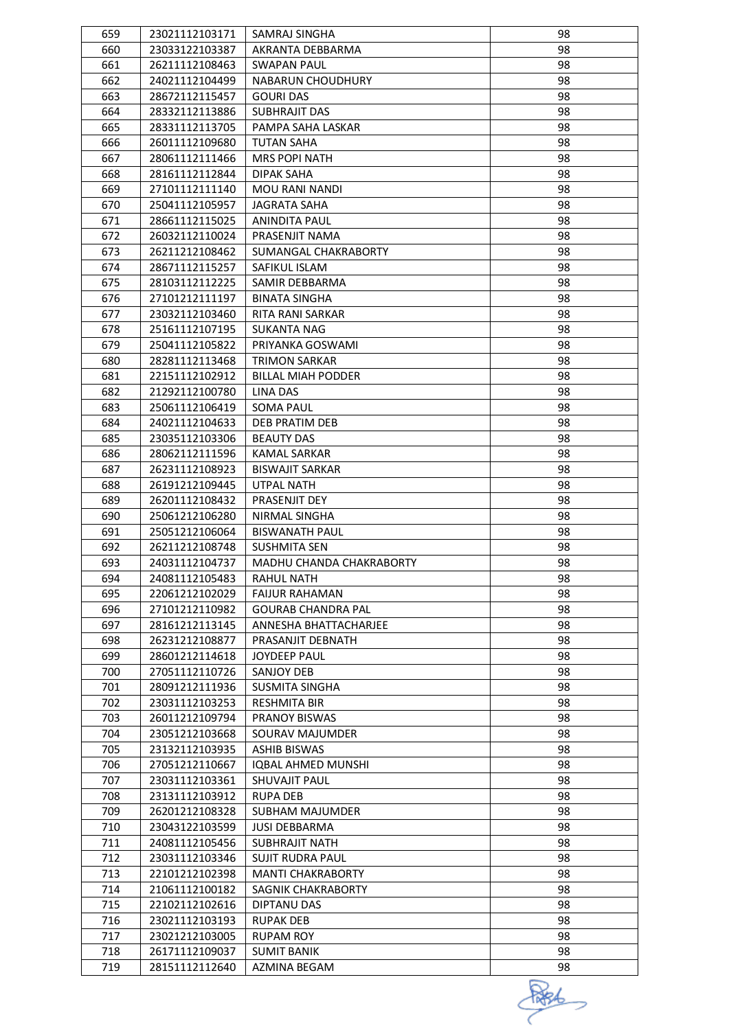| 659 | 23021112103171 | SAMRAJ SINGHA             | 98 |
|-----|----------------|---------------------------|----|
| 660 | 23033122103387 | AKRANTA DEBBARMA          | 98 |
| 661 | 26211112108463 | <b>SWAPAN PAUL</b>        | 98 |
| 662 | 24021112104499 | NABARUN CHOUDHURY         | 98 |
| 663 | 28672112115457 | <b>GOURI DAS</b>          | 98 |
| 664 | 28332112113886 | <b>SUBHRAJIT DAS</b>      | 98 |
| 665 | 28331112113705 | PAMPA SAHA LASKAR         | 98 |
| 666 | 26011112109680 | <b>TUTAN SAHA</b>         | 98 |
| 667 | 28061112111466 | <b>MRS POPI NATH</b>      | 98 |
| 668 | 28161112112844 | <b>DIPAK SAHA</b>         | 98 |
| 669 | 27101112111140 | <b>MOU RANI NANDI</b>     | 98 |
| 670 | 25041112105957 | <b>JAGRATA SAHA</b>       | 98 |
| 671 | 28661112115025 | <b>ANINDITA PAUL</b>      | 98 |
| 672 | 26032112110024 | PRASENJIT NAMA            | 98 |
|     |                |                           |    |
| 673 | 26211212108462 | SUMANGAL CHAKRABORTY      | 98 |
| 674 | 28671112115257 | SAFIKUL ISLAM             | 98 |
| 675 | 28103112112225 | SAMIR DEBBARMA            | 98 |
| 676 | 27101212111197 | <b>BINATA SINGHA</b>      | 98 |
| 677 | 23032112103460 | <b>RITA RANI SARKAR</b>   | 98 |
| 678 | 25161112107195 | <b>SUKANTA NAG</b>        | 98 |
| 679 | 25041112105822 | PRIYANKA GOSWAMI          | 98 |
| 680 | 28281112113468 | <b>TRIMON SARKAR</b>      | 98 |
| 681 | 22151112102912 | <b>BILLAL MIAH PODDER</b> | 98 |
| 682 | 21292112100780 | LINA DAS                  | 98 |
| 683 | 25061112106419 | <b>SOMA PAUL</b>          | 98 |
| 684 | 24021112104633 | DEB PRATIM DEB            | 98 |
| 685 | 23035112103306 | <b>BEAUTY DAS</b>         | 98 |
| 686 | 28062112111596 | <b>KAMAL SARKAR</b>       | 98 |
| 687 | 26231112108923 | <b>BISWAJIT SARKAR</b>    | 98 |
| 688 | 26191212109445 | <b>UTPAL NATH</b>         | 98 |
| 689 | 26201112108432 | PRASENJIT DEY             | 98 |
| 690 | 25061212106280 | NIRMAL SINGHA             | 98 |
| 691 | 25051212106064 | <b>BISWANATH PAUL</b>     | 98 |
| 692 | 26211212108748 | <b>SUSHMITA SEN</b>       | 98 |
| 693 | 24031112104737 | MADHU CHANDA CHAKRABORTY  | 98 |
| 694 | 24081112105483 | <b>RAHUL NATH</b>         | 98 |
| 695 | 22061212102029 | <b>FAIJUR RAHAMAN</b>     | 98 |
| 696 | 27101212110982 | <b>GOURAB CHANDRA PAL</b> | 98 |
| 697 | 28161212113145 | ANNESHA BHATTACHARJEE     | 98 |
| 698 | 26231212108877 | PRASANJIT DEBNATH         | 98 |
| 699 | 28601212114618 | <b>JOYDEEP PAUL</b>       | 98 |
|     |                |                           |    |
| 700 | 27051112110726 | SANJOY DEB                | 98 |
| 701 | 28091212111936 | <b>SUSMITA SINGHA</b>     | 98 |
| 702 | 23031112103253 | <b>RESHMITA BIR</b>       | 98 |
| 703 | 26011212109794 | <b>PRANOY BISWAS</b>      | 98 |
| 704 | 23051212103668 | SOURAV MAJUMDER           | 98 |
| 705 | 23132112103935 | <b>ASHIB BISWAS</b>       | 98 |
| 706 | 27051212110667 | IQBAL AHMED MUNSHI        | 98 |
| 707 | 23031112103361 | SHUVAJIT PAUL             | 98 |
| 708 | 23131112103912 | <b>RUPA DEB</b>           | 98 |
| 709 | 26201212108328 | <b>SUBHAM MAJUMDER</b>    | 98 |
| 710 | 23043122103599 | <b>JUSI DEBBARMA</b>      | 98 |
| 711 | 24081112105456 | <b>SUBHRAJIT NATH</b>     | 98 |
| 712 | 23031112103346 | <b>SUJIT RUDRA PAUL</b>   | 98 |
| 713 | 22101212102398 | <b>MANTI CHAKRABORTY</b>  | 98 |
| 714 | 21061112100182 | SAGNIK CHAKRABORTY        | 98 |
| 715 | 22102112102616 | <b>DIPTANU DAS</b>        | 98 |
| 716 | 23021112103193 | <b>RUPAK DEB</b>          | 98 |
| 717 | 23021212103005 | <b>RUPAM ROY</b>          | 98 |
| 718 | 26171112109037 | SUMIT BANIK               | 98 |
| 719 | 28151112112640 | AZMINA BEGAM              | 98 |

Parks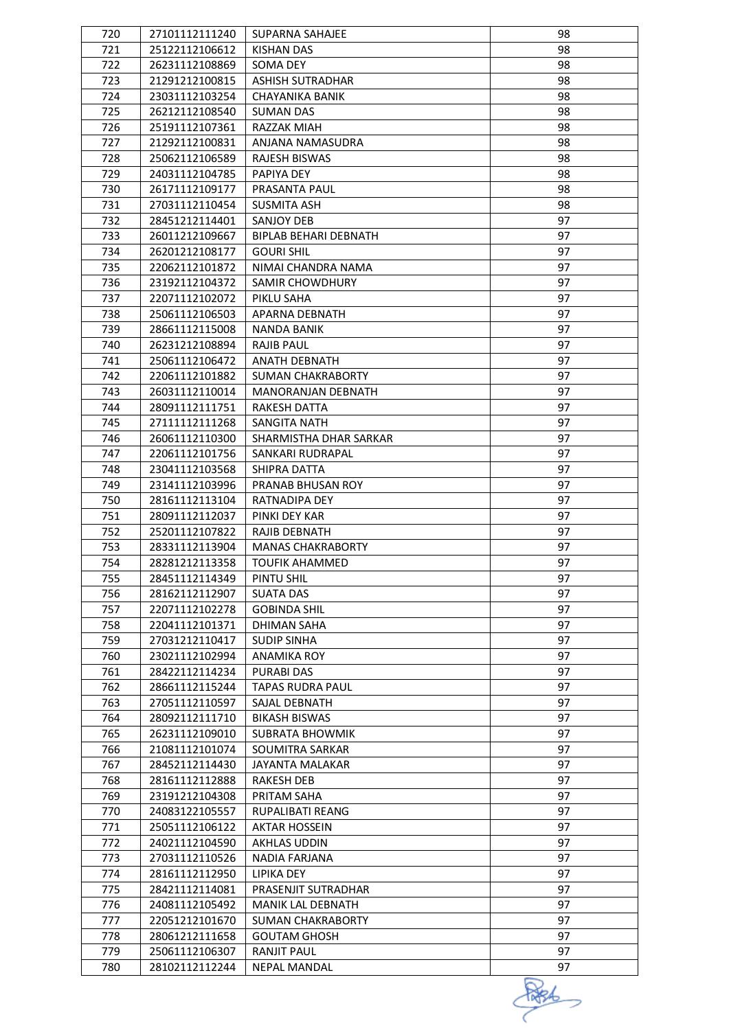| 720 | 27101112111240 | <b>SUPARNA SAHAJEE</b>       | 98 |
|-----|----------------|------------------------------|----|
| 721 | 25122112106612 | <b>KISHAN DAS</b>            | 98 |
| 722 | 26231112108869 | SOMA DEY                     | 98 |
| 723 | 21291212100815 | <b>ASHISH SUTRADHAR</b>      | 98 |
| 724 | 23031112103254 | <b>CHAYANIKA BANIK</b>       | 98 |
| 725 | 26212112108540 | <b>SUMAN DAS</b>             | 98 |
| 726 | 25191112107361 | RAZZAK MIAH                  | 98 |
| 727 | 21292112100831 | ANJANA NAMASUDRA             | 98 |
| 728 | 25062112106589 | <b>RAJESH BISWAS</b>         | 98 |
| 729 | 24031112104785 | PAPIYA DEY                   | 98 |
| 730 | 26171112109177 | PRASANTA PAUL                | 98 |
| 731 | 27031112110454 | <b>SUSMITA ASH</b>           | 98 |
| 732 | 28451212114401 | <b>SANJOY DEB</b>            | 97 |
| 733 | 26011212109667 | <b>BIPLAB BEHARI DEBNATH</b> | 97 |
| 734 | 26201212108177 | <b>GOURI SHIL</b>            | 97 |
| 735 | 22062112101872 | NIMAI CHANDRA NAMA           | 97 |
| 736 | 23192112104372 | <b>SAMIR CHOWDHURY</b>       | 97 |
| 737 | 22071112102072 | PIKLU SAHA                   | 97 |
| 738 | 25061112106503 | APARNA DEBNATH               | 97 |
|     |                |                              |    |
| 739 | 28661112115008 | <b>NANDA BANIK</b>           | 97 |
| 740 | 26231212108894 | <b>RAJIB PAUL</b>            | 97 |
| 741 | 25061112106472 | <b>ANATH DEBNATH</b>         | 97 |
| 742 | 22061112101882 | <b>SUMAN CHAKRABORTY</b>     | 97 |
| 743 | 26031112110014 | <b>MANORANJAN DEBNATH</b>    | 97 |
| 744 | 28091112111751 | RAKESH DATTA                 | 97 |
| 745 | 27111112111268 | SANGITA NATH                 | 97 |
| 746 | 26061112110300 | SHARMISTHA DHAR SARKAR       | 97 |
| 747 | 22061112101756 | SANKARI RUDRAPAL             | 97 |
| 748 | 23041112103568 | SHIPRA DATTA                 | 97 |
| 749 | 23141112103996 | PRANAB BHUSAN ROY            | 97 |
| 750 | 28161112113104 | RATNADIPA DEY                | 97 |
| 751 | 28091112112037 | PINKI DEY KAR                | 97 |
| 752 | 25201112107822 | RAJIB DEBNATH                | 97 |
| 753 | 28331112113904 | <b>MANAS CHAKRABORTY</b>     | 97 |
| 754 | 28281212113358 | TOUFIK AHAMMED               | 97 |
| 755 | 28451112114349 | PINTU SHIL                   | 97 |
| 756 | 28162112112907 | <b>SUATA DAS</b>             | 97 |
| 757 | 22071112102278 | <b>GOBINDA SHIL</b>          | 97 |
| 758 | 22041112101371 | DHIMAN SAHA                  | 97 |
| 759 | 27031212110417 | <b>SUDIP SINHA</b>           | 97 |
| 760 | 23021112102994 | ANAMIKA ROY                  | 97 |
| 761 | 28422112114234 | <b>PURABI DAS</b>            | 97 |
| 762 | 28661112115244 | <b>TAPAS RUDRA PAUL</b>      | 97 |
| 763 | 27051112110597 | SAJAL DEBNATH                | 97 |
| 764 | 28092112111710 | <b>BIKASH BISWAS</b>         | 97 |
| 765 | 26231112109010 | <b>SUBRATA BHOWMIK</b>       | 97 |
| 766 | 21081112101074 | SOUMITRA SARKAR              | 97 |
| 767 | 28452112114430 | JAYANTA MALAKAR              | 97 |
| 768 | 28161112112888 | <b>RAKESH DEB</b>            | 97 |
| 769 | 23191212104308 | PRITAM SAHA                  | 97 |
| 770 | 24083122105557 | RUPALIBATI REANG             | 97 |
| 771 | 25051112106122 | <b>AKTAR HOSSEIN</b>         | 97 |
| 772 | 24021112104590 | AKHLAS UDDIN                 | 97 |
| 773 | 27031112110526 | NADIA FARJANA                | 97 |
| 774 | 28161112112950 | LIPIKA DEY                   | 97 |
| 775 | 28421112114081 | PRASENJIT SUTRADHAR          | 97 |
| 776 | 24081112105492 | <b>MANIK LAL DEBNATH</b>     | 97 |
| 777 | 22051212101670 | <b>SUMAN CHAKRABORTY</b>     | 97 |
| 778 | 28061212111658 | <b>GOUTAM GHOSH</b>          | 97 |
| 779 | 25061112106307 | <b>RANJIT PAUL</b>           | 97 |
| 780 | 28102112112244 | <b>NEPAL MANDAL</b>          | 97 |
|     |                |                              |    |

Post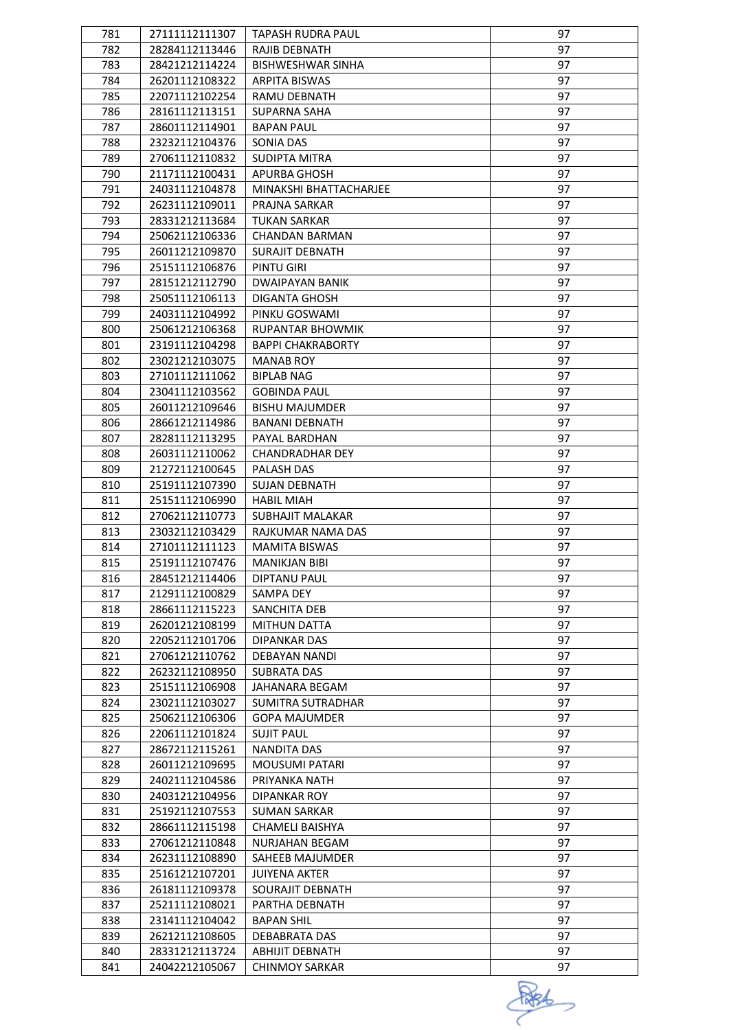| 781 | 27111112111307 | <b>TAPASH RUDRA PAUL</b> | 97 |
|-----|----------------|--------------------------|----|
| 782 | 28284112113446 | RAJIB DEBNATH            | 97 |
| 783 | 28421212114224 | <b>BISHWESHWAR SINHA</b> | 97 |
| 784 | 26201112108322 | <b>ARPITA BISWAS</b>     | 97 |
| 785 | 22071112102254 | RAMU DEBNATH             | 97 |
| 786 | 28161112113151 | SUPARNA SAHA             | 97 |
| 787 | 28601112114901 | <b>BAPAN PAUL</b>        | 97 |
| 788 | 23232112104376 | SONIA DAS                | 97 |
| 789 | 27061112110832 | <b>SUDIPTA MITRA</b>     | 97 |
| 790 | 21171112100431 | APURBA GHOSH             | 97 |
|     |                |                          |    |
| 791 | 24031112104878 | MINAKSHI BHATTACHARJEE   | 97 |
| 792 | 26231112109011 | PRAJNA SARKAR            | 97 |
| 793 | 28331212113684 | <b>TUKAN SARKAR</b>      | 97 |
| 794 | 25062112106336 | <b>CHANDAN BARMAN</b>    | 97 |
| 795 | 26011212109870 | <b>SURAJIT DEBNATH</b>   | 97 |
| 796 | 25151112106876 | PINTU GIRI               | 97 |
| 797 | 28151212112790 | <b>DWAIPAYAN BANIK</b>   | 97 |
| 798 | 25051112106113 | <b>DIGANTA GHOSH</b>     | 97 |
| 799 | 24031112104992 | PINKU GOSWAMI            | 97 |
| 800 | 25061212106368 | <b>RUPANTAR BHOWMIK</b>  | 97 |
| 801 | 23191112104298 | <b>BAPPI CHAKRABORTY</b> | 97 |
| 802 | 23021212103075 | <b>MANAB ROY</b>         | 97 |
| 803 | 27101112111062 | <b>BIPLAB NAG</b>        | 97 |
| 804 | 23041112103562 | <b>GOBINDA PAUL</b>      | 97 |
| 805 | 26011212109646 | <b>BISHU MAJUMDER</b>    | 97 |
| 806 | 28661212114986 | <b>BANANI DEBNATH</b>    | 97 |
| 807 | 28281112113295 | PAYAL BARDHAN            | 97 |
| 808 | 26031112110062 | <b>CHANDRADHAR DEY</b>   | 97 |
| 809 | 21272112100645 | PALASH DAS               | 97 |
| 810 | 25191112107390 | <b>SUJAN DEBNATH</b>     | 97 |
| 811 | 25151112106990 | <b>HABIL MIAH</b>        | 97 |
| 812 | 27062112110773 | SUBHAJIT MALAKAR         | 97 |
| 813 | 23032112103429 | RAJKUMAR NAMA DAS        | 97 |
| 814 | 27101112111123 | <b>MAMITA BISWAS</b>     | 97 |
| 815 | 25191112107476 | <b>MANIKJAN BIBI</b>     | 97 |
| 816 | 28451212114406 | <b>DIPTANU PAUL</b>      | 97 |
|     |                |                          |    |
| 817 | 21291112100829 | <b>SAMPA DEY</b>         | 97 |
| 818 | 28661112115223 | SANCHITA DEB             | 97 |
| 819 | 26201212108199 | <b>MITHUN DATTA</b>      | 97 |
| 820 | 22052112101706 | <b>DIPANKAR DAS</b>      | 97 |
| 821 | 27061212110762 | DEBAYAN NANDI            | 97 |
| 822 | 26232112108950 | <b>SUBRATA DAS</b>       | 97 |
| 823 | 25151112106908 | JAHANARA BEGAM           | 97 |
| 824 | 23021112103027 | <b>SUMITRA SUTRADHAR</b> | 97 |
| 825 | 25062112106306 | <b>GOPA MAJUMDER</b>     | 97 |
| 826 | 22061112101824 | <b>SUJIT PAUL</b>        | 97 |
| 827 | 28672112115261 | NANDITA DAS              | 97 |
| 828 | 26011212109695 | <b>MOUSUMI PATARI</b>    | 97 |
| 829 | 24021112104586 | PRIYANKA NATH            | 97 |
| 830 | 24031212104956 | <b>DIPANKAR ROY</b>      | 97 |
| 831 | 25192112107553 | <b>SUMAN SARKAR</b>      | 97 |
| 832 | 28661112115198 | CHAMELI BAISHYA          | 97 |
| 833 | 27061212110848 | NURJAHAN BEGAM           | 97 |
| 834 | 26231112108890 | SAHEEB MAJUMDER          | 97 |
| 835 | 25161212107201 | <b>JUIYENA AKTER</b>     | 97 |
| 836 | 26181112109378 | SOURAJIT DEBNATH         | 97 |
| 837 | 25211112108021 | PARTHA DEBNATH           | 97 |
| 838 | 23141112104042 | <b>BAPAN SHIL</b>        | 97 |
| 839 | 26212112108605 | DEBABRATA DAS            | 97 |
| 840 | 28331212113724 | <b>ABHIJIT DEBNATH</b>   | 97 |
| 841 | 24042212105067 | <b>CHINMOY SARKAR</b>    | 97 |
|     |                |                          |    |

Potos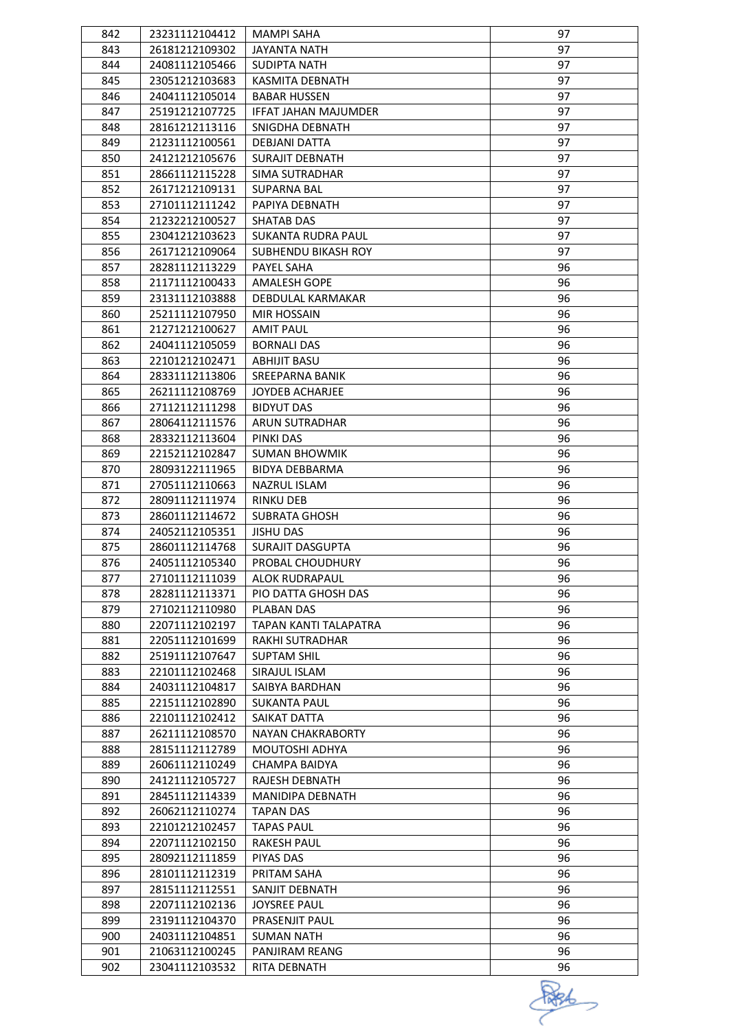| 842 | 23231112104412 | <b>MAMPI SAHA</b>           | 97 |
|-----|----------------|-----------------------------|----|
| 843 | 26181212109302 | <b>JAYANTA NATH</b>         | 97 |
| 844 | 24081112105466 | <b>SUDIPTA NATH</b>         | 97 |
| 845 | 23051212103683 | KASMITA DEBNATH             | 97 |
| 846 | 24041112105014 | <b>BABAR HUSSEN</b>         | 97 |
| 847 | 25191212107725 | <b>IFFAT JAHAN MAJUMDER</b> | 97 |
| 848 | 28161212113116 | SNIGDHA DEBNATH             | 97 |
| 849 | 21231112100561 | <b>DEBJANI DATTA</b>        | 97 |
| 850 | 24121212105676 | <b>SURAJIT DEBNATH</b>      | 97 |
| 851 | 28661112115228 | <b>SIMA SUTRADHAR</b>       | 97 |
| 852 | 26171212109131 | <b>SUPARNA BAL</b>          | 97 |
| 853 | 27101112111242 | PAPIYA DEBNATH              | 97 |
| 854 | 21232212100527 | <b>SHATAB DAS</b>           | 97 |
| 855 | 23041212103623 | SUKANTA RUDRA PAUL          | 97 |
| 856 | 26171212109064 | SUBHENDU BIKASH ROY         | 97 |
| 857 | 28281112113229 | PAYEL SAHA                  | 96 |
| 858 | 21171112100433 | <b>AMALESH GOPE</b>         | 96 |
| 859 | 23131112103888 | DEBDULAL KARMAKAR           | 96 |
| 860 | 25211112107950 | <b>MIR HOSSAIN</b>          | 96 |
|     |                |                             |    |
| 861 | 21271212100627 | <b>AMIT PAUL</b>            | 96 |
| 862 | 24041112105059 | <b>BORNALI DAS</b>          | 96 |
| 863 | 22101212102471 | <b>ABHIJIT BASU</b>         | 96 |
| 864 | 28331112113806 | <b>SREEPARNA BANIK</b>      | 96 |
| 865 | 26211112108769 | <b>JOYDEB ACHARJEE</b>      | 96 |
| 866 | 27112112111298 | <b>BIDYUT DAS</b>           | 96 |
| 867 | 28064112111576 | <b>ARUN SUTRADHAR</b>       | 96 |
| 868 | 28332112113604 | PINKI DAS                   | 96 |
| 869 | 22152112102847 | <b>SUMAN BHOWMIK</b>        | 96 |
| 870 | 28093122111965 | <b>BIDYA DEBBARMA</b>       | 96 |
| 871 | 27051112110663 | NAZRUL ISLAM                | 96 |
| 872 | 28091112111974 | RINKU DEB                   | 96 |
| 873 | 28601112114672 | <b>SUBRATA GHOSH</b>        | 96 |
| 874 | 24052112105351 | <b>JISHU DAS</b>            | 96 |
| 875 | 28601112114768 | <b>SURAJIT DASGUPTA</b>     | 96 |
| 876 | 24051112105340 | PROBAL CHOUDHURY            | 96 |
| 877 | 27101112111039 | ALOK RUDRAPAUL              | 96 |
| 878 | 28281112113371 | PIO DATTA GHOSH DAS         | 96 |
| 879 | 27102112110980 | PLABAN DAS                  | 96 |
| 880 | 22071112102197 | TAPAN KANTI TALAPATRA       | 96 |
| 881 | 22051112101699 | <b>RAKHI SUTRADHAR</b>      | 96 |
| 882 | 25191112107647 | <b>SUPTAM SHIL</b>          | 96 |
| 883 | 22101112102468 | SIRAJUL ISLAM               | 96 |
| 884 | 24031112104817 | SAIBYA BARDHAN              | 96 |
| 885 | 22151112102890 | <b>SUKANTA PAUL</b>         | 96 |
| 886 | 22101112102412 | SAIKAT DATTA                | 96 |
| 887 | 26211112108570 | <b>NAYAN CHAKRABORTY</b>    | 96 |
| 888 | 28151112112789 | MOUTOSHI ADHYA              | 96 |
| 889 | 26061112110249 | CHAMPA BAIDYA               | 96 |
| 890 | 24121112105727 | RAJESH DEBNATH              | 96 |
| 891 | 28451112114339 | <b>MANIDIPA DEBNATH</b>     | 96 |
| 892 | 26062112110274 | <b>TAPAN DAS</b>            | 96 |
| 893 | 22101212102457 | <b>TAPAS PAUL</b>           | 96 |
| 894 | 22071112102150 | <b>RAKESH PAUL</b>          | 96 |
| 895 | 28092112111859 | PIYAS DAS                   | 96 |
| 896 | 28101112112319 | PRITAM SAHA                 | 96 |
| 897 | 28151112112551 | SANJIT DEBNATH              | 96 |
| 898 | 22071112102136 | <b>JOYSREE PAUL</b>         | 96 |
| 899 | 23191112104370 | PRASENJIT PAUL              | 96 |
| 900 | 24031112104851 | <b>SUMAN NATH</b>           | 96 |
| 901 | 21063112100245 | PANJIRAM REANG              | 96 |
| 902 | 23041112103532 | RITA DEBNATH                | 96 |
|     |                |                             |    |

Potos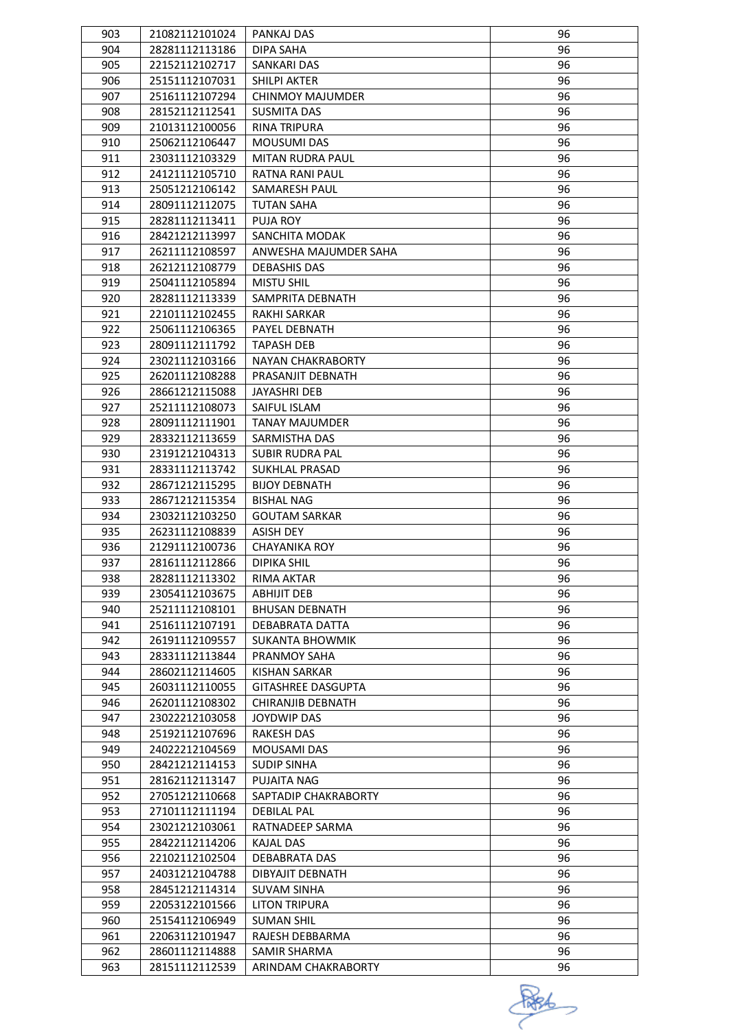| 903 | 21082112101024 | PANKAJ DAS                | 96 |
|-----|----------------|---------------------------|----|
| 904 | 28281112113186 | DIPA SAHA                 | 96 |
| 905 | 22152112102717 | SANKARI DAS               | 96 |
| 906 | 25151112107031 | SHILPI AKTER              | 96 |
| 907 | 25161112107294 | <b>CHINMOY MAJUMDER</b>   | 96 |
| 908 | 28152112112541 | SUSMITA DAS               | 96 |
| 909 | 21013112100056 | <b>RINA TRIPURA</b>       | 96 |
| 910 | 25062112106447 | <b>MOUSUMI DAS</b>        | 96 |
| 911 | 23031112103329 | <b>MITAN RUDRA PAUL</b>   | 96 |
| 912 | 24121112105710 | RATNA RANI PAUL           | 96 |
| 913 | 25051212106142 | <b>SAMARESH PAUL</b>      | 96 |
| 914 | 28091112112075 | <b>TUTAN SAHA</b>         | 96 |
| 915 | 28281112113411 | <b>PUJA ROY</b>           | 96 |
| 916 | 28421212113997 | SANCHITA MODAK            | 96 |
| 917 | 26211112108597 | ANWESHA MAJUMDER SAHA     | 96 |
| 918 | 26212112108779 | <b>DEBASHIS DAS</b>       | 96 |
| 919 | 25041112105894 | <b>MISTU SHIL</b>         | 96 |
|     | 28281112113339 |                           | 96 |
| 920 | 22101112102455 | SAMPRITA DEBNATH          |    |
| 921 |                | <b>RAKHI SARKAR</b>       | 96 |
| 922 | 25061112106365 | PAYEL DEBNATH             | 96 |
| 923 | 28091112111792 | <b>TAPASH DEB</b>         | 96 |
| 924 | 23021112103166 | NAYAN CHAKRABORTY         | 96 |
| 925 | 26201112108288 | PRASANJIT DEBNATH         | 96 |
| 926 | 28661212115088 | JAYASHRI DEB              | 96 |
| 927 | 25211112108073 | SAIFUL ISLAM              | 96 |
| 928 | 28091112111901 | <b>TANAY MAJUMDER</b>     | 96 |
| 929 | 28332112113659 | SARMISTHA DAS             | 96 |
| 930 | 23191212104313 | <b>SUBIR RUDRA PAL</b>    | 96 |
| 931 | 28331112113742 | <b>SUKHLAL PRASAD</b>     | 96 |
| 932 | 28671212115295 | <b>BIJOY DEBNATH</b>      | 96 |
| 933 | 28671212115354 | <b>BISHAL NAG</b>         | 96 |
| 934 | 23032112103250 | <b>GOUTAM SARKAR</b>      | 96 |
| 935 | 26231112108839 | <b>ASISH DEY</b>          | 96 |
| 936 | 21291112100736 | <b>CHAYANIKA ROY</b>      | 96 |
| 937 | 28161112112866 | DIPIKA SHIL               | 96 |
| 938 | 28281112113302 | RIMA AKTAR                | 96 |
| 939 | 23054112103675 | <b>ABHIJIT DEB</b>        | 96 |
| 940 | 25211112108101 | <b>BHUSAN DEBNATH</b>     | 96 |
| 941 | 25161112107191 | DEBABRATA DATTA           | 96 |
| 942 | 26191112109557 | SUKANTA BHOWMIK           | 96 |
| 943 | 28331112113844 | <b>PRANMOY SAHA</b>       | 96 |
| 944 | 28602112114605 | <b>KISHAN SARKAR</b>      | 96 |
| 945 | 26031112110055 | <b>GITASHREE DASGUPTA</b> | 96 |
| 946 | 26201112108302 | CHIRANJIB DEBNATH         | 96 |
| 947 | 23022212103058 | JOYDWIP DAS               | 96 |
| 948 | 25192112107696 | <b>RAKESH DAS</b>         | 96 |
| 949 | 24022212104569 | MOUSAMI DAS               | 96 |
| 950 | 28421212114153 | <b>SUDIP SINHA</b>        | 96 |
| 951 | 28162112113147 | PUJAITA NAG               | 96 |
| 952 | 27051212110668 | SAPTADIP CHAKRABORTY      | 96 |
| 953 | 27101112111194 | <b>DEBILAL PAL</b>        | 96 |
| 954 | 23021212103061 | RATNADEEP SARMA           | 96 |
| 955 | 28422112114206 | <b>KAJAL DAS</b>          | 96 |
| 956 | 22102112102504 | <b>DEBABRATA DAS</b>      | 96 |
| 957 | 24031212104788 | DIBYAJIT DEBNATH          | 96 |
| 958 | 28451212114314 | SUVAM SINHA               | 96 |
| 959 | 22053122101566 | <b>LITON TRIPURA</b>      | 96 |
| 960 | 25154112106949 | <b>SUMAN SHIL</b>         | 96 |
| 961 | 22063112101947 | RAJESH DEBBARMA           | 96 |
| 962 | 28601112114888 | SAMIR SHARMA              | 96 |
| 963 | 28151112112539 | ARINDAM CHAKRABORTY       | 96 |

Red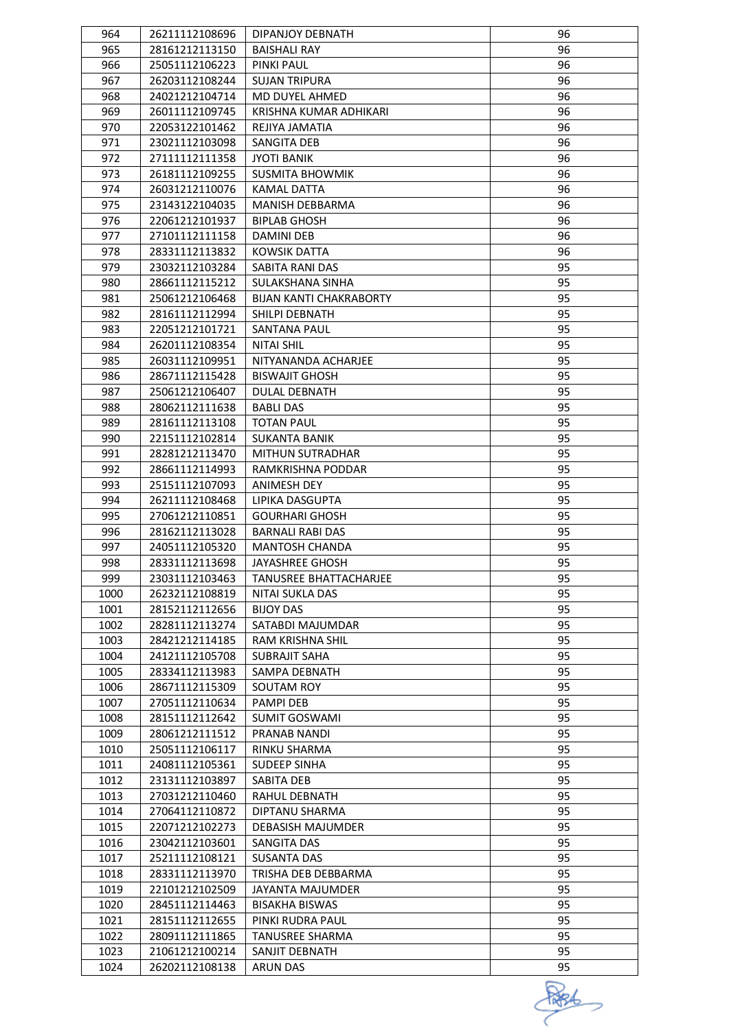| 964  | 26211112108696                   | DIPANJOY DEBNATH                           | 96 |
|------|----------------------------------|--------------------------------------------|----|
| 965  | 28161212113150                   | <b>BAISHALI RAY</b>                        | 96 |
| 966  | 25051112106223                   | <b>PINKI PAUL</b>                          | 96 |
| 967  | 26203112108244                   | <b>SUJAN TRIPURA</b>                       | 96 |
| 968  | 24021212104714                   | <b>MD DUYEL AHMED</b>                      | 96 |
| 969  | 26011112109745                   | KRISHNA KUMAR ADHIKARI                     | 96 |
| 970  | 22053122101462                   | REJIYA JAMATIA                             | 96 |
| 971  | 23021112103098                   | SANGITA DEB                                | 96 |
| 972  | 27111112111358                   | <b>JYOTI BANIK</b>                         | 96 |
| 973  | 26181112109255                   | <b>SUSMITA BHOWMIK</b>                     | 96 |
| 974  | 26031212110076                   | <b>KAMAL DATTA</b>                         | 96 |
| 975  | 23143122104035                   | MANISH DEBBARMA                            | 96 |
| 976  | 22061212101937                   | <b>BIPLAB GHOSH</b>                        | 96 |
| 977  | 27101112111158                   | DAMINI DEB                                 | 96 |
| 978  | 28331112113832                   | <b>KOWSIK DATTA</b>                        | 96 |
|      |                                  |                                            |    |
| 979  | 23032112103284<br>28661112115212 | SABITA RANI DAS<br><b>SULAKSHANA SINHA</b> | 95 |
| 980  |                                  |                                            | 95 |
| 981  | 25061212106468                   | <b>BIJAN KANTI CHAKRABORTY</b>             | 95 |
| 982  | 28161112112994                   | SHILPI DEBNATH                             | 95 |
| 983  | 22051212101721                   | SANTANA PAUL                               | 95 |
| 984  | 26201112108354                   | <b>NITAI SHIL</b>                          | 95 |
| 985  | 26031112109951                   | NITYANANDA ACHARJEE                        | 95 |
| 986  | 28671112115428                   | <b>BISWAJIT GHOSH</b>                      | 95 |
| 987  | 25061212106407                   | DULAL DEBNATH                              | 95 |
| 988  | 28062112111638                   | <b>BABLI DAS</b>                           | 95 |
| 989  | 28161112113108                   | <b>TOTAN PAUL</b>                          | 95 |
| 990  | 22151112102814                   | <b>SUKANTA BANIK</b>                       | 95 |
| 991  | 28281212113470                   | MITHUN SUTRADHAR                           | 95 |
| 992  | 28661112114993                   | RAMKRISHNA PODDAR                          | 95 |
| 993  | 25151112107093                   | <b>ANIMESH DEY</b>                         | 95 |
| 994  | 26211112108468                   | LIPIKA DASGUPTA                            | 95 |
| 995  | 27061212110851                   | <b>GOURHARI GHOSH</b>                      | 95 |
| 996  | 28162112113028                   | <b>BARNALI RABI DAS</b>                    | 95 |
| 997  | 24051112105320                   | <b>MANTOSH CHANDA</b>                      | 95 |
| 998  | 28331112113698                   | <b>JAYASHREE GHOSH</b>                     | 95 |
| 999  | 23031112103463                   | TANUSREE BHATTACHARJEE                     | 95 |
| 1000 | 26232112108819                   | NITAI SUKLA DAS                            | 95 |
| 1001 | 28152112112656                   | <b>BIJOY DAS</b>                           | 95 |
| 1002 | 28281112113274                   | SATABDI MAJUMDAR                           | 95 |
| 1003 | 28421212114185                   | <b>RAM KRISHNA SHIL</b>                    | 95 |
| 1004 | 24121112105708                   | <b>SUBRAJIT SAHA</b>                       | 95 |
| 1005 | 28334112113983                   | SAMPA DEBNATH                              | 95 |
| 1006 | 28671112115309                   | SOUTAM ROY                                 | 95 |
| 1007 | 27051112110634                   | PAMPI DEB                                  | 95 |
| 1008 | 28151112112642                   | <b>SUMIT GOSWAMI</b>                       | 95 |
| 1009 | 28061212111512                   | PRANAB NANDI                               | 95 |
| 1010 | 25051112106117                   | <b>RINKU SHARMA</b>                        | 95 |
| 1011 | 24081112105361                   | <b>SUDEEP SINHA</b>                        | 95 |
| 1012 | 23131112103897                   | SABITA DEB                                 | 95 |
| 1013 | 27031212110460                   | RAHUL DEBNATH                              | 95 |
| 1014 | 27064112110872                   | DIPTANU SHARMA                             | 95 |
| 1015 | 22071212102273                   | <b>DEBASISH MAJUMDER</b>                   | 95 |
| 1016 | 23042112103601                   | SANGITA DAS                                | 95 |
| 1017 | 25211112108121                   | <b>SUSANTA DAS</b>                         | 95 |
| 1018 | 28331112113970                   | TRISHA DEB DEBBARMA                        | 95 |
| 1019 | 22101212102509                   | JAYANTA MAJUMDER                           | 95 |
| 1020 | 28451112114463                   | <b>BISAKHA BISWAS</b>                      | 95 |
| 1021 | 28151112112655                   | PINKI RUDRA PAUL                           | 95 |
| 1022 | 28091112111865                   | <b>TANUSREE SHARMA</b>                     | 95 |
| 1023 | 21061212100214                   | SANJIT DEBNATH                             | 95 |
| 1024 | 26202112108138                   | <b>ARUN DAS</b>                            | 95 |
|      |                                  |                                            |    |

Potos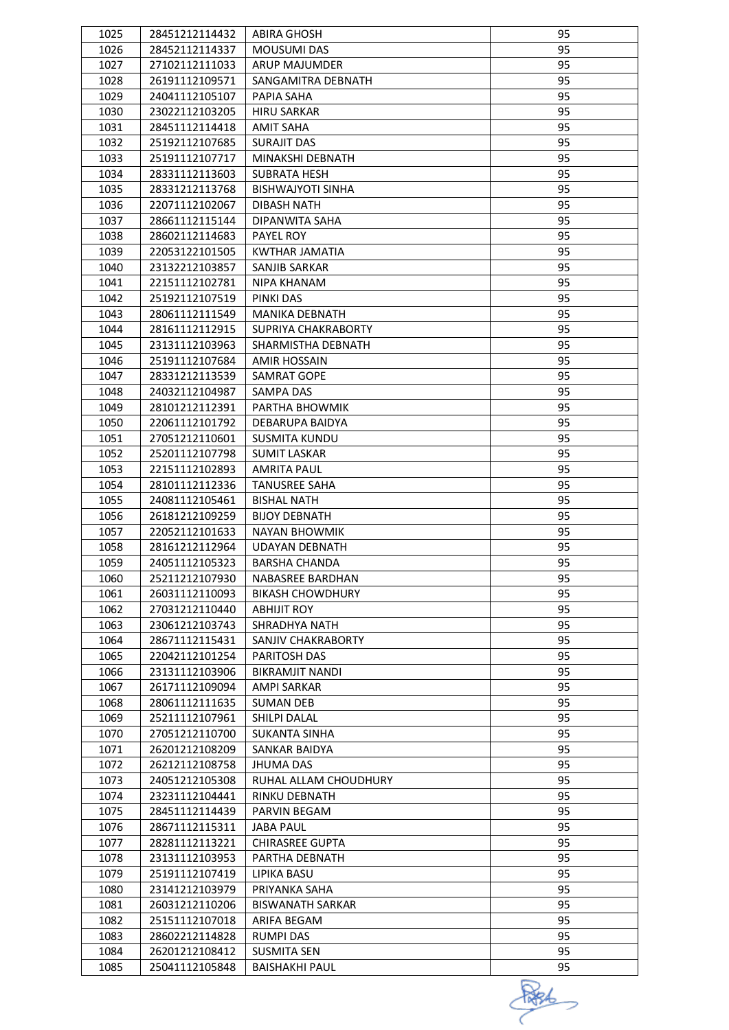| 1025 | 28451212114432 | ABIRA GHOSH                        | 95 |
|------|----------------|------------------------------------|----|
| 1026 | 28452112114337 | <b>MOUSUMI DAS</b>                 | 95 |
| 1027 | 27102112111033 | <b>ARUP MAJUMDER</b>               | 95 |
| 1028 | 26191112109571 | SANGAMITRA DEBNATH                 | 95 |
| 1029 | 24041112105107 | PAPIA SAHA                         | 95 |
| 1030 | 23022112103205 | <b>HIRU SARKAR</b>                 | 95 |
| 1031 | 28451112114418 | <b>AMIT SAHA</b>                   | 95 |
| 1032 | 25192112107685 | <b>SURAJIT DAS</b>                 | 95 |
| 1033 | 25191112107717 | MINAKSHI DEBNATH                   | 95 |
| 1034 | 28331112113603 | SUBRATA HESH                       | 95 |
| 1035 | 28331212113768 | <b>BISHWAJYOTI SINHA</b>           | 95 |
| 1036 | 22071112102067 | <b>DIBASH NATH</b>                 | 95 |
| 1037 | 28661112115144 | DIPANWITA SAHA                     | 95 |
| 1038 | 28602112114683 | PAYEL ROY                          | 95 |
| 1039 | 22053122101505 | <b>KWTHAR JAMATIA</b>              | 95 |
| 1040 | 23132212103857 | SANJIB SARKAR                      | 95 |
| 1041 | 22151112102781 | <b>NIPA KHANAM</b>                 | 95 |
| 1042 | 25192112107519 |                                    | 95 |
| 1043 | 28061112111549 | PINKI DAS<br><b>MANIKA DEBNATH</b> | 95 |
|      |                |                                    |    |
| 1044 | 28161112112915 | SUPRIYA CHAKRABORTY                | 95 |
| 1045 | 23131112103963 | SHARMISTHA DEBNATH                 | 95 |
| 1046 | 25191112107684 | <b>AMIR HOSSAIN</b>                | 95 |
| 1047 | 28331212113539 | <b>SAMRAT GOPE</b>                 | 95 |
| 1048 | 24032112104987 | <b>SAMPA DAS</b>                   | 95 |
| 1049 | 28101212112391 | PARTHA BHOWMIK                     | 95 |
| 1050 | 22061112101792 | DEBARUPA BAIDYA                    | 95 |
| 1051 | 27051212110601 | <b>SUSMITA KUNDU</b>               | 95 |
| 1052 | 25201112107798 | <b>SUMIT LASKAR</b>                | 95 |
| 1053 | 22151112102893 | <b>AMRITA PAUL</b>                 | 95 |
| 1054 | 28101112112336 | TANUSREE SAHA                      | 95 |
| 1055 | 24081112105461 | <b>BISHAL NATH</b>                 | 95 |
| 1056 | 26181212109259 | <b>BIJOY DEBNATH</b>               | 95 |
| 1057 | 22052112101633 | <b>NAYAN BHOWMIK</b>               | 95 |
| 1058 | 28161212112964 | <b>UDAYAN DEBNATH</b>              | 95 |
| 1059 | 24051112105323 | <b>BARSHA CHANDA</b>               | 95 |
| 1060 | 25211212107930 | NABASREE BARDHAN                   | 95 |
| 1061 | 26031112110093 | <b>BIKASH CHOWDHURY</b>            | 95 |
| 1062 | 27031212110440 | <b>ABHIJIT ROY</b>                 | 95 |
| 1063 | 23061212103743 | SHRADHYA NATH                      | 95 |
| 1064 | 28671112115431 | SANJIV CHAKRABORTY                 | 95 |
| 1065 | 22042112101254 | <b>PARITOSH DAS</b>                | 95 |
| 1066 | 23131112103906 | <b>BIKRAMJIT NANDI</b>             | 95 |
| 1067 | 26171112109094 | <b>AMPI SARKAR</b>                 | 95 |
| 1068 | 28061112111635 | <b>SUMAN DEB</b>                   | 95 |
| 1069 | 25211112107961 | SHILPI DALAL                       | 95 |
| 1070 | 27051212110700 | SUKANTA SINHA                      | 95 |
| 1071 | 26201212108209 | SANKAR BAIDYA                      | 95 |
| 1072 | 26212112108758 | <b>JHUMA DAS</b>                   | 95 |
| 1073 | 24051212105308 | RUHAL ALLAM CHOUDHURY              | 95 |
| 1074 | 23231112104441 | RINKU DEBNATH                      | 95 |
| 1075 | 28451112114439 | PARVIN BEGAM                       | 95 |
| 1076 | 28671112115311 | <b>JABA PAUL</b>                   | 95 |
| 1077 | 28281112113221 | <b>CHIRASREE GUPTA</b>             | 95 |
| 1078 | 23131112103953 | PARTHA DEBNATH                     | 95 |
| 1079 | 25191112107419 | <b>LIPIKA BASU</b>                 | 95 |
| 1080 | 23141212103979 | PRIYANKA SAHA                      | 95 |
| 1081 | 26031212110206 | <b>BISWANATH SARKAR</b>            | 95 |
| 1082 | 25151112107018 | ARIFA BEGAM                        | 95 |
| 1083 | 28602212114828 | <b>RUMPI DAS</b>                   | 95 |
| 1084 | 26201212108412 | SUSMITA SEN                        | 95 |
| 1085 | 25041112105848 | <b>BAISHAKHI PAUL</b>              | 95 |
|      |                |                                    |    |

Red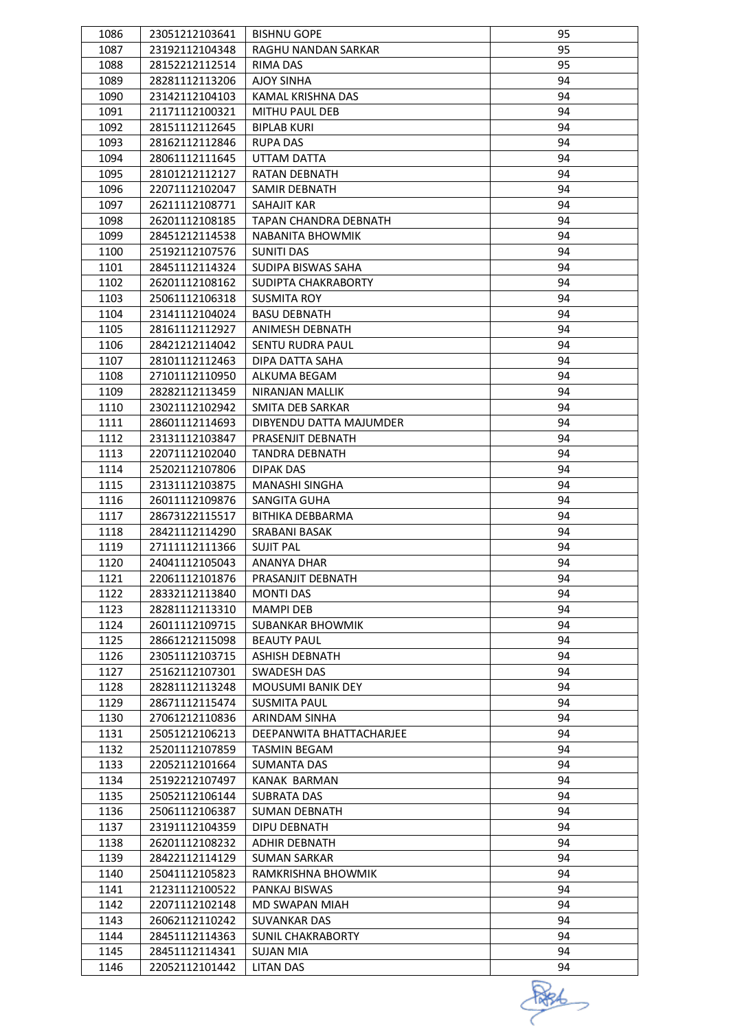| 1086 | 23051212103641 | <b>BISHNU GOPE</b>       | 95 |
|------|----------------|--------------------------|----|
| 1087 | 23192112104348 | RAGHU NANDAN SARKAR      | 95 |
| 1088 | 28152212112514 | <b>RIMA DAS</b>          | 95 |
| 1089 | 28281112113206 | <b>AJOY SINHA</b>        | 94 |
| 1090 | 23142112104103 | KAMAL KRISHNA DAS        | 94 |
| 1091 | 21171112100321 | <b>MITHU PAUL DEB</b>    | 94 |
| 1092 | 28151112112645 | <b>BIPLAB KURI</b>       | 94 |
| 1093 | 28162112112846 | <b>RUPA DAS</b>          | 94 |
| 1094 | 28061112111645 | <b>UTTAM DATTA</b>       | 94 |
| 1095 | 28101212112127 | RATAN DEBNATH            | 94 |
| 1096 | 22071112102047 | SAMIR DEBNATH            | 94 |
| 1097 | 26211112108771 | SAHAJIT KAR              | 94 |
| 1098 | 26201112108185 | TAPAN CHANDRA DEBNATH    | 94 |
| 1099 | 28451212114538 | NABANITA BHOWMIK         | 94 |
| 1100 | 25192112107576 | <b>SUNITI DAS</b>        | 94 |
| 1101 | 28451112114324 | SUDIPA BISWAS SAHA       | 94 |
| 1102 | 26201112108162 | SUDIPTA CHAKRABORTY      | 94 |
|      |                | <b>SUSMITA ROY</b>       | 94 |
| 1103 | 25061112106318 | <b>BASU DEBNATH</b>      |    |
| 1104 | 23141112104024 |                          | 94 |
| 1105 | 28161112112927 | ANIMESH DEBNATH          | 94 |
| 1106 | 28421212114042 | SENTU RUDRA PAUL         | 94 |
| 1107 | 28101112112463 | DIPA DATTA SAHA          | 94 |
| 1108 | 27101112110950 | ALKUMA BEGAM             | 94 |
| 1109 | 28282112113459 | NIRANJAN MALLIK          | 94 |
| 1110 | 23021112102942 | SMITA DEB SARKAR         | 94 |
| 1111 | 28601112114693 | DIBYENDU DATTA MAJUMDER  | 94 |
| 1112 | 23131112103847 | PRASENJIT DEBNATH        | 94 |
| 1113 | 22071112102040 | <b>TANDRA DEBNATH</b>    | 94 |
| 1114 | 25202112107806 | <b>DIPAK DAS</b>         | 94 |
| 1115 | 23131112103875 | <b>MANASHI SINGHA</b>    | 94 |
| 1116 | 26011112109876 | SANGITA GUHA             | 94 |
| 1117 | 28673122115517 | BITHIKA DEBBARMA         | 94 |
| 1118 | 28421112114290 | <b>SRABANI BASAK</b>     | 94 |
| 1119 | 27111112111366 | <b>SUJIT PAL</b>         | 94 |
| 1120 | 24041112105043 | ANANYA DHAR              | 94 |
| 1121 | 22061112101876 | PRASANJIT DEBNATH        | 94 |
| 1122 | 28332112113840 | <b>MONTI DAS</b>         | 94 |
| 1123 | 28281112113310 | <b>MAMPI DEB</b>         | 94 |
| 1124 | 26011112109715 | <b>SUBANKAR BHOWMIK</b>  | 94 |
| 1125 | 28661212115098 | <b>BEAUTY PAUL</b>       | 94 |
| 1126 | 23051112103715 | <b>ASHISH DEBNATH</b>    | 94 |
| 1127 | 25162112107301 | <b>SWADESH DAS</b>       | 94 |
| 1128 | 28281112113248 | <b>MOUSUMI BANIK DEY</b> | 94 |
| 1129 | 28671112115474 | <b>SUSMITA PAUL</b>      | 94 |
| 1130 | 27061212110836 | ARINDAM SINHA            | 94 |
| 1131 | 25051212106213 | DEEPANWITA BHATTACHARJEE | 94 |
| 1132 | 25201112107859 | <b>TASMIN BEGAM</b>      | 94 |
| 1133 | 22052112101664 | <b>SUMANTA DAS</b>       | 94 |
| 1134 | 25192212107497 | <b>KANAK BARMAN</b>      | 94 |
| 1135 | 25052112106144 | <b>SUBRATA DAS</b>       | 94 |
| 1136 | 25061112106387 | <b>SUMAN DEBNATH</b>     | 94 |
| 1137 | 23191112104359 | DIPU DEBNATH             | 94 |
| 1138 | 26201112108232 | <b>ADHIR DEBNATH</b>     | 94 |
| 1139 | 28422112114129 | <b>SUMAN SARKAR</b>      | 94 |
| 1140 | 25041112105823 | RAMKRISHNA BHOWMIK       | 94 |
| 1141 | 21231112100522 | PANKAJ BISWAS            | 94 |
| 1142 | 22071112102148 | <b>MD SWAPAN MIAH</b>    | 94 |
| 1143 | 26062112110242 | <b>SUVANKAR DAS</b>      | 94 |
| 1144 | 28451112114363 | <b>SUNIL CHAKRABORTY</b> | 94 |
| 1145 | 28451112114341 | SUJAN MIA                | 94 |
| 1146 | 22052112101442 | LITAN DAS                | 94 |

Parks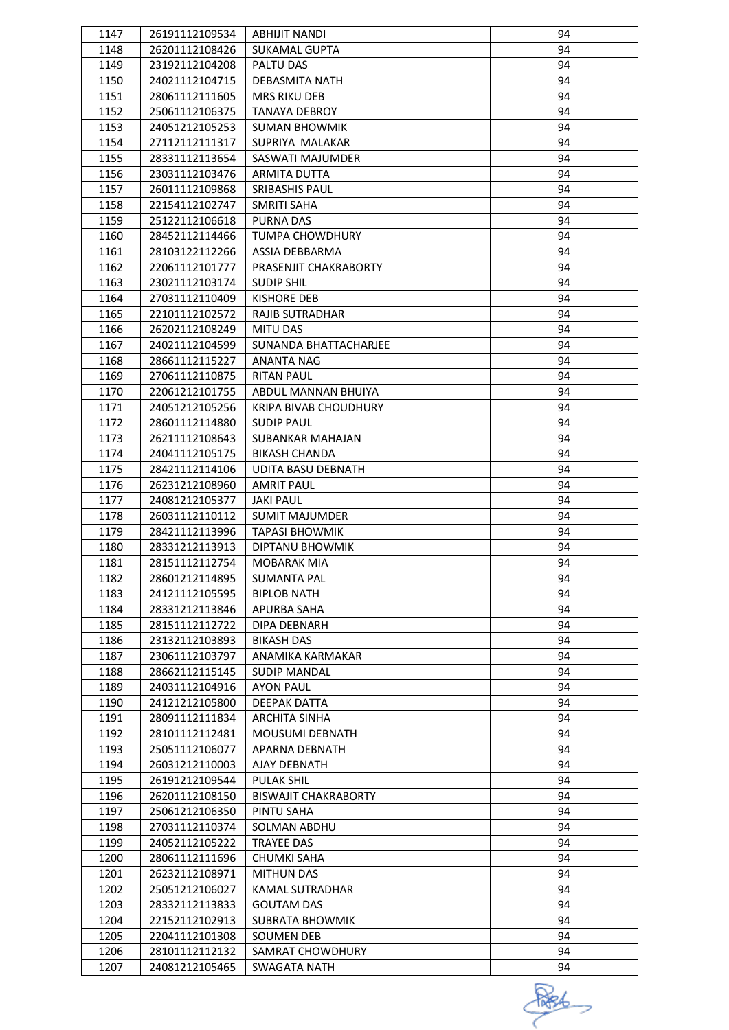| 1147 | 26191112109534                   | ABHIJIT NANDI               | 94 |
|------|----------------------------------|-----------------------------|----|
| 1148 | 26201112108426                   | <b>SUKAMAL GUPTA</b>        | 94 |
| 1149 | 23192112104208                   | <b>PALTU DAS</b>            | 94 |
| 1150 | 24021112104715                   | <b>DEBASMITA NATH</b>       | 94 |
| 1151 | 28061112111605                   | MRS RIKU DEB                | 94 |
| 1152 | 25061112106375                   | <b>TANAYA DEBROY</b>        | 94 |
| 1153 | 24051212105253                   | <b>SUMAN BHOWMIK</b>        | 94 |
| 1154 | 27112112111317                   | SUPRIYA MALAKAR             | 94 |
| 1155 | 28331112113654                   | SASWATI MAJUMDER            | 94 |
| 1156 | 23031112103476                   | ARMITA DUTTA                | 94 |
| 1157 | 26011112109868                   | <b>SRIBASHIS PAUL</b>       | 94 |
| 1158 | 22154112102747                   | SMRITI SAHA                 | 94 |
| 1159 | 25122112106618                   | PURNA DAS                   | 94 |
| 1160 | 28452112114466                   | <b>TUMPA CHOWDHURY</b>      | 94 |
| 1161 | 28103122112266                   | ASSIA DEBBARMA              | 94 |
| 1162 | 22061112101777                   | PRASENJIT CHAKRABORTY       | 94 |
| 1163 |                                  | <b>SUDIP SHIL</b>           | 94 |
| 1164 | 23021112103174<br>27031112110409 | <b>KISHORE DEB</b>          | 94 |
|      |                                  |                             |    |
| 1165 | 22101112102572                   | <b>RAJIB SUTRADHAR</b>      | 94 |
| 1166 | 26202112108249                   | MITU DAS                    | 94 |
| 1167 | 24021112104599                   | SUNANDA BHATTACHARJEE       | 94 |
| 1168 | 28661112115227                   | <b>ANANTA NAG</b>           | 94 |
| 1169 | 27061112110875                   | <b>RITAN PAUL</b>           | 94 |
| 1170 | 22061212101755                   | ABDUL MANNAN BHUIYA         | 94 |
| 1171 | 24051212105256                   | KRIPA BIVAB CHOUDHURY       | 94 |
| 1172 | 28601112114880                   | <b>SUDIP PAUL</b>           | 94 |
| 1173 | 26211112108643                   | SUBANKAR MAHAJAN            | 94 |
| 1174 | 24041112105175                   | <b>BIKASH CHANDA</b>        | 94 |
| 1175 | 28421112114106                   | <b>UDITA BASU DEBNATH</b>   | 94 |
| 1176 | 26231212108960                   | <b>AMRIT PAUL</b>           | 94 |
| 1177 | 24081212105377                   | <b>JAKI PAUL</b>            | 94 |
| 1178 | 26031112110112                   | <b>SUMIT MAJUMDER</b>       | 94 |
| 1179 | 28421112113996                   | <b>TAPASI BHOWMIK</b>       | 94 |
| 1180 | 28331212113913                   | <b>DIPTANU BHOWMIK</b>      | 94 |
| 1181 | 28151112112754                   | MOBARAK MIA                 | 94 |
| 1182 | 28601212114895                   | <b>SUMANTA PAL</b>          | 94 |
| 1183 | 24121112105595                   | <b>BIPLOB NATH</b>          | 94 |
| 1184 | 28331212113846                   | APURBA SAHA                 | 94 |
| 1185 | 28151112112722                   | DIPA DEBNARH                | 94 |
| 1186 | 23132112103893                   | <b>BIKASH DAS</b>           | 94 |
| 1187 | 23061112103797                   | ANAMIKA KARMAKAR            | 94 |
| 1188 | 28662112115145                   | <b>SUDIP MANDAL</b>         | 94 |
| 1189 | 24031112104916                   | <b>AYON PAUL</b>            | 94 |
| 1190 | 24121212105800                   | DEEPAK DATTA                | 94 |
| 1191 | 28091112111834                   | <b>ARCHITA SINHA</b>        | 94 |
| 1192 | 28101112112481                   | MOUSUMI DEBNATH             | 94 |
| 1193 | 25051112106077                   | APARNA DEBNATH              | 94 |
| 1194 | 26031212110003                   | AJAY DEBNATH                | 94 |
| 1195 | 26191212109544                   | <b>PULAK SHIL</b>           | 94 |
| 1196 | 26201112108150                   | <b>BISWAJIT CHAKRABORTY</b> | 94 |
| 1197 | 25061212106350                   | PINTU SAHA                  | 94 |
| 1198 | 27031112110374                   | SOLMAN ABDHU                | 94 |
| 1199 | 24052112105222                   | <b>TRAYEE DAS</b>           | 94 |
| 1200 | 28061112111696                   | <b>CHUMKI SAHA</b>          | 94 |
| 1201 | 26232112108971                   | <b>MITHUN DAS</b>           | 94 |
| 1202 | 25051212106027                   | KAMAL SUTRADHAR             | 94 |
| 1203 | 28332112113833                   | <b>GOUTAM DAS</b>           | 94 |
| 1204 | 22152112102913                   | <b>SUBRATA BHOWMIK</b>      | 94 |
| 1205 | 22041112101308                   | <b>SOUMEN DEB</b>           | 94 |
| 1206 | 28101112112132                   | SAMRAT CHOWDHURY            | 94 |
| 1207 | 24081212105465                   | SWAGATA NATH                | 94 |

Red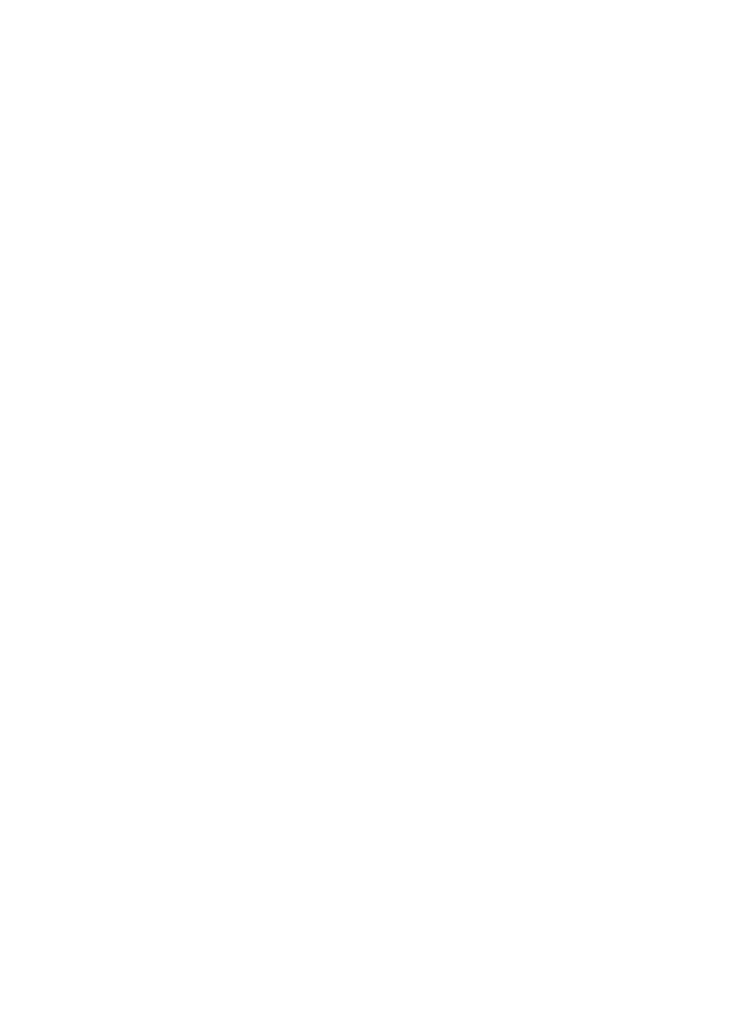| 1208 | 22061212101936 | SIDHARTHA SHIL           | 94 |
|------|----------------|--------------------------|----|
| 1209 | 24081112105383 | DIPRIYA CHAKRABORTY      | 94 |
| 1210 | 23061112103732 | TINKU CHANDRA NATH       | 94 |
| 1211 | 27111212111387 | <b>ABHIJIT SINHA</b>     | 94 |
| 1212 | 23021212103179 | <b>TANUJOY NATH</b>      | 94 |
| 1213 | 27031112110468 | <b>JUBAHEL ALI</b>       | 94 |
| 1214 | 27061112110757 | MITHUN DEBNATH           | 94 |
| 1215 | 23141112104063 | SAMIR DEBNATH            | 94 |
| 1216 | 28061112111478 | <b>RIPAN DEBNATH</b>     | 94 |
| 1217 | 22152112102908 | <b>BIPLAB MAJUMDER</b>   | 94 |
| 1218 | 28062112111618 | <b>AJOY SARKAR</b>       | 94 |
| 1219 | 28661212115059 | SANGITA DEY              | 94 |
|      |                |                          |    |
| 1220 | 25121212106610 | <b>MOUSUMI SARKAR</b>    | 94 |
| 1221 | 22072112102104 | <b>AMAL DAS</b>          | 94 |
| 1222 | 27061212110786 | <b>MONUJ SINHA</b>       | 94 |
| 1223 | 24081112105516 | ARPITA RANI DEB          | 94 |
| 1224 | 25051112106181 | <b>NAYAN ACHARJEE</b>    | 94 |
| 1225 | 25051112106204 | <b>SAURAV LASKAR</b>     | 94 |
| 1226 | 23041112103535 | <b>RAJIB GOPE</b>        | 94 |
| 1227 | 23191112104225 | <b>MONALISHA DEY</b>     | 94 |
| 1228 | 23141112104172 | JOYASHREE CHOWDHURY      | 94 |
| 1229 | 25041112105847 | PRIYA PAUL               | 94 |
| 1230 | 22102112102371 | <b>SUBHRADIP DAS</b>     | 94 |
| 1231 | 27101112111049 | PAPRI DEY                | 94 |
| 1232 | 25051212106141 | <b>NAYAN BHOWMIK</b>     | 94 |
| 1233 | 28161112113013 | JOYEETA LASKAR           | 94 |
| 1234 | 22071112102279 | <b>TRIDWIP SAHA</b>      | 94 |
| 1235 | 27061112110927 | MD AJIJUL ISLAM          | 94 |
| 1236 | 24051212105332 | APARAJITA SARMA          | 94 |
| 1237 | 28061112111556 | DIPANWITA BISWAS         | 94 |
| 1238 | 21232112100558 | <b>JUI DAS</b>           | 94 |
| 1239 | 22101112102362 | <b>NASRIN SULTANA</b>    | 94 |
| 1240 | 22152112102786 | PARMITA DAS              | 94 |
|      |                |                          |    |
| 1241 | 28671112115325 | SATARUPA MAHAJAN         | 94 |
| 1242 | 22102212102523 | <b>SUMITRA BHOWMIK</b>   | 94 |
| 1243 | 28091112112039 | TITAN DEBNATH            | 94 |
| 1244 | 24041112105120 | SURABHI DEBNATH          | 94 |
| 1245 | 25211112108126 | SWADESH ROY              | 93 |
| 1246 | 22051212101680 | <b>TARUN MAJUMDER</b>    | 93 |
| 1247 | 27061112110900 | <b>BIKRAM SINGHA</b>     | 93 |
| 1248 | 24021112104549 | SANJIB SINGHA            | 93 |
| 1249 | 26171112109165 | <b>MOONMOON MAJUMDER</b> | 93 |
| 1250 | 22051112101690 | <b>RUPALI PAL</b>        | 93 |
| 1251 | 25061212106303 | <b>SUSANTA DEBNATH</b>   | 93 |
| 1252 | 22101112102543 | <b>BIKASH MAJUMDER</b>   | 93 |
| 1253 | 25162112107192 | <b>JOYDEB DAS</b>        | 93 |
| 1254 | 23231212104454 | <b>SUJIT DEBNATH</b>     | 93 |
| 1255 | 26211112108754 | <b>SUJIT PAUL</b>        | 93 |
| 1256 | 25191112107328 | SAHIN AHAMED             | 93 |
| 1257 | 26211112108644 | <b>SOMEN CHAKRABORTY</b> | 93 |
| 1258 | 25191112107631 | SUJALA RUDRA PAUL        | 93 |
| 1259 | 28162212113066 | JAGADISH SARKAR          | 93 |
|      |                |                          |    |
| 1260 | 28601112114659 | PRITIKANA DATTA          | 93 |
| 1261 | 24121112105786 | SUBRATA DATTA            | 93 |
| 1262 | 23141112104118 | SIDDHARTHA SANKAR ROY    | 93 |
| 1263 | 28421112114097 | AKHLIMA BEGAM            | 93 |
| 1264 | 28601112114561 | <b>TANUSRI BANIK</b>     | 93 |
| 1265 | 24121112105792 | <b>KUTI MIA</b>          | 93 |
| 1266 | 24032112104954 | DEBASREE DAS             | 93 |
| 1267 | 25161112107272 | MITHUN CHAKRABORTY       | 93 |
| 1268 | 22071112102183 | <b>BULBUL AHAMED</b>     | 93 |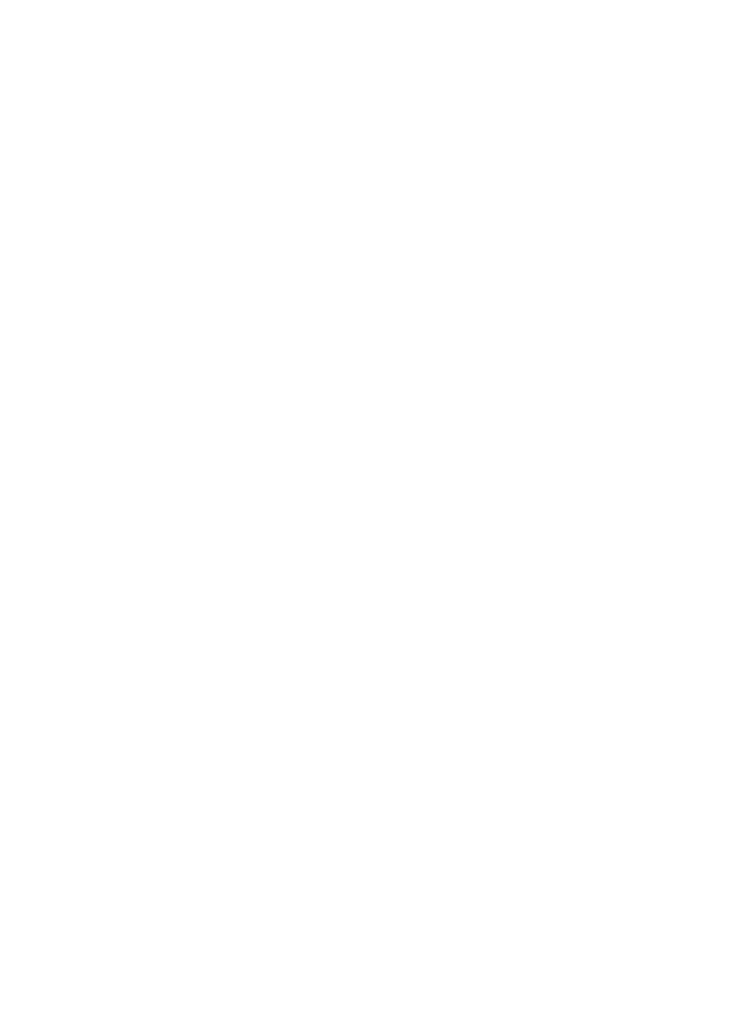| 1269 | 21082112101033 | <b>MANORANJAN DEWAN</b>        | 93 |
|------|----------------|--------------------------------|----|
| 1270 | 25151112107171 | <b>NAZMA KHATUN</b>            | 93 |
| 1271 | 23031112103379 | MOUTUSI DEY                    | 93 |
| 1272 | 22101112102501 | KRISHNAPRASAD GOSWAMI          | 93 |
| 1273 | 28103112112170 | SANJOY DEBBARMA                | 93 |
| 1274 | 28063112111587 | SUPRIYA DEBBARMA               | 93 |
| 1275 | 22071112102243 | LIKHA DEBNATH                  | 93 |
| 1276 | 23232112104434 | <b>NARAYAN DAS</b>             | 93 |
| 1277 | 28601112114881 | <b>RUMPA DEBNATH</b>           | 93 |
| 1278 | 23042112103577 | SOMA DAS                       | 93 |
| 1279 | 23033112103448 | ADISON DEBBARMA                | 93 |
| 1280 | 28331112113929 | <b>BARNALI CHAKRABORTY DAS</b> | 93 |
| 1281 | 25052212105984 | <b>RAKESH BHOWMIK</b>          | 93 |
| 1282 | 22062112101878 | <b>AMIT KUMAR DAS</b>          | 93 |
| 1283 | 28331112113702 | <b>SAMPA SHIL</b>              | 93 |
| 1284 | 26211112108545 | <b>JAGADISH DEBNATH</b>        | 93 |
| 1285 | 24032112104780 | <b>LITON CHANDRA DAS</b>       | 93 |
| 1286 | 23043122103589 | PRITAM DEBBARMA                | 93 |
| 1287 | 27051112110703 | <b>SUJATA DEB</b>              | 93 |
|      | 26201112108216 |                                |    |
| 1288 |                | <b>GOVINDA MALLA</b>           | 93 |
| 1289 | 21171112100424 | PINAKI DEB                     | 93 |
| 1290 | 27031112110545 | SANTANU SAHA                   | 93 |
| 1291 | 24022112104540 | <b>RAJESH DAS</b>              | 93 |
| 1292 | 27031112110422 | <b>SUJOY PAUL</b>              | 93 |
| 1293 | 22151112102791 | KHOKAN KARMAKAR                | 93 |
| 1294 | 28331112113834 | <b>SUPRIYA MAJUMDER</b>        | 93 |
| 1295 | 24021212104579 | SUBHASH CHANDRA NATH           | 93 |
| 1296 | 25211112108014 | <b>MADHAB SARKAR</b>           | 93 |
| 1297 | 26202112108136 | SAMATA SARKAR                  | 93 |
| 1298 | 24041112105106 | <b>RUMA NATH</b>               | 93 |
| 1299 | 23032112103396 | SANJIT NAMA BISWAS             | 93 |
| 1300 | 22051112101644 | <b>NABANITA SAHA</b>           | 93 |
| 1301 | 28421112114142 | TIRTHANKAR CHAKRABORTY         | 93 |
| 1302 | 28661112115084 | <b>MITHUN DEBNATH</b>          | 93 |
| 1303 | 23191112104249 | <b>LAXMAN DEBNATH</b>          | 93 |
| 1304 | 22101112102596 | PINKI DEY                      | 93 |
| 1305 | 26201112108180 | <b>BABUL PAUL</b>              | 93 |
| 1306 | 26031112110100 | <b>SUCHITA MUHURI</b>          | 93 |
| 1307 | 28091212111714 | <b>MITALI ROY</b>              | 93 |
| 1308 | 28162212112900 | <b>MANIK BISWAS</b>            | 93 |
| 1309 | 24051112105258 | MISMI GOSWAMI                  | 93 |
| 1310 | 23021112103086 | <b>BHAKTI RANJAN GHOSH</b>     | 93 |
| 1311 | 28601212114599 | <b>SUJAY SARKAR</b>            | 93 |
| 1312 | 24021112104712 | JAYASHRI DEBNATH               | 93 |
| 1313 | 28671212115353 | PUJA ROY                       | 93 |
| 1314 | 28331112113779 | AMITABH BHATTACHARJEE          | 93 |
| 1315 | 25151112106849 | JAGANNATH BHOWMIK              | 93 |
| 1316 | 26212112108650 | <b>RAKESH DAS</b>              | 93 |
| 1317 | 26211212108553 | <b>PUNAM SINGHA</b>            | 93 |
| 1318 | 21272112100642 | PIYALI DAS                     | 93 |
| 1319 | 28091112111881 | <b>ASISH SARKAR</b>            | 93 |
| 1320 | 27061212110841 | <b>ARCHITA SINHA</b>           | 93 |
| 1321 | 25051112106237 | PINTU PAUL                     | 93 |
| 1322 | 21081112101054 | PRASENJIT RUDRA PAUL           | 93 |
| 1323 | 28331112113525 | <b>CHANU GHOSH</b>             | 93 |
| 1324 | 28421112114137 | <b>RAJAN BANIK</b>             | 93 |
| 1325 | 25191112107457 | <b>IMAM HOSSAIN</b>            | 93 |
| 1326 | 25192112107670 | <b>RUPANTAR DAS</b>            | 93 |
| 1327 | 26231112108804 | NANDADULAL DEY                 | 93 |
| 1328 | 23061112103808 | SASHWATI BHATTACHARJEE         | 93 |
| 1329 | 28092112111787 | <b>GOURANGA SARKAR</b>         | 93 |
|      |                |                                |    |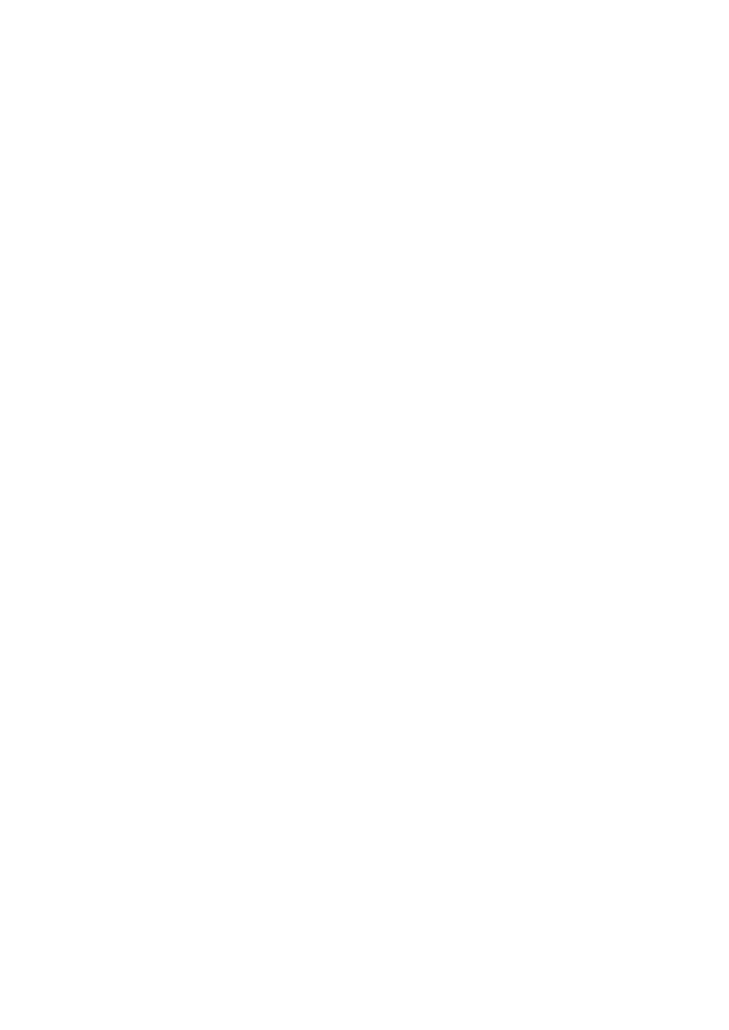| 1330 | 28281112113242 | PAYEL SUTRADHAR            | 93 |
|------|----------------|----------------------------|----|
| 1331 | 26201212108376 | <b>ANURUPA SHIL</b>        | 93 |
| 1332 | 26033112110013 | <b>BISWANATH TRIPURA</b>   | 93 |
| 1333 | 27111112111321 | SOMA CHANDA                | 93 |
| 1334 | 23191212104309 | RINKU RUDRA PAUL           | 93 |
| 1335 | 21011112100010 | <b>TAPATI PAUL</b>         | 93 |
| 1336 | 28331212113600 | <b>SOURAV DHAR</b>         | 93 |
| 1337 | 21291112100698 | <b>KABERI DHAR</b>         | 93 |
| 1338 | 25152112106907 | <b>JANTU SARKAR</b>        | 93 |
| 1339 | 26181212109245 | <b>JHUMAN MAJUMDER</b>     | 93 |
| 1340 | 26211212108790 | <b>TRISHNA SARKAR</b>      | 93 |
| 1341 | 24022112104613 | <b>ROHAN DAS</b>           | 93 |
| 1342 | 23231112104402 | <b>ANKITA PAUL</b>         | 93 |
| 1343 | 24122112105663 | <b>RAJIB DAS</b>           | 93 |
| 1344 | 27111212111285 | <b>NIRMAL PAUL</b>         | 93 |
|      |                |                            |    |
| 1345 | 28661212114964 | <b>MADHURIMA DE</b>        | 93 |
| 1346 | 28661112115091 | ALAKANANDA DEBNATH         | 93 |
| 1347 | 25191112107657 | SADDAM HOSSAIN             | 93 |
| 1348 | 27051212110662 | <b>NITAI GHOSH</b>         | 93 |
| 1349 | 28061212111667 | <b>JIBAN DEBNATH</b>       | 93 |
| 1350 | 26211212108686 | DIGANTA DATTA              | 93 |
| 1351 | 23061212103798 | <b>SUJIT DEBNATH</b>       | 93 |
| 1352 | 26012112109895 | <b>BIJOY DAS</b>           | 93 |
| 1353 | 24041212105076 | <b>SWARUPA DHAR</b>        | 93 |
| 1354 | 26231112108917 | <b>HARADHAN BISWAS</b>     | 93 |
| 1355 | 27051112110678 | PUJA DATTA                 | 93 |
| 1356 | 28161112112940 | PRIYANKA SAHA              | 93 |
| 1357 | 27031212110524 | MAHANAB BHATTACHARJEE      | 93 |
| 1358 | 25061212106492 | <b>SUBRATA BHOWMIK</b>     | 93 |
| 1359 | 23061112103786 | <b>BANTI DAS</b>           | 93 |
| 1360 | 28331212113523 | <b>PUJA BHOWMIK</b>        | 93 |
| 1361 | 26212112108788 | <b>MITAN DAS</b>           | 93 |
| 1362 | 26211112108694 | SUBRATA BISWAS             | 93 |
| 1363 | 28093112111719 | RAJ KUMAR DEBBARMA         | 93 |
| 1364 | 22041212101420 | PRASENJIT DEB CHOWDHURY    | 93 |
| 1365 | 25123112106635 | <b>BIJAYA DEBBARMA</b>     | 93 |
| 1366 | 28331112113505 | PUNAM LODH                 | 93 |
| 1367 | 23192212104302 | <b>DIPANKAR DAS</b>        | 93 |
| 1368 | 24041112105171 | SATYAJIT DEBNATH           | 93 |
| 1369 | 28661212115237 | SANGHITA SOM               | 93 |
| 1370 | 25192112107492 | DIPANKAR DAS               | 93 |
| 1371 | 28161212112840 | SARMINDA KHATUN            | 93 |
| 1372 | 28281212113483 | ARJITA CHAKRABARTI         | 93 |
| 1373 | 21291112100787 | <b>KRISHNA DEY</b>         | 93 |
| 1374 | 27051112110677 | JAYEDA BEGAM               | 93 |
|      |                |                            | 93 |
| 1375 | 23131112103944 | PRIYATAM DEB               |    |
| 1376 | 24021212104630 | <b>AVIJIT PAUL</b>         | 93 |
| 1377 | 25051112106127 | LITAN DEBNATH              | 93 |
| 1378 | 22071112102287 | PRIYA DEBNATH              | 93 |
| 1379 | 28451212114436 | ARABINDA DASGUPTA          | 93 |
| 1380 | 24121212105694 | ANUPAMA DEBNATH            | 93 |
| 1381 | 28331212113828 | SRIPARNA SHYAM             | 93 |
| 1382 | 26191212109492 | <b>ABHIJIT DEY</b>         | 93 |
| 1383 | 25201112107803 | SAHAJAN MIAH               | 93 |
| 1384 | 22151112102896 | <b>MANISHA CHAKRABORTY</b> | 93 |
| 1385 | 26232112108915 | <b>MANOJ NAMA</b>          | 93 |
| 1386 | 23132212103892 | PRITI RANI NAMA            | 93 |
| 1387 | 28421112114117 | RUMA DEBNATH               | 93 |
| 1388 | 25152112107180 | <b>RAKESH DAS</b>          | 93 |
| 1389 | 24031212104968 | <b>TANIA KHANAM</b>        | 93 |
| 1390 | 26231212108911 | DEBASMITA BASAK            | 93 |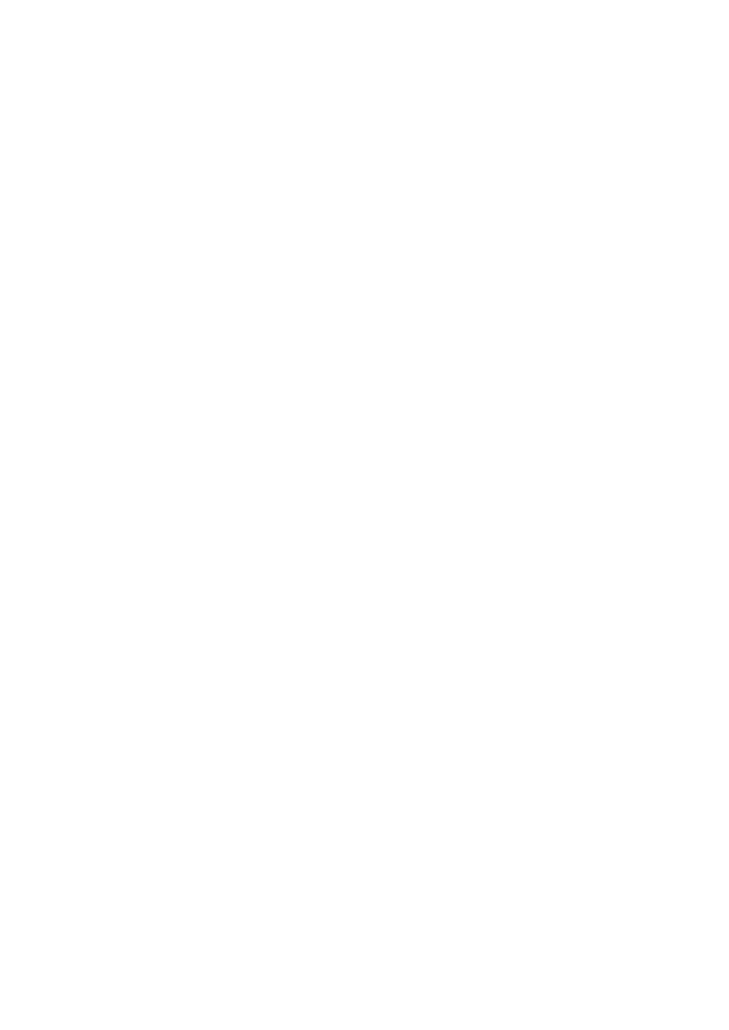| 1391 | 22151112102784 | NITYANANDA DEBNATH          | 93 |
|------|----------------|-----------------------------|----|
| 1392 | 25051112106103 | ARPAN KARMAKAR              | 93 |
| 1393 | 24021212104526 | <b>MD JAKIR HUSSEN</b>      | 93 |
| 1394 | 28281212113188 | SANGITA DATTA               | 93 |
| 1395 | 22152112102683 | <b>SUKANTA DAS</b>          | 93 |
| 1396 | 24051112105193 | PULAK GOSWAMI               | 93 |
| 1397 | 23053122103644 | ARABINDU DEBBARMA           | 93 |
| 1398 | 24051112105185 | <b>SUSMITA NAG</b>          | 93 |
| 1399 | 24031112104860 | AMBIA BEGAM                 | 93 |
| 1400 | 26171212109124 | SUDIPTA DEBNATH             | 93 |
| 1401 | 24121212105798 | SIDHARTHA BISWAS            | 93 |
| 1402 | 25161112107218 | <b>MOUSAMI DEBNATH</b>      | 93 |
| 1403 | 25151112106878 | <b>SHANTI DEY</b>           | 93 |
| 1404 | 24082212105375 | <b>RUPALI NAMA</b>          | 93 |
| 1405 | 25192112107359 | SAM JIT SARKAR              | 93 |
| 1406 | 24081112105489 | <b>SUSMITA NATH</b>         | 93 |
| 1407 | 24051112105250 | PUJA RANI DEY               | 93 |
|      |                |                             |    |
| 1408 | 25202212107785 | <b>RUPALI DAS</b>           | 93 |
| 1409 | 25191212107502 | <b>BINAY DEY</b>            | 93 |
| 1410 | 24031112104749 | <b>MADHUMITA ROUTH</b>      | 93 |
| 1411 | 26211112108620 | <b>SUSMITA SAHA</b>         | 93 |
| 1412 | 28151112112687 | PAMPA DEBNATH               | 93 |
| 1413 | 26211212108745 | SAGAR ACHARJEE              | 93 |
| 1414 | 28601112114820 | MUTAHIR AHAMED KHADIM       | 93 |
| 1415 | 28151112112550 | RUMPA DEBNATH               | 93 |
| 1416 | 27103112111066 | RUDHAN CHAKMA               | 93 |
| 1417 | 21292112100830 | PAPRI MALAKAR               | 93 |
| 1418 | 26211112108626 | <b>BARNALI CHAKARABORTY</b> | 93 |
| 1419 | 24031112104797 | <b>MOUSAMI DEBNATH</b>      | 93 |
| 1420 | 25211112108041 | SAHIDA AKTAR                | 93 |
| 1421 | 23131112103898 | <b>MOUSHUMI PAUL</b>        | 93 |
| 1422 | 24122112105703 | ANURUPA MALAKAR             | 93 |
| 1423 | 24122112105702 | <b>MOUSUMI DAS</b>          | 93 |
| 1424 | 28661112115112 | <b>SUSMITA CHAKRABORTY</b>  | 93 |
| 1425 | 27101112111189 | PAYEL KAR                   | 93 |
| 1426 | 23191112104354 | <b>SMITA SEN</b>            | 93 |
| 1427 | 23061112103814 | PRASANTA MODAK              | 92 |
| 1428 | 28282112113355 | <b>SANJIT DAS</b>           | 92 |
| 1429 | 28662112115037 | APARNA BISWAS               | 92 |
| 1430 | 22151212102915 | <b>GOPESH PAUL</b>          | 92 |
| 1431 | 23041112103591 | RANJIT GOPE                 | 92 |
| 1432 | 21291112100820 | <b>MAHUYA PAUL DEB</b>      | 92 |
| 1433 | 27031112110537 | SASWATI CHAKRABORTY         | 92 |
| 1434 | 24021112104647 | <b>MALINA DEBNATH</b>       | 92 |
| 1435 | 25051212106239 | <b>MANIK DEBNATH</b>        | 92 |
| 1436 | 25061112106329 | <b>BISHNU DEB</b>           | 92 |
| 1437 | 24121212105706 | RATISH DEBNATH              | 92 |
| 1438 | 26061112110349 | SAMPA GHOSH MUHURI          | 92 |
| 1439 | 28331112113872 | PARAMITA DATTA              | 92 |
| 1440 | 28671112115507 | ASHIM KUMAR SHIL            | 92 |
| 1441 | 25152112107129 | <b>GOUTAM DAS</b>           | 92 |
| 1442 | 23191112104333 | PRANTOSH DEY                | 92 |
| 1443 | 26231112108926 | <b>MUNMUN BAIDYA</b>        | 92 |
| 1444 | 27061112110740 | <b>SUTAPA SINHA</b>         | 92 |
| 1445 | 28161112112945 | SUSMITA CHAKRABORTY         | 92 |
| 1446 | 22151112102918 | PANCHALI DEB                | 92 |
| 1447 | 23191212104294 | ANUP KUMAR SARKAR           | 92 |
|      |                |                             |    |
| 1448 | 22061212101752 | SHYAMA PRASAD DEBNATH       | 92 |
| 1449 | 25212112107887 | <b>JHULAN BARMAN</b>        | 92 |
| 1450 | 28331112113524 | <b>PINKI SHIL</b>           | 92 |
| 1451 | 24121112105705 | <b>SHANTA BHOWMIK</b>       | 92 |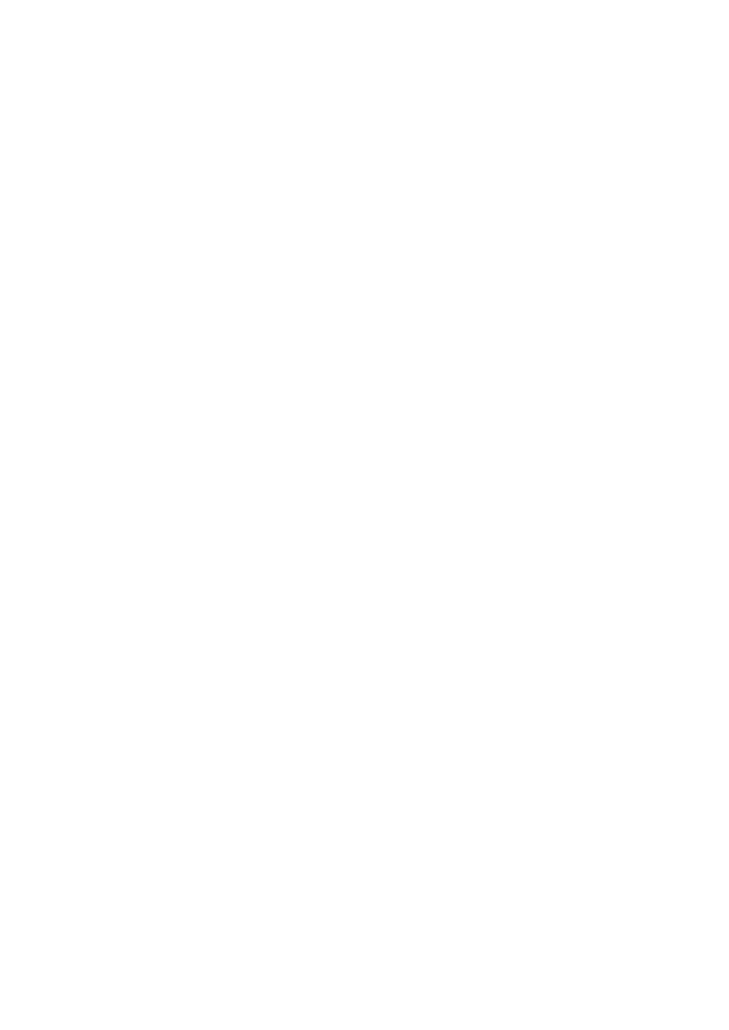| 1452 | 22041112101431 | DIPANKAR ACHARJEE        | 92 |
|------|----------------|--------------------------|----|
| 1453 | 28602112114648 | <b>MOUSUMI DAS</b>       | 92 |
| 1454 | 28162112112893 | <b>BISWAJIT DAS</b>      | 92 |
| 1455 | 23231112104463 | PANKAJ DEBNATH           | 92 |
| 1456 | 21011112100049 | LIPIKA DEBNATH           | 92 |
| 1457 | 23143122104116 | APUL DEBBARMA            | 92 |
| 1458 | 27101112111206 | <b>SURAJIT SUTRADHAR</b> | 92 |
| 1459 | 26011112109765 | SUMITA DEBNATH           | 92 |
| 1460 | 23021212103100 | <b>SUSMITA RANI KAR</b>  | 92 |
| 1461 | 27064112110881 | MD FARUK AHMED           | 92 |
| 1462 | 28151112112696 | MUKTA CHAKRABORTY        | 92 |
| 1463 | 28331112113756 | PUJA BAGCHI              | 92 |
|      |                |                          |    |
| 1464 | 25152112106978 | <b>NARENDRA DAS</b>      | 92 |
| 1465 | 26193112109520 | <b>AMIT TRIPURA</b>      | 92 |
| 1466 | 27101112111034 | RAJIB DEBNATH            | 92 |
| 1467 | 28422112114289 | PIYALI DAS               | 92 |
| 1468 | 28103122112324 | MOUSAMI DEBBARMA         | 92 |
| 1469 | 28161112112929 | <b>JAYATI GHOSH</b>      | 92 |
| 1470 | 28421112114237 | <b>SUSMITA MAJUMDER</b>  | 92 |
| 1471 | 28061112111411 | <b>MOUSUMI BANIK</b>     | 92 |
| 1472 | 23034112103415 | <b>HARISH DEB</b>        | 92 |
| 1473 | 26011112109707 | PRASENJIT DATTA          | 92 |
| 1474 | 26191112109587 | <b>BAPPI DATTA</b>       | 92 |
| 1475 | 22071112102192 | TITURAM CHAKRABORTY      | 92 |
| 1476 | 26232112108836 | <b>AMAR DAS</b>          | 92 |
| 1477 | 28331112113693 | RASHMI SAHA              | 92 |
| 1478 | 27061112110871 | MOJAHID ALI              | 92 |
| 1479 | 26231212108924 | MOUSUMI DEBNATH          | 92 |
| 1480 | 26201112108266 | <b>MITAN PAUL</b>        | 92 |
| 1481 | 22151112102924 | SARBANI DEB              | 92 |
| 1482 | 28421112113992 | ARJUN DEBNATH            | 92 |
| 1483 | 21063122100258 | <b>TAYEL TRIPURA</b>     | 92 |
| 1484 | 25061112106528 | PINTU DEBNATH            | 92 |
| 1485 | 26011112109751 | RAJIB DEBNATH            | 92 |
| 1486 | 21061112100262 | <b>PRABIR ROY</b>        | 92 |
| 1487 | 23033122103390 | ALIOM DEBBARMA           | 92 |
|      |                |                          |    |
| 1488 | 27062112110799 | <b>TAMAL DAS</b>         | 92 |
| 1489 | 22101212102632 | PRASENJIT DEY            | 92 |
| 1490 | 26202112108184 | SAMIR MAJUMDER           | 92 |
| 1491 | 25051112105986 | <b>SUJIT GIRI</b>        | 92 |
| 1492 | 28161112112965 | PURNIMA NATH             | 92 |
| 1493 | 28332212113780 | <b>BISWAJIT DAS</b>      | 92 |
| 1494 | 26031112110087 | <b>MITHUN DATTA</b>      | 92 |
| 1495 | 25211112108047 | SAHINA AKTER             | 92 |
| 1496 | 25123112106837 | PINTU DEBBARMA           | 92 |
| 1497 | 28161112113086 | SWETAPARNA DEY           | 92 |
| 1498 | 22062112101984 | <b>KAMAL DAS</b>         | 92 |
| 1499 | 23041112103581 | <b>ABHIJIT DEBNATH</b>   | 92 |
| 1500 | 28331112113827 | ABUL KALAM               | 92 |
| 1501 | 28101112112131 | <b>MAMPI RUDRA PAUL</b>  | 92 |
| 1502 | 22061112101959 | NABANITA ACHARJEE        | 92 |
| 1503 | 21271112100630 | <b>MADHABI DEB</b>       | 92 |
| 1504 | 23141112104158 | PRIYANKA DE              | 92 |
| 1505 | 25041212105968 | <b>BANITA DAS</b>        | 92 |
| 1506 | 22061112102014 | SHARMIN RAJ              | 92 |
| 1507 | 23031112103489 | ARABINDA DEBNATH         | 92 |
| 1508 | 28661112115141 | <b>RUMA RANI PAUL</b>    | 92 |
|      |                |                          |    |
| 1509 | 26061112110282 | SUMITRA CHAKRABORTY      | 92 |
| 1510 | 28281112113182 | PRIYATAMA BANIK          | 92 |
| 1511 | 23142112104102 | PRANAB DAS               | 92 |
| 1512 | 28421112114284 | PINTU SUTRADHAR          | 92 |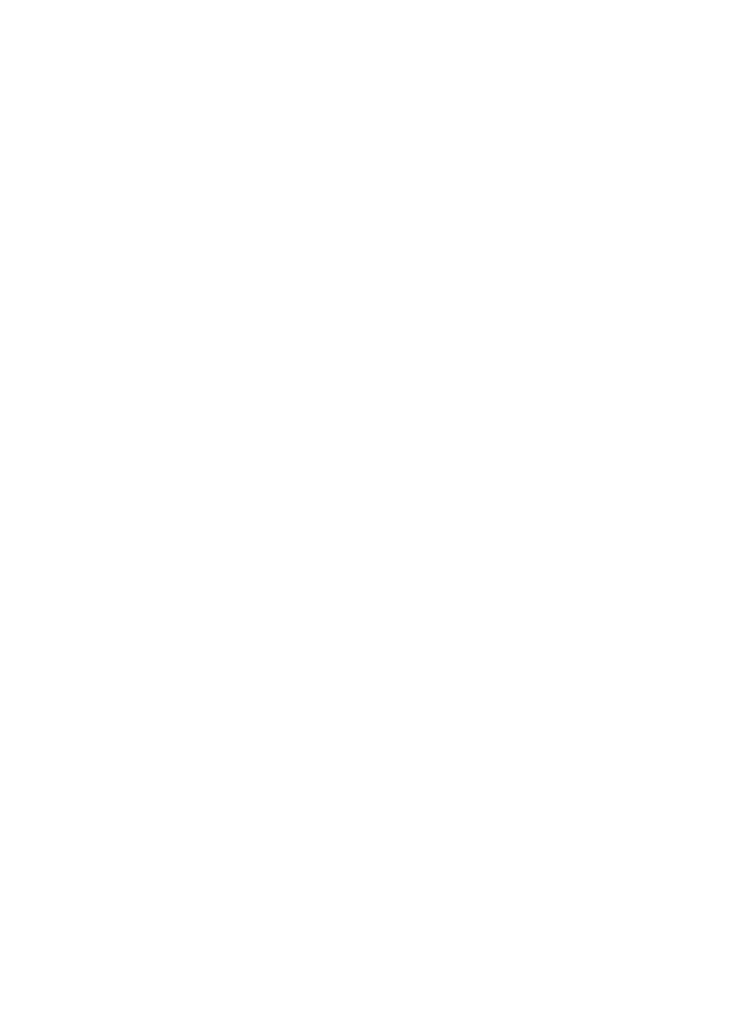| 1513 | 25062112106430 | <b>BISWAJIT SARKAR</b>   | 92 |
|------|----------------|--------------------------|----|
| 1514 | 28421112114229 | <b>BHABANI GHATAK</b>    | 92 |
| 1515 | 24081112105392 | SHEKHAR DEB              | 92 |
| 1516 | 25062112106516 | <b>BISHNU SUKLA DAS</b>  | 92 |
| 1517 | 23022112103049 | <b>BISWAJIT BISWAS</b>   | 92 |
| 1518 | 22041112101172 | <b>SUSMITA DEBNATH</b>   | 92 |
| 1519 | 22071112102111 | RABI ULLA MIA PODDER     | 92 |
| 1520 | 25062212106540 | DIPIKA DAS               | 92 |
| 1521 | 23052212103651 | SIBU DAS                 | 92 |
| 1522 | 25191112107435 | <b>NABAB SARIF</b>       | 92 |
| 1523 | 22061112101962 | PUJA BAIDYA              | 92 |
|      |                |                          |    |
| 1524 | 28332112113632 | <b>GOUTAM DAS</b>        | 92 |
| 1525 | 22151112102785 | <b>TANUSREE DEY</b>      | 92 |
| 1526 | 25151212106957 | <b>CHINU BEGAM</b>       | 92 |
| 1527 | 28103122112328 | ANIMA DEBBARMA           | 92 |
| 1528 | 25191112107489 | JAHANGIR HOSSAIN         | 92 |
| 1529 | 25051112106021 | <b>FAIJUR RAHAMAN</b>    | 92 |
| 1530 | 28091112111713 | <b>MARAN SUTRADHAR</b>   | 92 |
| 1531 | 21291112100790 | SHIMUL DEBNATH           | 92 |
| 1532 | 23021112103124 | SHYAMAL PAUL             | 92 |
| 1533 | 21172212100387 | <b>SUSMITA DAS</b>       | 92 |
| 1534 | 25191112107334 | RAHIMA AKTAR             | 92 |
| 1535 | 26211112108508 | <b>SUSMITA MAJUMDER</b>  | 92 |
| 1536 | 26031112110115 | <b>TAMAL DEBNATH</b>     | 92 |
| 1537 | 23031112103362 | SANGHITA ROY CHOWDHURY   | 92 |
| 1538 | 28331112113514 | SAMARPITA SEN            | 92 |
| 1539 | 23143122104173 | PALASH DEBBARMA          | 92 |
| 1540 | 25061112106323 | RUBEL ALAM               | 92 |
| 1541 | 28662112115174 | <b>JOYDEB SARKAR</b>     | 92 |
| 1542 | 26181212109311 | <b>MANOJ SAHA</b>        | 92 |
| 1543 | 25211212107896 | SAHIDUL ISLAM            | 92 |
| 1544 | 28601212114750 | ANINDITA SARKAR          | 92 |
| 1545 | 28101112112156 | PEULI MAJUMDER           | 92 |
| 1546 | 23133122103884 | <b>SIMEON HRANGKHAWL</b> | 92 |
| 1547 | 25123122106640 | <b>SANJOY DEBBARMA</b>   | 92 |
| 1548 | 25041112105956 | PAYEL DAS                | 92 |
|      |                |                          | 92 |
| 1549 | 28602112114803 | SOURAV DAS               |    |
| 1550 | 25041112105857 | SWARNALATA RUDRA PAUL    | 92 |
| 1551 | 21083112101105 | <b>BABITA DEBBARMA</b>   | 92 |
| 1552 | 28061112111694 | NAMITA DEBNATH           | 92 |
| 1553 | 27061112110785 | <b>ABUL HUSEN</b>        | 92 |
| 1554 | 24031112104822 | <b>DEBAJYOTI GUPTA</b>   | 92 |
| 1555 | 25191212107341 | <b>DIBAKAR GHOSH</b>     | 92 |
| 1556 | 24051212105334 | <b>BIMAN PAUL</b>        | 92 |
| 1557 | 26011212109922 | <b>MAMUN BAIDYA</b>      | 92 |
| 1558 | 23041112103546 | <b>SUJIT DEBNATH</b>     | 92 |
| 1559 | 27051112110636 | SHELIMA BEGAM            | 92 |
| 1560 | 27103112111127 | AMENDRA DEBBARMA         | 92 |
| 1561 | 28421212114212 | NITESH KUMAR BHOWMIK     | 92 |
| 1562 | 25191212107636 | SAKIL AHAMED             | 92 |
| 1563 | 26201112108301 | <b>DEBASISH PAUL</b>     | 92 |
| 1564 | 22061112102004 | PRIYANKA BAIDYA          | 92 |
| 1565 | 26212112108569 | <b>SUBRATA DAS</b>       | 92 |
| 1566 | 23142212104046 | <b>SUBHAM DAS</b>        | 92 |
| 1567 | 28061212111643 | MOUMITA BHATTACHARJEE    | 92 |
| 1568 | 28284112113265 | <b>DEBASHIS GOSWAMI</b>  | 92 |
| 1569 | 22152112102827 | <b>SUJIT DAS</b>         | 92 |
|      | 25151112107043 |                          | 92 |
| 1570 |                | <b>NASRIN AKTER</b>      |    |
| 1571 | 24022112104598 | PUSPANJALI DAS           | 92 |
| 1572 | 26171212109194 | <b>OMKAR DEBNATH</b>     | 92 |
| 1573 | 24031212104935 | <b>SAWLI NANDI</b>       | 92 |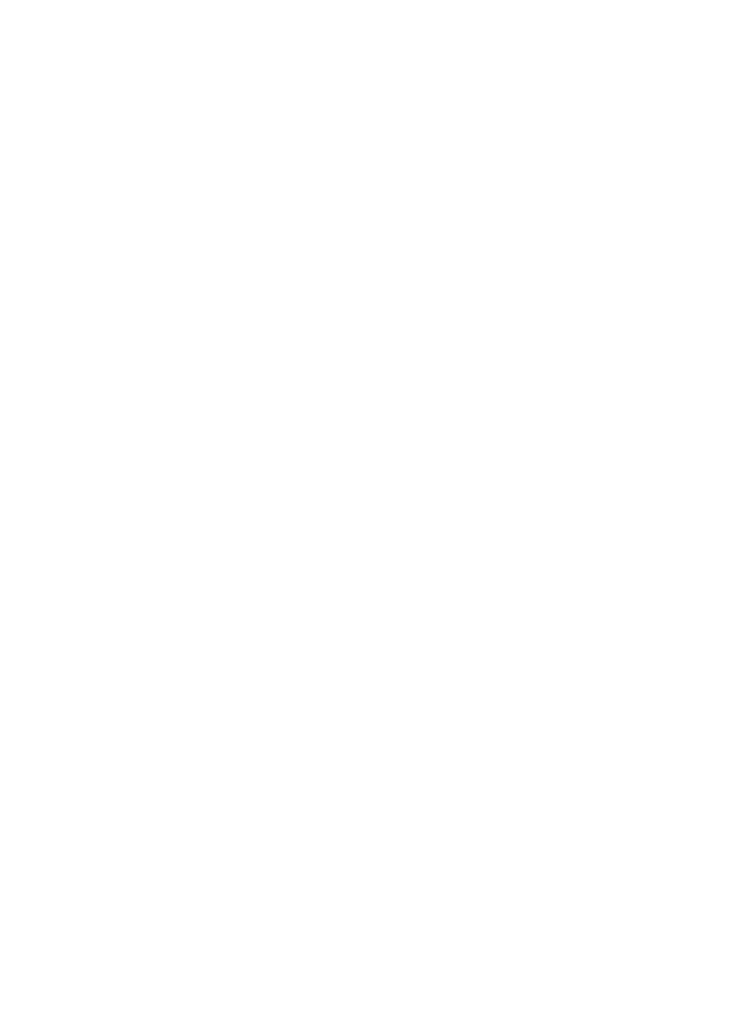| 1574 | 28331112113675 | MINAKSHI BANIK            | 92 |
|------|----------------|---------------------------|----|
| 1575 | 28671112115405 | <b>SUPARNA DEBNATH</b>    | 92 |
| 1576 | 28151112112700 | PRASENJIT DEB             | 92 |
| 1577 | 28421112114021 | <b>SUMAN BANIK</b>        | 92 |
| 1578 | 21081112100973 | <b>SUBHASISH ROY</b>      | 92 |
| 1579 | 24081112105393 | <b>DURBA DEY</b>          | 92 |
| 1580 | 25151212107141 | DEBASMITA CHAKRABORTY     | 92 |
| 1581 | 25152112107155 | PRASENJIT DAS             | 92 |
| 1582 | 23021112103077 | <b>GOUTAM DEBNATH</b>     | 92 |
| 1583 | 23031112103302 | <b>SAGAR PAUL</b>         | 92 |
| 1584 | 23061212103785 | SUBHANKAR DEB.            | 92 |
|      |                |                           |    |
| 1585 | 27051112110621 | RUKIA BEGAM               | 92 |
| 1586 | 23021112102950 | DEEPJOY DEB               | 92 |
| 1587 | 28661212115083 | SNEHASISH SAHA            | 92 |
| 1588 | 23131112103830 | POWSHALI DEB              | 92 |
| 1589 | 22071112102272 | ASHIM MAJUMDER            | 92 |
| 1590 | 24041112105103 | UTSARGA SINGHA            | 92 |
| 1591 | 28661112115085 | PUJA DEBNATH              | 92 |
| 1592 | 22101212102553 | <b>MANJIL HOSSAIN</b>     | 92 |
| 1593 | 26191112109596 | <b>DEEPRAJ PATARI</b>     | 92 |
| 1594 | 25151112107137 | <b>BIDHAN SUTRADHAR</b>   | 92 |
| 1595 | 22101212102476 | <b>INDRANIL DEY</b>       | 92 |
| 1596 | 26211112108739 | <b>SUCHITRA PAL</b>       | 92 |
| 1597 | 25051112106253 | RIMA SARKAR               | 92 |
| 1598 | 22101112102495 | ASHISH SARKAR             | 92 |
| 1599 | 25152112106928 | PURNIMA DAS               | 92 |
| 1600 | 26191112109444 | <b>SUSMITA DEY</b>        | 92 |
| 1601 | 27101112110954 | <b>TULSI DEB</b>          | 92 |
| 1602 | 23021212103188 | SALALIKA CHAKRABORTY      | 92 |
| 1603 | 27031112110419 | PARBINA BEGAM             | 92 |
| 1604 | 23231212104382 | <b>RIPA DEB</b>           | 92 |
| 1605 | 23041112103551 | <b>SUTAP DEB</b>          | 92 |
| 1606 | 21171212100441 | <b>ASHIM CHAKRABORTY</b>  | 92 |
| 1607 | 24121112105621 | <b>SUMEN PAUL</b>         | 92 |
| 1608 | 23231112104431 | NANDITA KARMAKAR          | 92 |
| 1609 | 24041212105028 | PURABI DEBNATH            | 92 |
|      |                |                           | 92 |
| 1610 | 26191212109471 | SEKHAR NATH               |    |
| 1611 | 21012212100003 | AJOY DAS                  | 92 |
| 1612 | 26211212108593 | SHUBHRAJIT DATTA          | 92 |
| 1613 | 28451112114434 | PRATIMA BHATTACHARJEE     | 91 |
| 1614 | 25192112107662 | KRISHNA KAMAL DAS         | 91 |
| 1615 | 22062112101911 | <b>NANTU DAS</b>          | 91 |
| 1616 | 28091112112074 | <b>JHUMA CHOUDHURY</b>    | 91 |
| 1617 | 28601212114754 | RAJIB SARKAR              | 91 |
| 1618 | 21232112100555 | JOYDEB DAS                | 91 |
| 1619 | 22151112102911 | ALAKA DAS                 | 91 |
| 1620 | 28281112113323 | SARATHI DEBNATH           | 91 |
| 1621 | 22061112101983 | SAMAR BANDA               | 91 |
| 1622 | 26231112108957 | <b>TAPAN DEBNATH</b>      | 91 |
| 1623 | 24041112105155 | <b>TAMASREE DEY</b>       | 91 |
| 1624 | 25051112106092 | DHANANJOY GOPE            | 91 |
| 1625 | 26211112108482 | MUNMUN DATTA              | 91 |
| 1626 | 24021212104649 | ASHIMA DEB                | 91 |
| 1627 | 26191112109409 | NANTU ACHARJEE            | 91 |
| 1628 | 23042112103564 | <b>NABIN BARAN DAS</b>    | 91 |
| 1629 | 28662112115194 | <b>GANESH BEPARI</b>      | 91 |
| 1630 | 22102112102444 | <b>APARNA DAS</b>         | 91 |
| 1631 | 24042112105123 | <b>SUJIT DAS</b>          | 91 |
| 1632 | 21231112100566 | <b>DIPTI SINGHA</b>       | 91 |
|      |                | <b>CHUMKI DEY</b>         | 91 |
| 1633 | 26181112109309 |                           |    |
| 1634 | 22071112102114 | <b>MANIKA CHAKRABORTY</b> | 91 |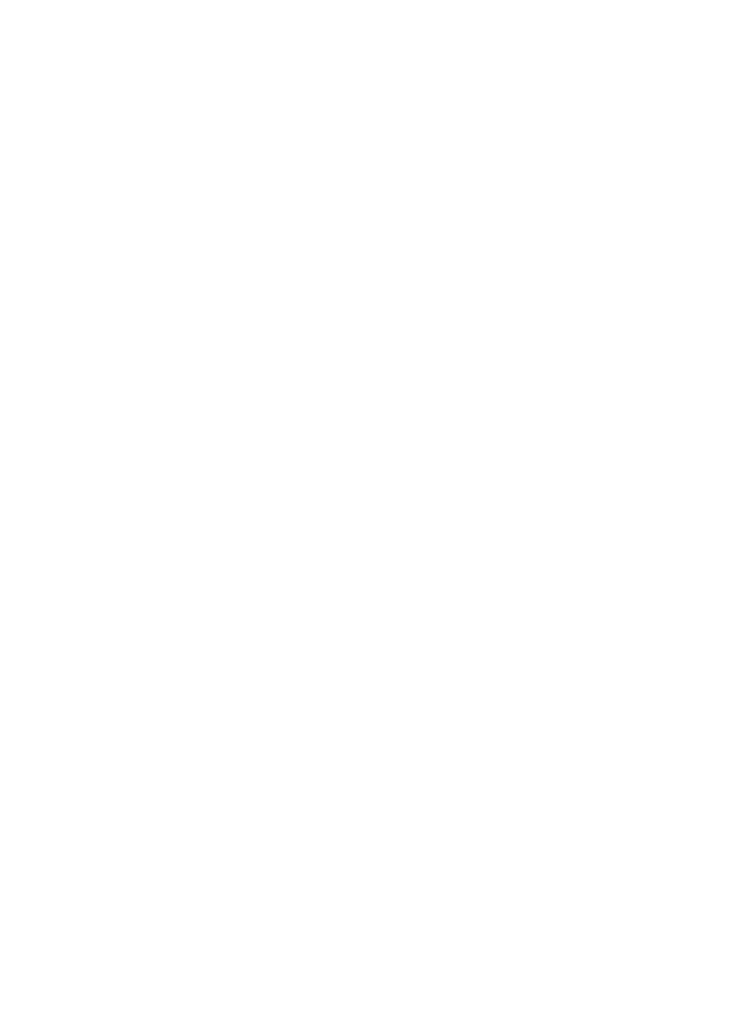| 1635 | 28091112112002 | <b>MANAS DATTA</b>          | 91 |
|------|----------------|-----------------------------|----|
| 1636 | 28671212115423 | PRASANTA GUHA               | 91 |
| 1637 | 27101212111131 | <b>SUBRATA DEY</b>          | 91 |
| 1638 | 28661212114963 | <b>SUSMITA BANERJEE</b>     | 91 |
| 1639 | 25201112107882 | <b>ABU TAHER</b>            | 91 |
| 1640 | 22073112102204 | <b>NAMITA TRIPURA</b>       | 91 |
| 1641 | 26201212108229 | RAKHI DEBNATH               | 91 |
| 1642 | 21081112100994 | SWARUP KANTI SINGHA         | 91 |
| 1643 | 28101112112269 | <b>SUNANDA PAUL BHAUMIK</b> | 91 |
| 1644 | 26211212108767 | <b>RAKHI PAL</b>            | 91 |
| 1645 | 21291112100806 | <b>TAMPHA SINGHA</b>        | 91 |
| 1646 | 26211112108674 | SOMA ROY                    | 91 |
| 1647 | 24021212104601 | PRANAB SINHA                | 91 |
| 1648 | 27051112110573 | RIKTA BEGAM                 | 91 |
| 1649 | 28281112113357 | <b>UDAYAN DEBNATH</b>       | 91 |
| 1650 | 26061112110269 | <b>HARIDAS MAJUMDER</b>     | 91 |
| 1651 | 28101112112138 | <b>UTTAM DEBNATH</b>        | 91 |
| 1652 | 28661112115168 | RUCHIRA BHATTACHARJEE       | 91 |
| 1653 | 26193112109512 | <b>UMESH TRIPURA</b>        | 91 |
| 1654 |                |                             |    |
|      | 28153122112727 | <b>BALARAM DEBBARMA</b>     | 91 |
| 1655 | 22071112102205 | <b>JOYSHREE BHADRA</b>      | 91 |
| 1656 | 22072112102191 | <b>PAPAN DAS</b>            | 91 |
| 1657 | 26211112108752 | DEEGANTH SAHA               | 91 |
| 1658 | 21062112100135 | RATAN LAL DAS               | 91 |
| 1659 | 26031112110142 | RAJIB BISWAS                | 91 |
| 1660 | 27102112111208 | <b>SUJAN SARKAR</b>         | 91 |
| 1661 | 22101112102486 | PARTHA RANJAN SHIL          | 91 |
| 1662 | 26201112108383 | RONI DEBNATH                | 91 |
| 1663 | 24081112105400 | SAMPA RANI DEBNATH          | 91 |
| 1664 | 26212112108610 | <b>TAMAL SARKAR</b>         | 91 |
| 1665 | 23021112103154 | <b>BIJOY NATH SARMA</b>     | 91 |
| 1666 | 28151112112676 | <b>SUMAN DEY</b>            | 91 |
| 1667 | 28101112112199 | <b>TANMAY DEBNATH</b>       | 91 |
| 1668 | 25192112107433 | <b>JHUTAN SARKAR</b>        | 91 |
| 1669 | 25151112106905 | NITAI DEBNATH               | 91 |
| 1670 | 23032112103425 | ASHIT SUKLA BAIDYA          | 91 |
| 1671 | 25191112107467 | <b>NACHIR UDDIN</b>         | 91 |
| 1672 | 22071112102313 | DIPA MAJUMDER NANDI         | 91 |
| 1673 | 28661112115019 | ANAMIKA ROY                 | 91 |
| 1674 | 23141112104026 | DEBABRATA SINGHA ROY        | 91 |
| 1675 | 28092112112025 | PULITY NAMA                 | 91 |
| 1676 | 23192112104326 | PRASENJIT BHOWMIK           | 91 |
| 1677 | 23131112103916 | PUJA BISWAS                 | 91 |
| 1678 | 28281212113275 | <b>BARNALI DEB</b>          | 91 |
| 1679 | 25212112108003 | AJIT DAS                    | 91 |
| 1680 | 26031112110185 | SUPRIYA DATTA               | 91 |
| 1681 | 28331112113581 | SONALI ROY                  | 91 |
| 1682 | 28281112113258 | PRANAB DEBNATH              | 91 |
| 1683 | 28331212113971 | SUSHAMA DEBNATH             | 91 |
| 1684 | 28101112112121 | ASHIS DEBNATH               | 91 |
| 1685 | 28601112114883 | PARTHA BAISHNAB             | 91 |
| 1686 | 28161112112839 | AMIT DEBNATH                | 91 |
| 1687 | 23031112103248 | SUBRATA BHATTACHARJEE       | 91 |
| 1688 | 28331212113613 | SUPARNA ADHIKARI            | 91 |
| 1689 | 24041112105096 | JAYBRATA DEBNATH            | 91 |
| 1690 | 22053112101634 | AMALJOY REANG               | 91 |
| 1691 | 23231112104466 | <b>RIPAN DATTA</b>          | 91 |
| 1692 | 22103112102532 | NAKSHATRA ROY JAMATIA       | 91 |
| 1693 | 25061112106317 | SWAPNA BEGAM                | 91 |
| 1694 | 21061212100153 | UTPAL DATTA                 | 91 |
| 1695 | 25211112107911 | PAYEL KAR                   | 91 |
|      |                |                             |    |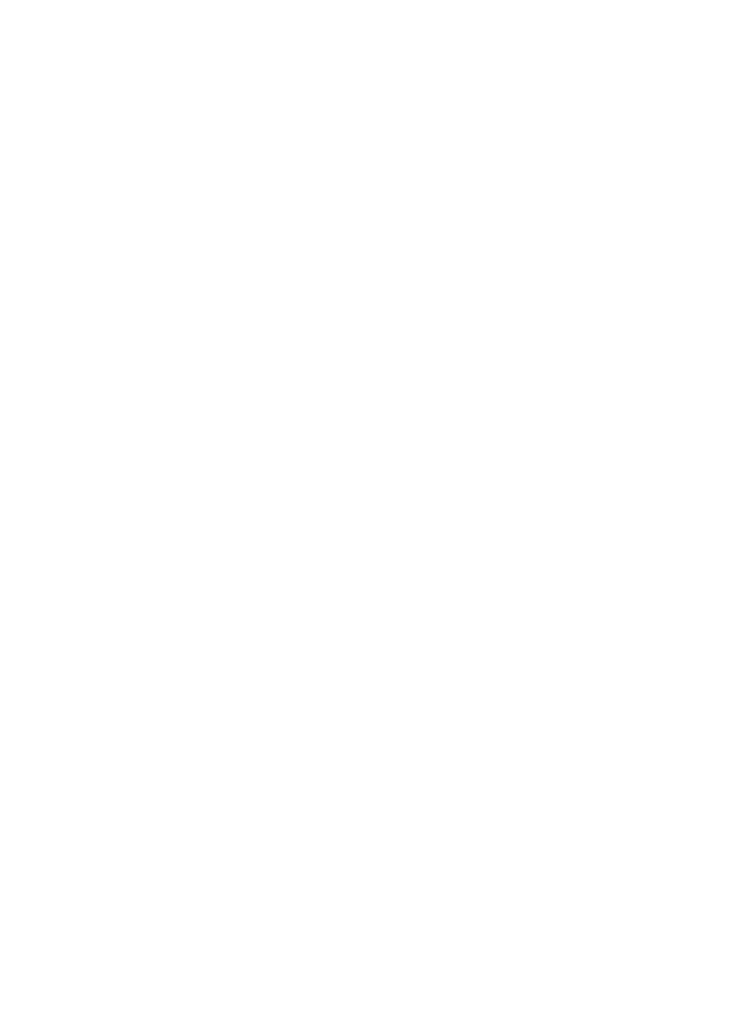| 1696 | 21013112100070 | PAMUL DEBBARMA                     | 91 |
|------|----------------|------------------------------------|----|
| 1697 | 25151112106947 | <b>NAZRUL ISLAM</b>                | 91 |
| 1698 | 22042112101273 | <b>TRIPTI DAS</b>                  | 91 |
| 1699 | 24041112105071 | PRIYANKA SINHA                     | 91 |
| 1700 | 24121112105690 | <b>BANANI PAUL</b>                 | 91 |
| 1701 | 23133122103930 | MADHU MALATI JAMATIA               | 91 |
| 1702 | 23022112103135 | <b>GOUTAM NAMA SUDRA</b>           | 91 |
| 1703 | 25201112107842 | <b>MD HANIF</b>                    | 91 |
| 1704 | 28062112111470 | <b>JANTO DAS</b>                   | 91 |
| 1705 | 26031212110126 | ATANU KARMAKAR                     | 91 |
| 1706 | 28092112111897 | SHYAMAL SARKAR                     | 91 |
|      |                |                                    |    |
| 1707 | 21171212100329 | DEBABRATA BARMAN                   | 91 |
| 1708 | 27061112110754 | <b>SHAWLY SHARMA</b>               | 91 |
| 1709 | 28151112112573 | <b>MADHUMITA MODAK</b>             | 91 |
| 1710 | 27034112110498 | <b>SUBHAN DEB</b>                  | 91 |
| 1711 | 26191212109509 | <b>JHUMA BANIK</b>                 | 91 |
| 1712 | 23021112103181 | <b>SANDIP BANIK</b>                | 91 |
| 1713 | 28092112111732 | <b>MITAN BISWAS</b>                | 91 |
| 1714 | 26171112109058 | <b>RESHMI DEBNATH</b>              | 91 |
| 1715 | 23023112103206 | BELENTINA DEBBARMA                 | 91 |
| 1716 | 28162212112980 | LITAN DAS                          | 91 |
| 1717 | 21061112100196 | AMIT DEB                           | 91 |
| 1718 | 22071212102220 | <b>RIPAN KAR</b>                   | 91 |
| 1719 | 28151112112552 | <b>SUBHANKAR PAUL</b>              | 91 |
| 1720 | 25152112107145 | <b>KRISHNA DAS</b>                 | 91 |
| 1721 | 28091112112076 | <b>JOYATI RANI DATTA</b>           | 91 |
| 1722 | 28452112114482 | <b>ARUP DEWAN</b>                  | 91 |
| 1723 | 22073112102169 | <b>BIRAJOY REANG</b>               | 91 |
| 1724 | 24051112105254 | PRADIP DEBNATH                     | 91 |
| 1725 | 25041112105943 | MITA DEB                           | 91 |
| 1726 | 23131212103845 | <b>GOPAL SUTRADHAR</b>             | 91 |
| 1727 | 26171212109063 | <b>DIPANKAR SARKAR</b>             | 91 |
| 1728 | 28281112113457 | <b>MANIKA DEBNATH</b>              | 91 |
| 1729 | 21081112101034 | SANATH KUMAR ACHARJEE              | 91 |
| 1730 | 28151212112751 | <b>JHUMA SAHA</b>                  | 91 |
| 1731 | 28452112114472 | <b>MANISH MAJUMDER</b>             | 91 |
|      |                |                                    | 91 |
| 1732 | 28671212115455 | RIMI BASAK<br><b>PRANATI GHOSH</b> |    |
| 1733 | 25191112107652 |                                    | 91 |
| 1734 | 28282112113301 | <b>BIPLAB MALAKAR</b>              | 91 |
| 1735 | 28062112111603 | <b>RAJESH DAS</b>                  | 91 |
| 1736 | 24021112104610 | DEEPSIKHA NATH                     | 91 |
| 1737 | 26171212109166 | PRASANJIT DEBNATH                  | 91 |
| 1738 | 22151112102759 | PARMITA DEBNATH                    | 91 |
| 1739 | 23131112103867 | PRIYA GOPE                         | 91 |
| 1740 | 22051112101474 | RANJIT DEBNATH                     | 91 |
| 1741 | 25061112106410 | SAMPA DEBNATH                      | 91 |
| 1742 | 23023122103035 | LAISA DEBBARMA                     | 91 |
| 1743 | 25151212107067 | <b>MUNNA SAHA</b>                  | 91 |
| 1744 | 21232112100541 | <b>DEBASHREE DAS</b>               | 91 |
| 1745 | 23142112104074 | <b>SUBAL SARKAR</b>                | 91 |
| 1746 | 22061212101839 | SANTANU SAHA                       | 91 |
| 1747 | 28061112111559 | SANJOY GOPE                        | 91 |
| 1748 | 26011112109766 | <b>TANUSREE BISWAS</b>             | 91 |
| 1749 | 25192112107500 | <b>SUDIP DAS</b>                   | 91 |
| 1750 | 26211212108729 | <b>SUMAN DEBNATH</b>               | 91 |
| 1751 | 23192212104218 | <b>SUDIP DAS</b>                   | 91 |
| 1752 | 22051112101562 | <b>SUDIPTA GHOSH</b>               | 91 |
| 1753 | 23061112103740 | PRASENJIT DAS                      | 91 |
| 1754 | 22071112102157 | MOUSUMI DEBNATH                    | 91 |
| 1755 | 26191112109589 | <b>ABHIJIT BHOWMIK</b>             | 91 |
| 1756 | 28331112113739 | SWARNADIP BHATTACHARJEE            | 91 |
|      |                |                                    |    |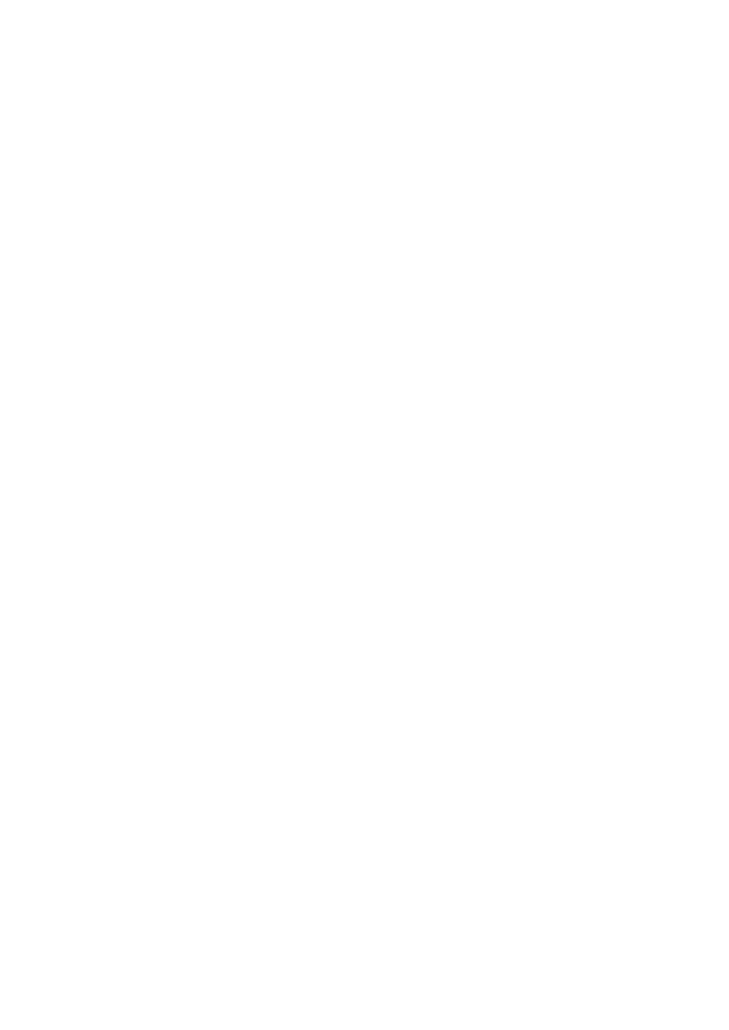| 1757 | 28161112112970 | ROMIT KAR                  | 91 |
|------|----------------|----------------------------|----|
| 1758 | 28162112113170 | <b>ANAMIKA DAS</b>         | 91 |
| 1759 | 26183112109330 | <b>AJOY TRIPURA</b>        | 91 |
| 1760 | 27111112111356 | <b>BULTI SUTRADHAR</b>     | 91 |
| 1761 | 25211212107929 | SUBHANKAR DEBNATH          | 91 |
| 1762 | 28671212115451 | <b>SUKLA DATTA</b>         | 91 |
| 1763 | 25041112105826 | <b>BAPAN DEBNATH</b>       | 91 |
| 1764 | 26201112108417 | ANUSUYA CHAKRABORTY        | 91 |
| 1765 | 25063112106337 | SHIKHA RANI DEBBARMA       | 91 |
| 1766 | 26201212108214 | <b>RUPAK SAHA</b>          | 91 |
| 1767 | 24051212105265 | ANIK BHATTACHARYA          | 91 |
| 1768 | 24081112105389 | <b>ARUP DEBNATH</b>        | 91 |
| 1769 | 28601212114642 | <b>JAYANTI LASKAR</b>      | 91 |
| 1770 | 25051112106102 | <b>AYUB KHAN</b>           | 91 |
| 1771 | 27101112110944 | UTTAM DEBNATH              | 91 |
| 1772 | 26031112110203 | <b>MANILA MAJUMDER</b>     | 91 |
| 1773 | 27113112111300 | SHANTI PRIYO CHAKMA        | 91 |
| 1774 | 27101212111090 | SATHI PAL                  | 91 |
| 1775 | 21012112100075 | <b>BISWAJIT BISWAS</b>     | 91 |
| 1776 | 23141112104058 | <b>JOY NAG</b>             | 91 |
| 1777 | 24041112105025 | SAYED AHMED KHAN           | 91 |
|      |                | PRADIP BHOWMIK             | 91 |
| 1778 | 25061112106421 |                            |    |
| 1779 | 28161112112879 | <b>NURUL HAQUE</b>         | 91 |
| 1780 | 28661112115033 | PAYEL DEB                  | 91 |
| 1781 | 21082112101030 | <b>UTTAM DAS</b>           | 91 |
| 1782 | 22071112102337 | SAPHIKUL ISLAM             | 91 |
| 1783 | 25161112107266 | MD ANOWARUL HAQUE          | 91 |
| 1784 | 25151112106999 | <b>MAKIA KHATUN</b>        | 91 |
| 1785 | 24021212104508 | SWAGATALAXMI ROY           | 91 |
| 1786 | 23021212103150 | <b>SUMANA DEB</b>          | 91 |
| 1787 | 26232112108811 | <b>BIPLAB DAS</b>          | 91 |
| 1788 | 28151212112697 | <b>BIKRAM SAHA</b>         | 91 |
| 1789 | 22052112101734 | DIPA MALAKAR               | 91 |
| 1790 | 28161112113006 | <b>ANIRBAN CHAKRABORTY</b> | 91 |
| 1791 | 25161112107277 | SANJIT GHOSH               | 91 |
| 1792 | 28061112111514 | ANURAG SARKAR              | 91 |
| 1793 | 28421112114067 | SUCHANDA DEY               | 91 |
| 1794 | 27111212111287 | RAJIB DEBNATH              | 91 |
| 1795 | 26201112108227 | <b>PUNAM BISWAS</b>        | 91 |
| 1796 | 26211212108635 | <b>DEBASHISH DEY</b>       | 91 |
| 1797 | 28091112111905 | <b>ANUTAP BANIK</b>        | 91 |
| 1798 | 23141212104003 | ANINDITA DEBNATH           | 91 |
| 1799 | 26211112108723 | <b>SOMEN CHAKRABORTY</b>   | 91 |
| 1800 | 22061112101890 | SAIKAT DATTA               | 91 |
| 1801 | 22062212101940 | <b>BIPASA MAJUMDER</b>     | 91 |
| 1802 | 25151112106910 | SAHAJAN MIAH               | 91 |
| 1803 | 26031112110188 | <b>TUTAN SHIL</b>          | 91 |
| 1804 | 28282212113463 | <b>SUJOY DAS</b>           | 91 |
| 1805 | 26061112110330 | <b>TAMALIKA MAJUMDER</b>   | 91 |
| 1806 | 28153112112628 | MAMATA DEBBARMA            | 91 |
| 1807 | 25192112107609 | <b>CHAYAN DAS</b>          | 91 |
| 1808 | 26201112108385 | AKHI SAHA                  | 91 |
| 1809 | 25204212107865 | RIAJ UDDIN                 | 91 |
| 1810 | 25151112107052 | SUPARNA DEBNATH            | 91 |
| 1811 | 22041112101262 | <b>KRISHNA SAHA</b>        | 91 |
| 1812 | 27101112111113 | <b>RAJESH DEY</b>          | 91 |
| 1813 | 25152112106987 | NIYATI BARMAN              | 91 |
| 1814 | 28331212113875 | <b>RUPA RUDRA PAUL</b>     | 91 |
| 1815 | 28601112114899 | PARAMITA GHOSH             | 91 |
| 1816 | 26201212108183 | SANDIPAN DATTA             | 91 |
| 1817 | 27101112111065 | <b>BIKASH DEBNATH</b>      | 91 |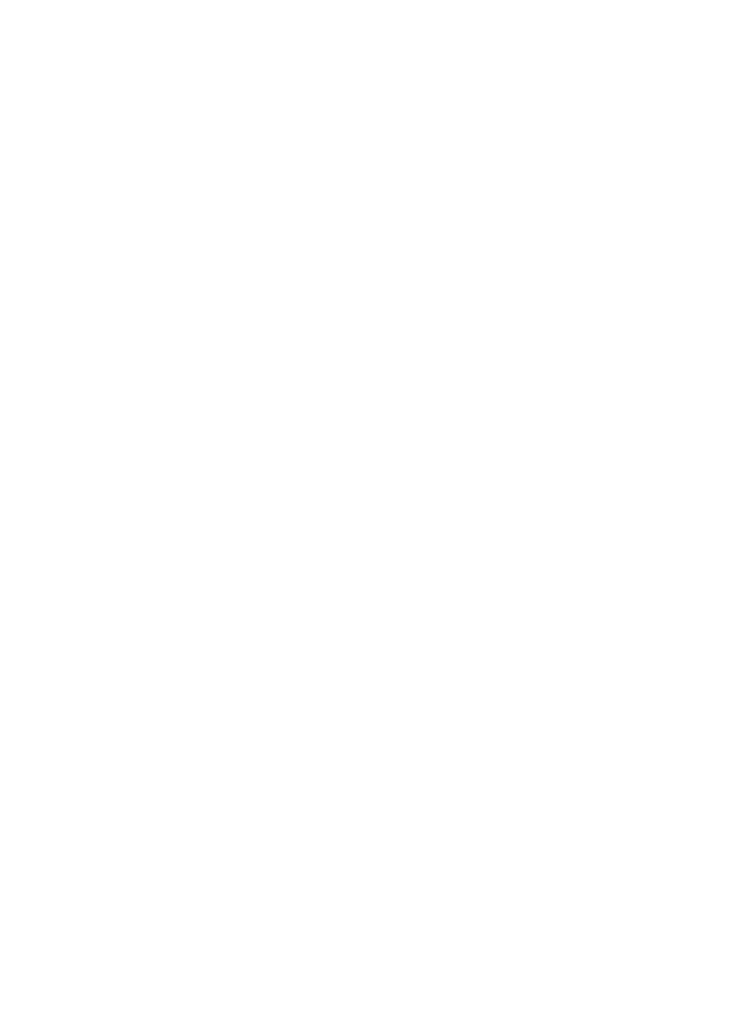| 1818 | 25211112107908                   | <b>WASEEM TUFAIL</b>     | 91       |
|------|----------------------------------|--------------------------|----------|
| 1819 | 28331212113616                   | SAYANDIP SAHA            | 91       |
| 1820 | 28161112112987                   | ANIRODHA ROY             | 91       |
| 1821 | 21061212100152                   | <b>BEUTY CHAKRABORTY</b> | 91       |
| 1822 | 24041112105050                   | <b>BISHAL NATH</b>       | 91       |
| 1823 | 28151212112521                   | DIPANKAR KARMAKAR        | 91       |
| 1824 | 26171112109035                   | PALI DEBNATH             | 91       |
| 1825 | 22151112102720                   | <b>RUMA BIBI</b>         | 91       |
| 1826 | 27031112110520                   | RIMI DEY                 | 91       |
| 1827 | 27102112111087                   | <b>RUBI NAMA</b>         | 91       |
| 1828 | 25042112105914                   | DALI DWEEPA DAS          | 91       |
|      | 24021212104558                   |                          |          |
| 1829 |                                  | <b>JAMILUR RAHMAN</b>    | 91       |
| 1830 | 26211112108447                   | <b>RUPAK MAJUMDER</b>    | 91       |
| 1831 | 21013112100034                   | <b>BINA MOG</b>          | 91       |
| 1832 | 24121112105581                   | <b>SUSMITA ROY</b>       | 91       |
| 1833 | 23191212104205                   | <b>SUKANTA DAS</b>       | 91       |
| 1834 | 25191212107353                   | <b>SUPARNA KAR</b>       | 91       |
| 1835 | 25041212105932                   | <b>MANDIRA DEBNATH</b>   | 91       |
| 1836 | 24122112105753                   | <b>RIMPI DAS</b>         | 91       |
| 1837 | 24031112104998                   | <b>KAYACH UDDIN</b>      | 91       |
| 1838 | 23061112103739                   | UTPAL DEBNATH            | 91       |
| 1839 | 28451112114347                   | SANJIT GOPE              | 90       |
| 1840 | 23044112103557                   | <b>BIPLAB PAUL</b>       | 90       |
| 1841 | 23031112103348                   | <b>TAMAL DAS</b>         | 90       |
| 1842 | 22102112102576                   | <b>SWAPAN BHOWMIK</b>    | 90       |
| 1843 | 25152112107110                   | <b>BISWAJIT DAS</b>      | 90       |
| 1844 | 25192112107452                   | PINTU CHANDRA DAS        | 90       |
| 1845 | 28153112112660                   | CHITTA RANJAN DEBBARMA   | 90       |
| 1846 | 23022112103000                   | HIMANGSHU DAS            | 90       |
| 1847 | 25211212108008                   | <b>IDRISH MIA</b>        | 90       |
| 1848 | 26232112109003                   | SOMA DAS                 | 90       |
| 1849 | 28061112111700                   | <b>SUTAPA SHIL</b>       | 90       |
| 1850 | 25052112106162                   | NIRMAL SARKAR            | 90       |
| 1851 | 24031112104993                   | PRANAY SHARMA            | 90       |
| 1852 |                                  | <b>AMITESH DAS</b>       |          |
| 1853 | 28602112114740<br>28153112112609 | <b>BIRENDRA DEBBARMA</b> | 90<br>90 |
|      |                                  |                          |          |
| 1854 | 22072212102283                   | <b>BISWAJIT SARKAR</b>   | 90       |
| 1855 | 26031112110069                   | <b>ALAK GHOSH</b>        | 90       |
| 1856 | 28061112111472                   | <b>CHHANDA DEB</b>       | 90       |
| 1857 | 25152112107008                   | SAHADEB SARKAR           | 90       |
| 1858 | 28161112112992                   | <b>DAISY KACHARI</b>     | 90       |
| 1859 | 28602112114734                   | <b>PURABI DAS</b>        | 90       |
| 1860 | 26172112109154                   | <b>RATAN DAS</b>         | 90       |
| 1861 | 28672112115308                   | <b>RUPA DAS</b>          | 90       |
| 1862 | 22041212101241                   | SANJOY KUMAR BANIK       | 90       |
| 1863 | 27102112111188                   | APARNA NAMA              | 90       |
| 1864 | 21291212100705                   | <b>MOUMITA CHOUDHURY</b> | 90       |
| 1865 | 26011112109881                   | <b>BASUDEB KAR</b>       | 90       |
| 1866 | 24051212105198                   | <b>BARNALI NATH</b>      | 90       |
| 1867 | 24021112104686                   | MADHABI DUTTA RUDRAPAUL  | 90       |
| 1868 | 24021112104472                   | ANINDITA DEBNATH         | 90       |
| 1869 | 27101112111059                   | SWAPAN KUMAR DEY         | 90       |
| 1870 | 26061112110240                   | <b>BHABATOSH DEBNATH</b> | 90       |
| 1871 | 22061112102034                   | <b>TUTAN BHOWMIK</b>     | 90       |
| 1872 | 28062112111464                   | <b>NUTAN DAS</b>         | 90       |
| 1873 | 23031112103451                   | ARINDAM RAY              | 90       |
| 1874 | 28661212115041                   | <b>ABHIJIT PAUL</b>      | 90       |
|      |                                  |                          |          |
| 1875 | 28153122112648                   | <b>BINATA DEBBARMA</b>   | 90       |
| 1876 | 22151112102843                   | SIMA PODDER              | 90       |
| 1877 | 22101112102484                   | PRIYANKA DEBNATH         | 90       |
| 1878 | 21063112100172                   | SUKANTA MOG CHOWDHURY    | 90       |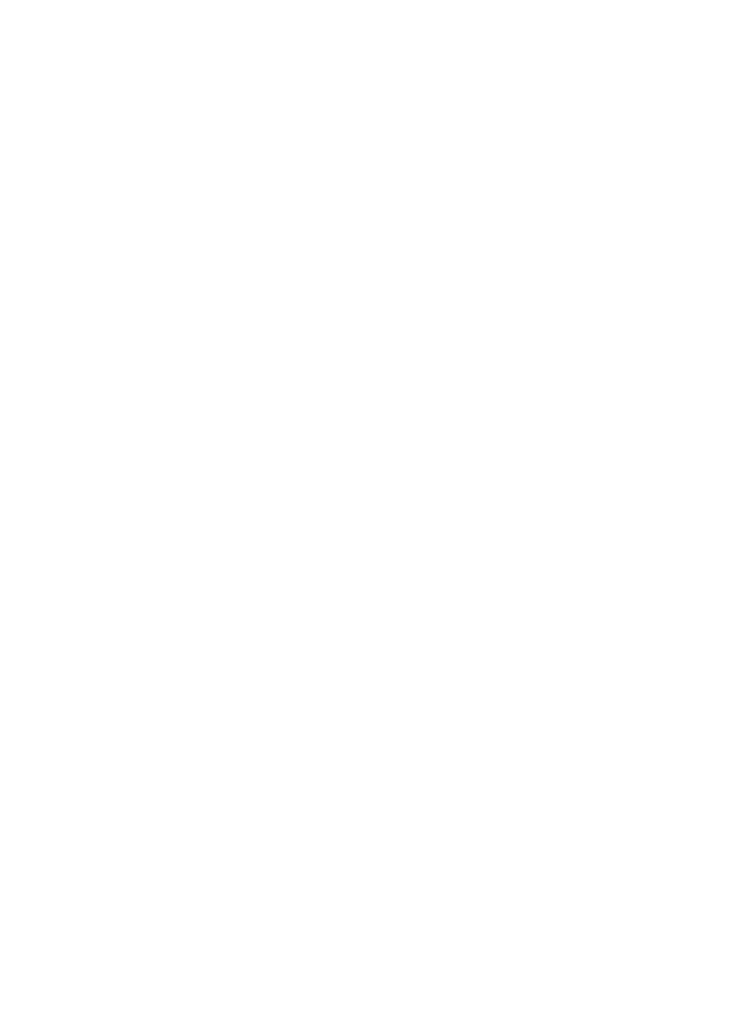| 1879 | 24021112104571 | PINAK GOSWAMI               | 90 |
|------|----------------|-----------------------------|----|
| 1880 | 25191112107356 | <b>SUSANTA ROY</b>          | 90 |
| 1881 | 25061112106578 | SONIA DEB ACHARJEE          | 90 |
| 1882 | 28062112111462 | <b>RAJESH DAS</b>           | 90 |
| 1883 | 22061112101975 | PAPIYA DATTA                | 90 |
| 1884 | 28331112113938 | PRITI SARKAR                | 90 |
| 1885 | 26201112108245 | JOYDEB DEBNATH              | 90 |
| 1886 | 26212112108584 | <b>KRISHNADHAN DAS</b>      | 90 |
| 1887 | 28153122112743 | PRASENJIT DEBBARMA          | 90 |
| 1888 | 25192112107728 | <b>BISWAJIT NAMA</b>        | 90 |
| 1889 |                | NABANITA CHAKRABORTY        | 90 |
|      | 25051112106173 |                             |    |
| 1890 | 25202112107839 | <b>SURAJIT BARMAN</b>       | 90 |
| 1891 | 26234112108993 | <b>RAJIB PAUL</b>           | 90 |
| 1892 | 25211112108114 | SAHADEB GHOSH               | 90 |
| 1893 | 21232112100534 | PRASANKAR DAS               | 90 |
| 1894 | 28671112115522 | <b>NUPUR DEBNATH</b>        | 90 |
| 1895 | 22072112102161 | <b>GOPINATH DAS</b>         | 90 |
| 1896 | 23031112103467 | MAUMITA CHAKRABORTY         | 90 |
| 1897 | 24031112104758 | SIDDHARTHA BHATTACHARJEE    | 90 |
| 1898 | 27103112111126 | MENAKA DEBBARMA             | 90 |
| 1899 | 28661112114946 | RAJU DEBNATH                | 90 |
| 1900 | 21292112100833 | NIRANJAN NAMASUDRA          | 90 |
| 1901 | 22101112102466 | NARAYAN DEBNATH             | 90 |
| 1902 | 24031112104917 | <b>SUMIT NATH</b>           | 90 |
| 1903 | 28331112113699 | SUBRATA DEY                 | 90 |
| 1904 | 28281112113244 | <b>MONTI DEY</b>            | 90 |
| 1905 | 28163122112808 | ASIA DEBBARMA               | 90 |
| 1906 | 28163122112831 | MANIKA DEBBARMA             | 90 |
| 1907 | 21292112100732 | PINKU MALAKAR               | 90 |
| 1908 | 28331112113507 | RAJESH DEBNATH              | 90 |
| 1909 | 26201112108308 | <b>UTTAM BISWAS</b>         | 90 |
| 1910 | 25191212107466 | NARAYAN SUTRADHAR           | 90 |
| 1911 | 22151112102765 | <b>NAYAN NANDI</b>          | 90 |
|      |                |                             |    |
| 1912 | 28663112115030 | <b>CHAISAFRU CHAUDHURI</b>  | 90 |
| 1913 | 26231112108824 | SUBRATA DEBNATH             | 90 |
| 1914 | 26063112110236 | RAJESH REANG                | 90 |
| 1915 | 25151112106963 | BHAGYASREE DEBNATH          | 90 |
| 1916 | 28671112115352 | <b>MOUMITA DEBNATH</b>      | 90 |
| 1917 | 23051112103657 | ANIMESH CHAKRABORTY         | 90 |
| 1918 | 22102112102385 | <b>CHIRANJIT BHAKTA</b>     | 90 |
| 1919 | 28331112113637 | YEASIN MIA                  | 90 |
| 1920 | 23192112104273 | <b>PRADIP DAS</b>           | 90 |
| 1921 | 21084112100884 | SOUMITRA DEB                | 90 |
| 1922 | 28601212114594 | APARNA SINGHA ROY           | 90 |
| 1923 | 24021112104708 | <b>RINKI NATH</b>           | 90 |
| 1924 | 28601112114865 | <b>JAYA ROY</b>             | 90 |
| 1925 | 23023122103111 | MINJOY DEBBARMA             | 90 |
| 1926 | 26231112108880 | <b>DEBASHIS SHIL</b>        | 90 |
| 1927 | 24037112104893 | <b>BISWAJIT DATTA</b>       | 90 |
| 1928 | 24121112105660 | <b>ENUCH ALI</b>            | 90 |
| 1929 | 22071212102118 | <b>GOURI SANKAR DEBNATH</b> | 90 |
| 1930 | 28062112111451 | <b>PAPI DAS</b>             | 90 |
| 1931 | 22101212102587 | PRITAM RUDRA PAUL           | 90 |
| 1932 | 25191112107697 | ABDUL MANNAN                | 90 |
|      |                |                             |    |
| 1933 | 24021112104673 | <b>SOURIN DHAR</b>          | 90 |
| 1934 | 24081112105521 | <b>SHIPON NATH</b>          | 90 |
| 1935 | 25212212108075 | PRASENJIT DAS               | 90 |
| 1936 | 26201112108155 | SANJIT MAJUMDER             | 90 |
| 1937 | 22102112102461 | <b>JOY SANKAR DAS</b>       | 90 |
| 1938 | 28091112111741 | ATANU MAJUMDER              | 90 |
| 1939 | 25121112106598 | MIJANUR RAHAMAN             | 90 |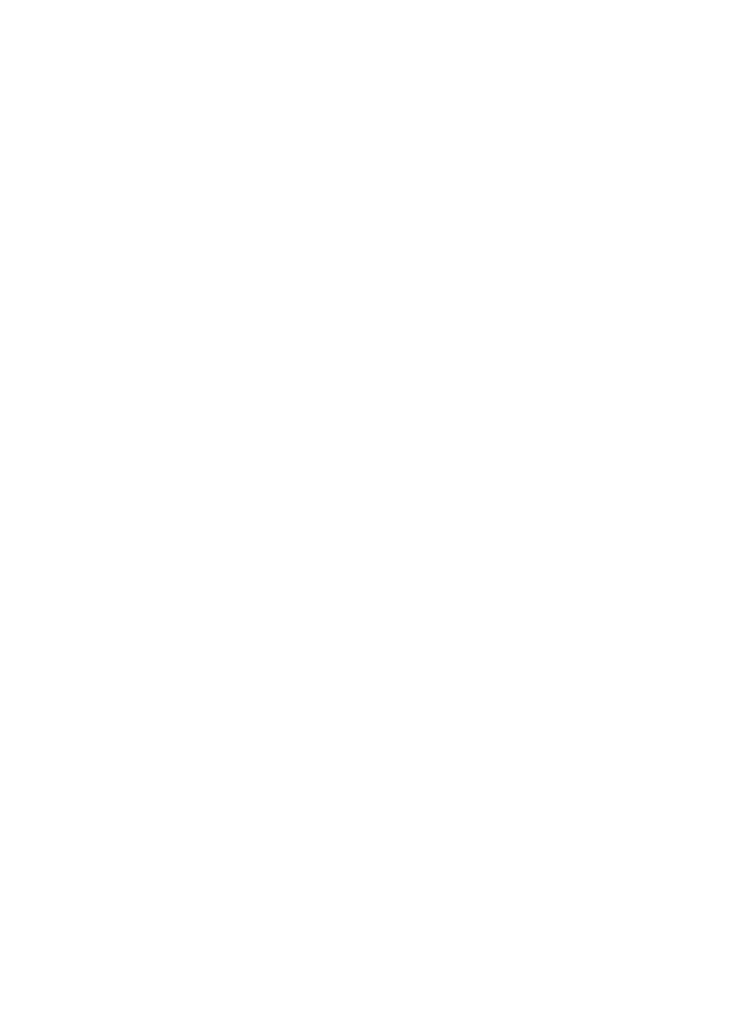| 1940 | 26195212109528 | <b>BISWAJIT DAS</b>    | 90 |
|------|----------------|------------------------|----|
| 1941 | 26212112108737 | PRAN GOPAL ROY         | 90 |
| 1942 | 23062112103787 | <b>RUPAM DAS</b>       | 90 |
| 1943 | 28161212112958 | SWARAJ DEEP DEY        | 90 |
| 1944 | 28452112114523 | <b>BITHIKA DAS</b>     | 90 |
| 1945 | 21082112100976 | <b>SUMIR DAS</b>       | 90 |
| 1946 | 22101112102441 | PAPAN DATTA            | 90 |
| 1947 | 26011112109753 | <b>RAKESH SHIL</b>     | 90 |
| 1948 | 24051212105194 | <b>RAJIB BISWAS</b>    | 90 |
| 1949 | 24021212104588 | NABANITA SUTRADHAR     | 90 |
| 1950 | 23063112103748 | <b>BISHAL DEBBARMA</b> | 90 |
|      |                |                        |    |
| 1951 | 23141112104059 | <b>JOYDEEP GIRI</b>    | 90 |
| 1952 | 26192112109466 | <b>KANAK DAS</b>       | 90 |
| 1953 | 25052112106220 | <b>HAREKRISHNA DAS</b> | 90 |
| 1954 | 24021112104505 | SUMANA BEGAM           | 90 |
| 1955 | 28601112114826 | PRIYATA DEB            | 90 |
| 1956 | 28282112113195 | <b>SUBARNA DAS</b>     | 90 |
| 1957 | 28334212113786 | <b>NAWAZ SARIF</b>     | 90 |
| 1958 | 28601212114696 | <b>RUNA PAUL</b>       | 90 |
| 1959 | 26202112108362 | <b>KAKALI SARKAR</b>   | 90 |
| 1960 | 28101112112331 | <b>SUSMITA DEBNATH</b> | 90 |
| 1961 | 22151212102846 | <b>TAPAS SARKAR</b>    | 90 |
| 1962 | 23031112103295 | ASHIM KUMAR DEBNATH    | 90 |
| 1963 | 27102112110962 | <b>ARPITA DAS</b>      | 90 |
| 1964 | 24041212105055 | RAJIB DEBNATH          | 90 |
| 1965 | 22072112102102 | <b>SUMAN SARKAR</b>    | 90 |
| 1966 | 24082112105402 | <b>DIBYENDU DAS</b>    | 90 |
| 1967 | 25193112107676 | <b>RANJIT TRIPURA</b>  | 90 |
| 1968 | 28661112115192 | <b>DEBASHREE DEB</b>   | 90 |
| 1969 | 27111112111327 | <b>ARIJIT DEB</b>      | 90 |
| 1970 | 28103122112467 | RUVINA DEBBARMA        | 90 |
| 1971 | 28332212113722 | <b>NIKITA DAS</b>      | 90 |
|      |                |                        |    |
| 1972 | 28061112111631 | <b>SUDIP KUMAR ROY</b> | 90 |
| 1973 | 27102112111238 | <b>KANIKA DAS</b>      | 90 |
| 1974 | 28331112113586 | SHUBHANKAR CH. DEB     | 90 |
| 1975 | 22103112102445 | REMA JAMATIA           | 90 |
| 1976 | 28601112114610 | DIPA SAHA              | 90 |
| 1977 | 25062212106404 | PAYEL DAS              | 90 |
| 1978 | 28331112113589 | SARMISTA DEB           | 90 |
| 1979 | 22101112102373 | <b>MITHUN SAHA</b>     | 90 |
| 1980 | 25041212105875 | SMITA DEBNATH          | 90 |
| 1981 | 26212112108543 | <b>SOURAV DAS</b>      | 90 |
| 1982 | 26211112108599 | <b>BISWAJIT PAUL</b>   | 90 |
| 1983 | 21292112100726 | <b>KANAN DAS</b>       | 90 |
| 1984 | 22041112101290 | <b>JANAM SAHA</b>      | 90 |
| 1985 | 26193112109511 | <b>MAHILA TRIPURA</b>  | 90 |
| 1986 | 28281212113413 | SARASWATI BANIK        | 90 |
| 1987 | 25151112107168 | PINKI SAHA             | 90 |
| 1988 | 23053122103638 | <b>NABA REANG</b>      | 90 |
| 1989 | 22043112101376 | PRATAP KALAI           | 90 |
| 1990 | 27032112110392 | <b>MAMPI SARKAR</b>    | 90 |
| 1991 | 27031112110359 | AMINUL ISLAM           | 90 |
| 1992 | 21172112100436 | <b>GOPA SARKAR</b>     | 90 |
|      |                |                        |    |
| 1993 | 28421112114112 | RIYANKA ROY            | 90 |
| 1994 | 25151212106859 | <b>RINA AKTER</b>      | 90 |
| 1995 | 26192112109555 | <b>RAKESH MALDAS</b>   | 90 |
| 1996 | 25152112106979 | PRASANTA DAS           | 90 |
| 1997 | 26231212108938 | <b>SAYAN TILAK</b>     | 90 |
| 1998 | 28331112113949 | SUPRIYA CHAKRABORTY    | 90 |
| 1999 | 22151112102858 | SANGITA DEBNATH        | 90 |
| 2000 | 26011212109817 | RAJASRI MAJUMDER       | 90 |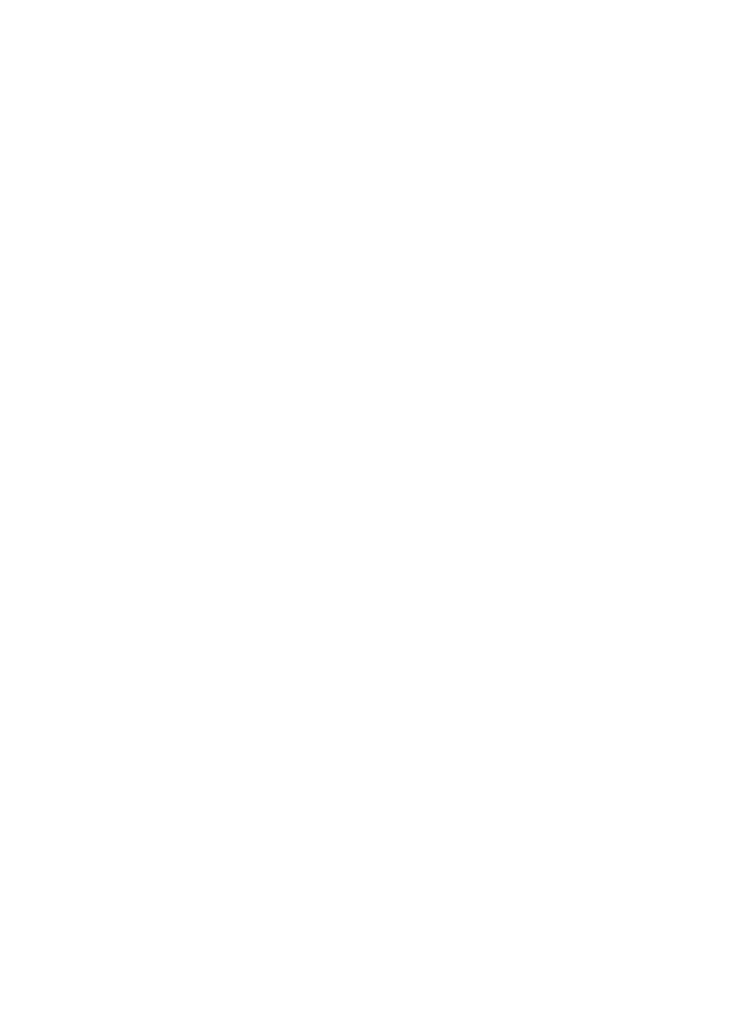| 2001 | 22071112102217                   | <b>SULTAN MIAH</b>       | 90 |
|------|----------------------------------|--------------------------|----|
| 2002 | 26201112108175                   | PAPLU SARKAR             | 90 |
| 2003 | 25041112105967                   | SANHITA DEBNATH          | 90 |
| 2004 | 25191212107505                   | SAMIMA CHOWDHURY         | 90 |
| 2005 | 28661212114997                   | ANINDITA BHATTACHARYYA   | 90 |
| 2006 | 21061212100137                   | SIDDHARTHA DEB           | 90 |
| 2007 | 23141112104111                   | <b>MOUMITA BISWAS</b>    | 90 |
| 2008 | 26212112108657                   | <b>ASHIK BARMAN</b>      | 90 |
| 2009 | 26011212109825                   | <b>INDRAJIT SINGH</b>    | 90 |
| 2010 | 24021212104557                   | SUNIDHI PANJA            | 90 |
| 2011 | 28672112115351                   | <b>APURBA DAS</b>        | 90 |
| 2012 | 27111212111273                   | <b>RAJAN GHOSH</b>       | 90 |
| 2013 | 28421112114052                   | PUJA DEBNATH             | 90 |
| 2014 | 26061112110307                   | <b>RAMU SAHA</b>         | 90 |
| 2015 | 23191112104343                   | <b>MITUN GHOSH</b>       | 90 |
| 2016 | 22151112102778                   | <b>SURYATAPA DHAR</b>    | 90 |
| 2017 | 25042112105933                   | <b>CHIRANJIT DAS</b>     | 90 |
| 2018 | 26201112108201                   | <b>SUPARNA CHOUDHURY</b> | 90 |
| 2019 | 26031212110031                   | RAKHESH DATTA            | 90 |
|      |                                  |                          | 90 |
| 2020 | 26011212109795<br>27031112110543 | PRIYA SARKAR             | 90 |
| 2021 |                                  | RUKSANA BEGAM            |    |
| 2022 | 27031212110429                   | DIPA GOPE                | 90 |
| 2023 | 28662112115182                   | SHOUVIK CHOWDHURY        | 90 |
| 2024 | 26231112108891                   | <b>JUTAN BISWAS</b>      | 90 |
| 2025 | 25151112106996                   | MD IKBAL HOSSAIN         | 90 |
| 2026 | 26231112108885                   | <b>MANISHA BHOWMIK</b>   | 90 |
| 2027 | 23051112103688                   | SHARMILA DEB             | 90 |
| 2028 | 24021112104553                   | TANUKA BHATTACHARJEE     | 90 |
| 2029 | 23142112104125                   | <b>SUMAN SARKAR</b>      | 90 |
| 2030 | 23042212103619                   | <b>GEETA SUKLA DAS</b>   | 90 |
| 2031 | 21271112100638                   | <b>SUBRATA DEBNATH</b>   | 90 |
| 2032 | 28421112114103                   | MAHASWETA BHOWMIK        | 90 |
| 2033 | 23041212103563                   | <b>JEWEL GOPE</b>        | 90 |
| 2034 | 28671112115478                   | <b>SURABHI DEBNATH</b>   | 90 |
| 2035 | 27101112111016                   | <b>MANISH NATH</b>       | 90 |
| 2036 | 27102112111122                   | NIRMAL DAS               | 90 |
| 2037 | 23031112103332                   | SUSMITA DATTA            | 90 |
| 2038 | 26191212109413                   | <b>JOYDIP BHOWMIK</b>    | 90 |
| 2039 | 27061112110910                   | SHUVRAJIT DEB            | 90 |
| 2040 | 22061112101928                   | <b>ANURADHA DEY</b>      | 90 |
| 2041 | 26181112109333                   | <b>TAPASH SHIL</b>       | 90 |
| 2042 | 21171212100373                   | SUMANNA DEB PURAKAYSTHA  | 90 |
| 2043 | 21172212100316                   | <b>SUSANTA DAS</b>       | 90 |
| 2044 | 24031112104918                   | MD AJMAL HUSSAN          | 90 |
| 2045 | 25191112107445                   | <b>JAKIA BEGAM</b>       | 90 |
| 2046 | 23021112103214                   | DIPAN KAR                | 90 |
| 2047 | 25211112107901                   | AMBIKA SAHA              | 90 |
| 2048 | 23031212103370                   | <b>SURAJIT DEB</b>       | 90 |
| 2049 | 25061212106432                   | <b>MAJIBUR HOSEN</b>     | 90 |
| 2050 | 25151112106944                   | AJOY DEBNATH             | 90 |
| 2051 | 25123122106780                   | PRANATI DEBBARMA         | 90 |
| 2052 | 24031112104811                   | RASHMINA BEGAM           | 90 |
| 2053 | 26032112110218                   | <b>AMIT DAS</b>          | 89 |
| 2054 | 21083112101007                   | DHUJI ROY CHAKMA         | 89 |
| 2055 | 28602112114845                   | <b>GOPA DAS</b>          | 89 |
| 2056 | 23032112103313                   | KHELAN RANI DAS          | 89 |
| 2057 | 28102112112421                   | <b>MOUSHUMI DAS</b>      | 89 |
| 2058 | 25162112107235                   | SAJAL BARMAN             | 89 |
| 2059 | 23143112104119                   | ARUN DEBBARMA            | 89 |
| 2060 | 23192112104292                   | SANTOSH NAMA             | 89 |
| 2061 | 23142112104127                   | <b>DIBA RANI DAS</b>     | 89 |
|      |                                  |                          |    |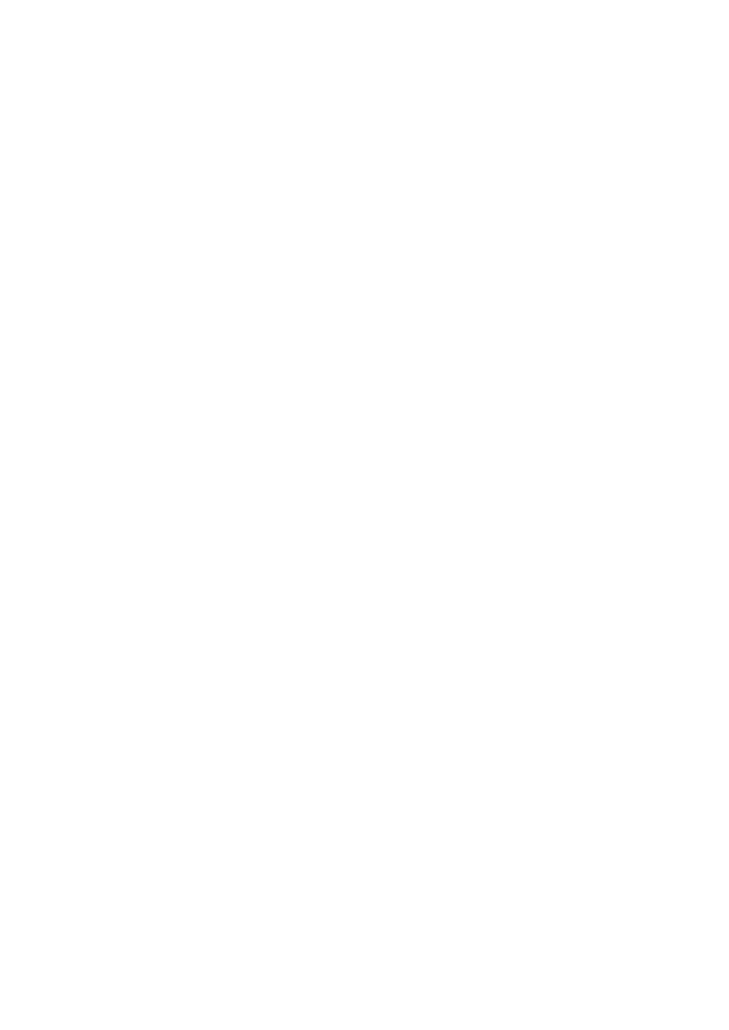| 2062 | 28092112112005                   | <b>SURAJIT DAS</b>      | 89 |
|------|----------------------------------|-------------------------|----|
| 2063 | 22072112102329                   | <b>MENAKA SARKAR</b>    | 89 |
| 2064 | 26182112109389                   | <b>SAMIR DAS</b>        | 89 |
| 2065 | 22052112101688                   | <b>MITAN SARKAR</b>     | 89 |
| 2066 | 21062112100183                   | <b>PURABI DAS</b>       | 89 |
| 2067 | 21172112100345                   | SHIBU NAMASUDRA         | 89 |
| 2068 | 22152112102923                   | <b>JHUMTI NAMA DAS</b>  | 89 |
| 2069 | 25212212107962                   | <b>ABHIJIT NAMA</b>     | 89 |
| 2070 | 22052112101712                   | <b>PRAHALLAD DAS</b>    | 89 |
| 2071 | 28092112111826                   | <b>DULA DAS</b>         | 89 |
| 2072 | 26212112108791                   | <b>BISWAJIT DAS</b>     | 89 |
| 2073 | 23062112103788                   | <b>BHUBAN BIJOY DAS</b> | 89 |
| 2074 | 28102112112180                   | <b>RANJIT DAS</b>       | 89 |
| 2075 | 28162112113012                   | <b>BAPAN SARKAR</b>     | 89 |
| 2076 | 23043112103604                   | ASHISH DEBBARMA         | 89 |
| 2077 | 26193112109539                   | <b>CHAILA MOG</b>       | 89 |
| 2078 | 28092212111951                   | PRITILAL DAS            | 89 |
| 2079 | 28102112112223                   | <b>PRANAB DAS</b>       | 89 |
| 2080 | 26033112110105                   | <b>MINATI TRIPURA</b>   | 89 |
|      |                                  |                         | 89 |
| 2081 | 21172212100319<br>27102112110992 | <b>ACHINTYA DAS</b>     |    |
| 2082 |                                  | PAPIYA DAS              | 89 |
| 2083 | 28452112114420                   | <b>RIMA DAS</b>         | 89 |
| 2084 | 26233112108988                   | <b>RANJIT TRIPURA</b>   | 89 |
| 2085 | 28093122111815                   | SAMPRITI DEBBARMA       | 89 |
| 2086 | 24125112105584                   | PRASANTA KUMAR DAS      | 89 |
| 2087 | 28602112114871                   | <b>BIPLAB DAS</b>       | 89 |
| 2088 | 22152112102713                   | DIPANKAR DAS            | 89 |
| 2089 | 28093122111767                   | THWIPLYA DEBBARMA       | 89 |
| 2090 | 25212112108000                   | <b>TAPAS BARMAN</b>     | 89 |
| 2091 | 25212112107951                   | <b>SUMAN BARMAN</b>     | 89 |
| 2092 | 22062112102032                   | <b>SUMAN DAS</b>        | 89 |
| 2093 | 27102112111199                   | PRITI DAS               | 89 |
| 2094 | 25203112107756                   | <b>SUSANTA TRIPURA</b>  | 89 |
| 2095 | 28333112113836                   | SARAN DEBBARMA          | 89 |
| 2096 | 28093112111740                   | <b>KAPIL DEBBARMA</b>   | 89 |
| 2097 | 25123122106708                   | AMIT DEBBARMA           | 89 |
| 2098 | 23232112104446                   | JABA DAS                | 89 |
| 2099 | 23022112103216                   | PRIYANKA DAS            | 89 |
| 2100 | 22072112102229                   | <b>SUJIT DAS</b>        | 89 |
| 2101 | 28662112115152                   | <b>MANTI DAS</b>        | 89 |
| 2102 | 28602212114782                   | <b>UDITI ROY</b>        | 89 |
| 2103 | 21083112101006                   | <b>NIPODHON REANG</b>   | 89 |
| 2104 | 22074112102212                   | SANJIT KUMAR DEBNATH    | 89 |
| 2105 | 26212112108481                   | <b>BASUDEB DAS</b>      | 89 |
| 2106 | 24122212105715                   | SUDIPTA SHUKLA          | 89 |
| 2107 | 21012212100081                   | SWAPNA DAS              | 89 |
| 2108 | 24122112105614                   | <b>SANJOY DAS</b>       | 89 |
| 2109 | 22152112102848                   | RANADIP KR DAS          | 89 |
| 2110 | 28102112112377                   | <b>LITAN DAS</b>        | 88 |
| 2111 | 23062112103754                   | DIPTI DAS               | 88 |
| 2112 | 23142112104028                   | <b>SAMIR DAS</b>        | 88 |
| 2113 | 24122112105671                   | <b>MONOJ KUMAR DAS</b>  | 88 |
| 2114 | 23142112104159                   | DIPU DAS                | 88 |
| 2115 | 21172212100405                   | PRITIKANA DAS           | 88 |
| 2116 | 26012112109783                   | NITYANANDA DAS          | 88 |
| 2117 | 22153112102796                   | <b>BISWAJIT REANG</b>   | 88 |
| 2118 | 23022112103021                   | SHARMISTHA RANI DAS     | 88 |
| 2119 | 28063122111498                   | RABINDRA DEBBARMA       | 88 |
| 2120 | 28103122112175                   | <b>JUSEF DEBBARMA</b>   | 88 |
| 2121 | 26212112108764                   | SHIMUL DAS              | 88 |
| 2122 | 28424112114244                   | <b>GOURI RANI PAUL</b>  | 88 |
|      |                                  |                         |    |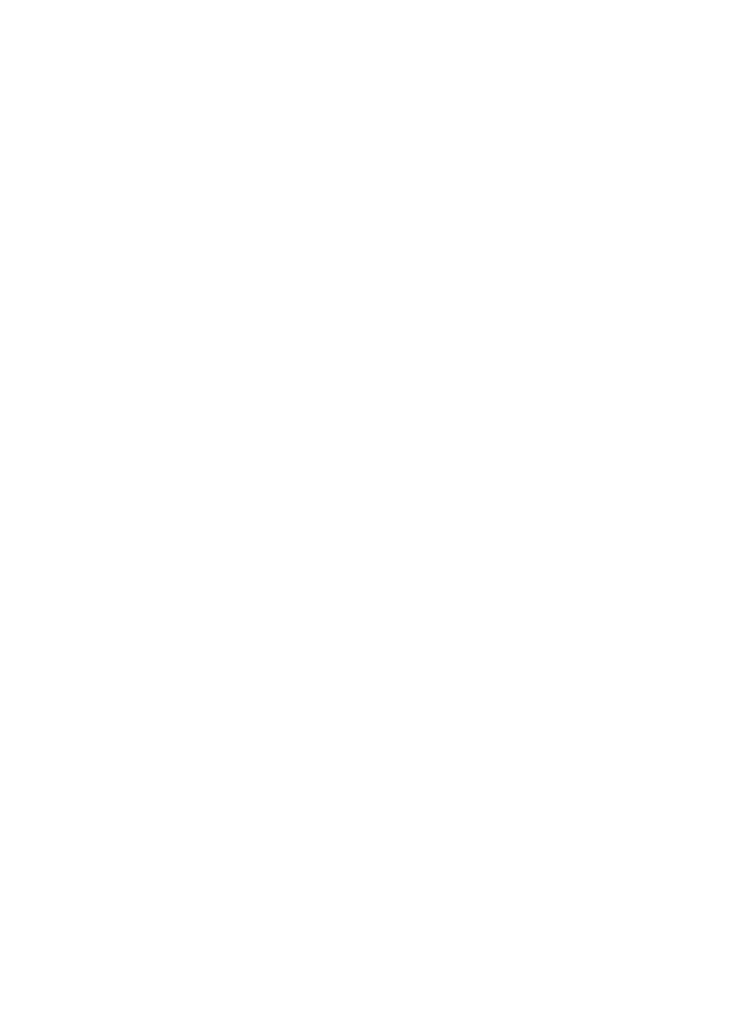| 2123 | 28064112111585                   | <b>KARTIK DEBNATH</b>                    | 88 |
|------|----------------------------------|------------------------------------------|----|
| 2124 | 25152112107140                   | <b>MINTU DAS</b>                         | 88 |
| 2125 | 22042112101324                   | ANU RANI DAS                             | 88 |
| 2126 | 22062112101868                   | <b>RAKESH DAS</b>                        | 88 |
| 2127 | 28602112114694                   | <b>PAPAN DAS</b>                         | 88 |
| 2128 | 28093112111919                   | ROMA DEBBARMA                            | 88 |
| 2129 | 26172112109089                   | <b>MITHUN ROY</b>                        | 88 |
| 2130 | 26012212109778                   | <b>TAMAL KANTI DAS</b>                   | 88 |
| 2131 | 25212112107952                   | <b>MITHAN DAS</b>                        | 88 |
| 2132 | 26172112109086                   | ANUSREE DAS                              | 88 |
| 2133 | 22072112102307                   | KISHORE SARKAR                           | 88 |
| 2134 | 22072112102194                   | PRIYATOSH DAS                            | 88 |
| 2135 | 25192112107673                   | <b>BINAY SARKAR</b>                      | 88 |
| 2136 | 26013112109851                   | <b>UMABATI REANG</b>                     | 88 |
| 2137 | 22052112101718                   | <b>BINA RANI DAS</b>                     | 88 |
| 2138 | 25052112105971                   | <b>TAPAN BHOWMIK</b>                     | 88 |
| 2139 | 24122112105739                   | SIKHA RANI DAS                           | 88 |
| 2140 | 22102112102349                   | <b>PARBATI DAS</b>                       | 88 |
| 2141 |                                  | <b>RUBEL DEWAN</b>                       | 88 |
|      | 26033112110005                   |                                          |    |
| 2142 | 28092112112060                   | <b>DEBASISH DAS</b>                      | 88 |
| 2143 | 26232112108980<br>24052112105315 | <b>MITHAN DAS</b><br><b>SURANJIT DAS</b> | 88 |
| 2144 |                                  |                                          | 88 |
| 2145 | 28332112113985                   | PRITAM DAS                               | 88 |
| 2146 | 28092112111769                   | PINAKI BISWAS                            | 88 |
| 2147 | 28602212114916                   | <b>BISWAJIT SARKAR</b>                   | 88 |
| 2148 | 23053122103697                   | <b>NEWTON DEBBARMA</b>                   | 88 |
| 2149 | 23052112103631                   | <b>KARTIK BISWAS</b>                     | 88 |
| 2150 | 27052112110625                   | <b>ARPITA DAS</b>                        | 88 |
| 2151 | 27062112110833                   | REBA MALAKAR                             | 88 |
| 2152 | 23033122103455                   | NIRILESH DEBBARMA                        | 88 |
| 2153 | 28672112115315                   | <b>BANTI DAS</b>                         | 88 |
| 2154 | 28675112115384                   | PUJA DAS                                 | 88 |
| 2155 | 24083112105487                   | <b>TIPU CHAKMA</b>                       | 88 |
| 2156 | 28602112114705                   | <b>ALPANA DAS</b>                        | 88 |
| 2157 | 25152112107030                   | <b>SURAJIT SARKAR</b>                    | 88 |
| 2158 | 28092112111985                   | <b>SOMA SARKAR</b>                       | 88 |
| 2159 | 23142112104147                   | <b>INDRAJIT NATTADAS</b>                 | 88 |
| 2160 | 23142212104065                   | <b>JAYANTI DAS</b>                       | 88 |
| 2161 | 28102212112190                   | <b>LITAN DAS</b>                         | 88 |
| 2162 | 23022112102952                   | PRAMATES DAS                             | 88 |
| 2163 | 21083112100988                   | <b>BIRAJIT REANG</b>                     | 88 |
| 2164 | 21172112100342                   | PABITRA DAS                              | 88 |
| 2165 | 22053112101574                   | <b>DEBASHIS CHAKMA</b>                   | 88 |
| 2166 | 26233112108870                   | <b>BABUL TRIPURA</b>                     | 88 |
| 2167 | 22103222102637                   | <b>HAMANI JAMATIA</b>                    | 88 |
| 2168 | 28163122113131                   | RITA DEBBARMA                            | 88 |
| 2169 | 28332112113845                   | <b>TANUSRI BHOWMIK</b>                   | 88 |
| 2170 | 24082112105493                   | ARABINDA DAS                             | 88 |
| 2171 | 25192112107348                   | <b>JHUTAN DAS</b>                        | 88 |
| 2172 | 26192112109465                   | <b>RUPAN MAJUMDER</b>                    | 88 |
| 2173 | 23142112104055                   | <b>RENU DAS</b>                          | 88 |
| 2174 | 28672112115447                   | ANUKA DAS                                | 88 |
| 2175 | 21272112100677                   | PRASANTA DAS                             | 88 |
| 2176 | 27102212111157                   | <b>SUBHRA MAJUMDER</b>                   | 88 |
| 2177 | 22102212102599                   | <b>TANUSREE DAS</b>                      | 88 |
| 2178 | 27102112111139                   | UTTAM DAS                                | 88 |
| 2179 | 28093122111994                   | MUKTA CHARAN DEBBARMA                    | 88 |
| 2180 | 28602112114570                   | NILIMA SARKAR                            | 88 |
| 2181 | 22072212102181                   | <b>SUSANTA MAJUMDER</b>                  | 88 |
| 2182 | 27112212111349                   | SWASTIKA BHOWMIK                         | 88 |
| 2183 | 21172112100452                   | PURNIMA SUKLABAIDYA                      | 88 |
|      |                                  |                                          |    |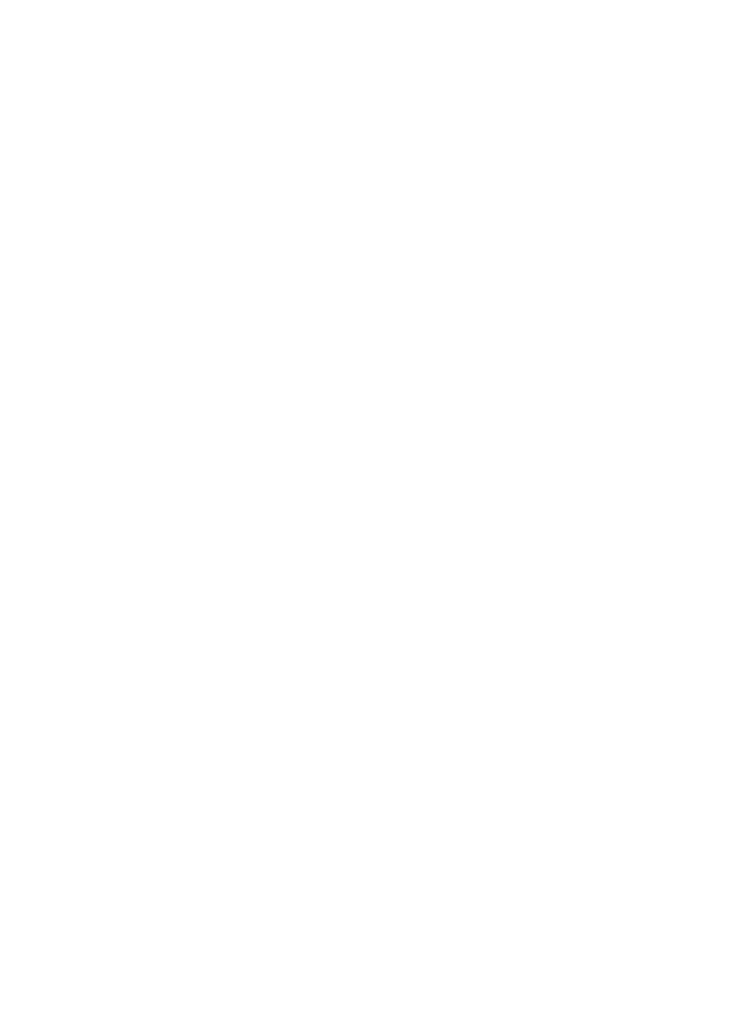| 2184 | 21292212100744 | POPI DAS                   | 88 |
|------|----------------|----------------------------|----|
| 2185 | 22062112101744 | <b>BISWAJIT MALAKAR</b>    | 87 |
| 2186 | 23192112104306 | <b>GOPESH DAS</b>          | 87 |
| 2187 | 28092212111848 | <b>RATAN DAS</b>           | 87 |
| 2188 | 28103122112399 | NIRANJAN DEBBARMA          | 87 |
| 2189 | 23232112104433 | <b>RAKESH DAS</b>          | 87 |
| 2190 | 28103122112118 | POHOR DEBBARMA             | 87 |
| 2191 | 23138112103824 | MITAN NAMA BISWAS          | 87 |
| 2192 | 28332112113847 | RAKHI DAS                  | 87 |
| 2193 | 26232112108940 | SHYAMAL DAS                | 87 |
| 2194 | 25192112107418 | <b>PURNIMA DAS</b>         | 87 |
| 2195 | 22102112102395 | <b>MITAN MAJUMDER</b>      | 87 |
| 2196 | 23142112104135 | <b>MANORANJAN BISWAS</b>   | 87 |
| 2197 | 21292112100710 | <b>BIPLAB DAS</b>          | 87 |
| 2198 | 24022112104640 | <b>SARASI KUMAR</b>        | 87 |
|      | 28152112112682 |                            |    |
| 2199 |                | <b>ABHIJIT DAS</b>         | 87 |
| 2200 | 28163112112814 | AMARJIT DEBBARMA           | 87 |
| 2201 | 28153112112797 | SHAKUNTALA DEBBARMA        | 87 |
| 2202 | 24082112105385 | <b>MANATOSH DAS</b>        | 87 |
| 2203 | 21063112100221 | SADHAN KUMAR CHAKMA        | 87 |
| 2204 | 21172112100312 | <b>MRINMAY DAS</b>         | 87 |
| 2205 | 26032212110081 | <b>SANKAR DAS</b>          | 87 |
| 2206 | 21173122100455 | <b>BAMPI RANI DEBBARMA</b> | 87 |
| 2207 | 27102212111045 | PANNA DAS                  | 87 |
| 2208 | 23033122103461 | KABERI DEBBARMA            | 87 |
| 2209 | 21062112100220 | <b>MADAN SARKAR</b>        | 87 |
| 2210 | 23053122103645 | <b>JUPITER DEBBARMA</b>    | 87 |
| 2211 | 23132112103868 | MANIDEEPA DAS              | 87 |
| 2212 | 22072112102167 | RABINDRA SARKAR            | 87 |
| 2213 | 28162112112849 | <b>TAPAS BISHWAS</b>       | 87 |
| 2214 | 25062112106296 | <b>RAMU SARKAR</b>         | 87 |
| 2215 | 24042212105047 | <b>BISWA DAS</b>           | 87 |
| 2216 | 28162112113004 | <b>TAPAS DAS</b>           | 87 |
| 2217 | 25192112107408 | <b>JHUMA RANI DAS</b>      | 87 |
| 2218 | 26212212108762 | <b>SHUBHANKAR DAS</b>      | 87 |
| 2219 | 25152112106985 | PRASANJIT SARKAR           | 87 |
| 2220 | 23063122103822 | SHIVESWAR DEBBARMA         | 87 |
| 2221 | 24022112104650 | <b>JAGDIP MALAKAR</b>      | 87 |
| 2222 | 24032212104986 | <b>TARUN DAS</b>           | 87 |
| 2223 | 23052212103635 | <b>MADHUMITA DAS</b>       | 87 |
| 2224 | 25192112107512 | PINKI DAS                  | 87 |
| 2225 | 26192212109419 | <b>SUMAN MAJUMDER</b>      | 87 |
| 2226 | 28452112114545 | <b>JOYASHREE DAS</b>       | 87 |
| 2227 | 26212212108722 | PRASANJIT SARKAR           | 87 |
| 2228 | 26202112108311 | <b>SURAJIT DAS</b>         | 87 |
| 2229 | 21232212100602 | <b>JEWEL DAS</b>           | 87 |
| 2230 | 26172212109167 | <b>SUBRATA ROY</b>         | 87 |
| 2231 | 23233122104385 | PRIYA DEBBARMA             | 87 |
| 2232 | 27032112110494 | <b>LITON MALAKAR</b>       | 87 |
| 2233 | 28093122111717 | <b>BABIKA DEBBARMA</b>     | 87 |
| 2234 | 25154112107088 | RINKU KAR                  | 87 |
| 2235 | 27103222111174 | RELIYA DEBBARMA            | 87 |
| 2236 | 28332112113880 | <b>MITHUN DAS</b>          | 87 |
| 2237 | 22042112101419 | SABITRI DAS                | 87 |
|      |                |                            |    |
| 2238 | 21062112100277 | TULSHI SARKAR              | 87 |
| 2239 | 28153122112736 | RAJANI DEBBARMA            | 87 |
| 2240 | 21083112101108 | CHIRONJIB SANGMA           | 87 |
| 2241 | 23022112103229 | NANDITA BISWAS             | 87 |
| 2242 | 28162112112819 | <b>SABITA DAS</b>          | 87 |
| 2243 | 26203112108425 | <b>BHARATI TRIPURA</b>     | 87 |
| 2244 | 22152112102656 | PIKAN MAJUMDER             | 87 |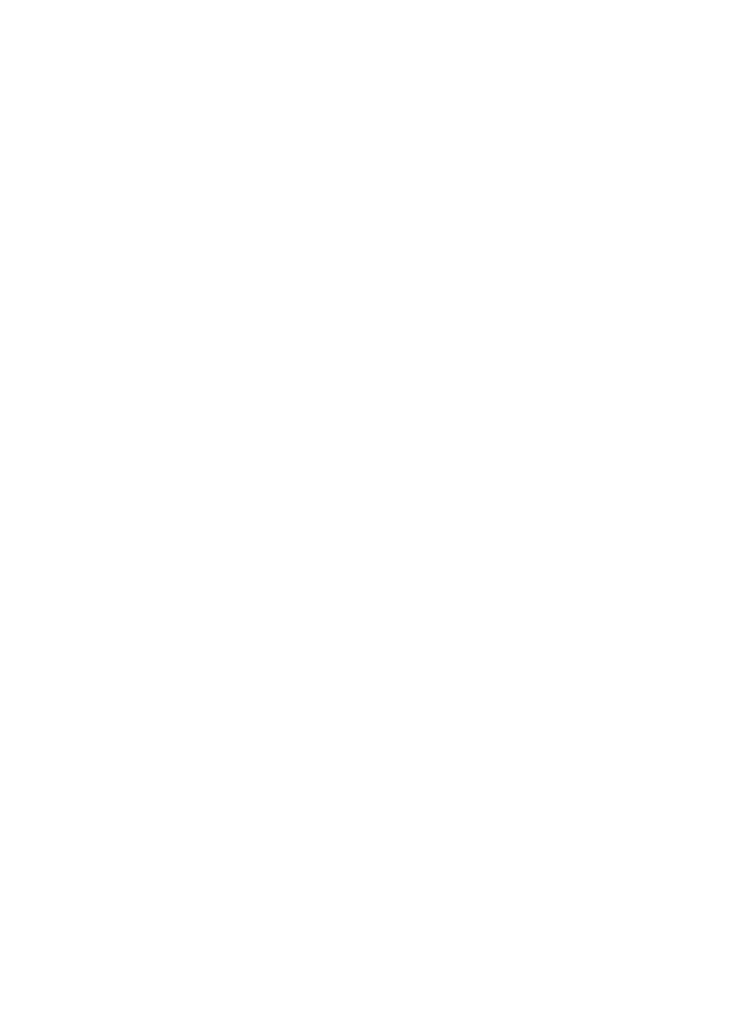| 2245 | 21063122100222 | PRASENJIT REANG            | 87 |
|------|----------------|----------------------------|----|
| 2246 | 23043122103620 | RINKU DEBBARMA             | 87 |
| 2247 | 24032212104902 | PANKAJ DAS                 | 87 |
| 2248 | 25052112106057 | PRASENJIT NAMA             | 87 |
| 2249 | 28332112113924 | <b>MAMPI DAS</b>           | 87 |
| 2250 | 24122112105709 | RANJITA MALAKAR            | 87 |
| 2251 | 24122212105770 | <b>MINAKSHI DAS</b>        | 87 |
| 2252 | 26012112109652 | PUJA MAJUMDER              | 87 |
| 2253 | 23033122103340 | DIPANITA JAMATIA           | 87 |
| 2254 | 23143122104149 | RIMA DEBBARMA              | 87 |
| 2255 | 28062112111692 | <b>PRANTOSH SARKAR</b>     | 87 |
| 2256 | 28662112114981 | <b>SHIPRA DAS</b>          | 86 |
| 2257 | 23193112104341 | <b>BASTAB DEBBARMA</b>     | 86 |
| 2258 | 28162112113049 | <b>TAPASI DAS MAJUMDER</b> | 86 |
| 2259 | 28672112115310 | <b>BIPLAB DAS</b>          | 86 |
| 2260 | 28162112112895 | MAUMITA MAJUMDER DAS       | 86 |
| 2261 | 25123122106819 | <b>BIRALAL DEBBARMA</b>    | 86 |
| 2262 | 28282212113209 | <b>TAPATI BISWAS</b>       | 86 |
| 2263 | 26033112109985 | <b>KEJARI MOG</b>          | 86 |
|      |                | <b>LARESH REANG</b>        |    |
| 2264 | 26063112110311 |                            | 86 |
| 2265 | 22052112101607 | <b>NAMITA DAS</b>          | 86 |
| 2266 | 21235112100472 | DIPEN DAS                  | 86 |
| 2267 | 21232112100615 | LITAN DAS                  | 86 |
| 2268 | 22053112101519 | NIRUPA CHAKMA              | 86 |
| 2269 | 28102112112369 | <b>APU DAS</b>             | 86 |
| 2270 | 21272112100660 | <b>TUSHAR KANTI DAS</b>    | 86 |
| 2271 | 25152112107099 | SAMIR SARKAR               | 86 |
| 2272 | 28672112115435 | <b>TANUMAY DAS</b>         | 86 |
| 2273 | 23232112104383 | SATYABRATA DAS             | 86 |
| 2274 | 21272112100665 | <b>MAYA RANI DAS</b>       | 86 |
| 2275 | 26062212110245 | SADHAN NAMA                | 86 |
| 2276 | 25212112108032 | <b>BULTI SARKAR</b>        | 86 |
| 2277 | 23063122103761 | KOUSHIK DEBBARMA           | 86 |
| 2278 | 28062112111641 | <b>SHEFALI SARKAR</b>      | 86 |
| 2279 | 25042112105835 | <b>INDRAJIT DAS</b>        | 86 |
| 2280 | 25123122106629 | <b>BISHNU DEBBARMA</b>     | 86 |
| 2281 | 28672112115279 | PADMASHREE MITRA           | 86 |
| 2282 | 23193112104241 | BIPUL DEBBARMA             | 86 |
| 2283 | 26212112108561 | SANGITA NAMA               | 86 |
| 2284 | 24123112105646 | KHAINCHHOTI MESKA REANG    | 86 |
| 2285 | 28422212114207 | PURNIMA DAS                | 86 |
| 2286 | 27032112110412 | HIRAN SANKAR DAS           | 86 |
| 2287 | 23063112103729 | <b>HANI DEBBARMA</b>       | 86 |
| 2288 | 25153122107019 | SUCHITRA MURASING          | 86 |
| 2289 | 21013112100078 | <b>MRINMOY DEBBARMA</b>    | 86 |
| 2290 | 22043122101328 | BADAL MANI JAMATIA         | 86 |
| 2291 | 23033122103520 | SAJAN KUMAR DEBBARMA       | 86 |
| 2292 | 28452112114517 | PRANAB DAS                 | 86 |
| 2293 | 28152112112590 | <b>SUKESH DAS</b>          | 86 |
| 2294 | 26212112108765 | <b>RANJIT DAS</b>          | 86 |
| 2295 | 21063112100237 | <b>MANI RANJAN TRIPURA</b> | 86 |
| 2296 | 28153122112731 | ELI DEBBARMA               | 86 |
| 2297 | 26172112109114 | CHIRANJIT DAS              | 86 |
| 2298 | 28282112113475 | AJANTA BARMAN              | 86 |
| 2299 | 22062112101837 | PAYEL DAS SARDAR           | 86 |
| 2300 | 22152212102810 | <b>SUSMITA DAS</b>         | 86 |
| 2301 | 28422212114177 | SHIKHA SARKAR              | 86 |
| 2302 | 22053122101689 | CHAMELI JAMATIA            | 86 |
| 2303 | 25123122106813 | MADHAN DEBBARMA            | 86 |
| 2304 | 28152112112785 | PAYEL DAS                  | 86 |
|      |                |                            |    |
| 2305 | 28062212111518 | SHILPI BISWAS              | 86 |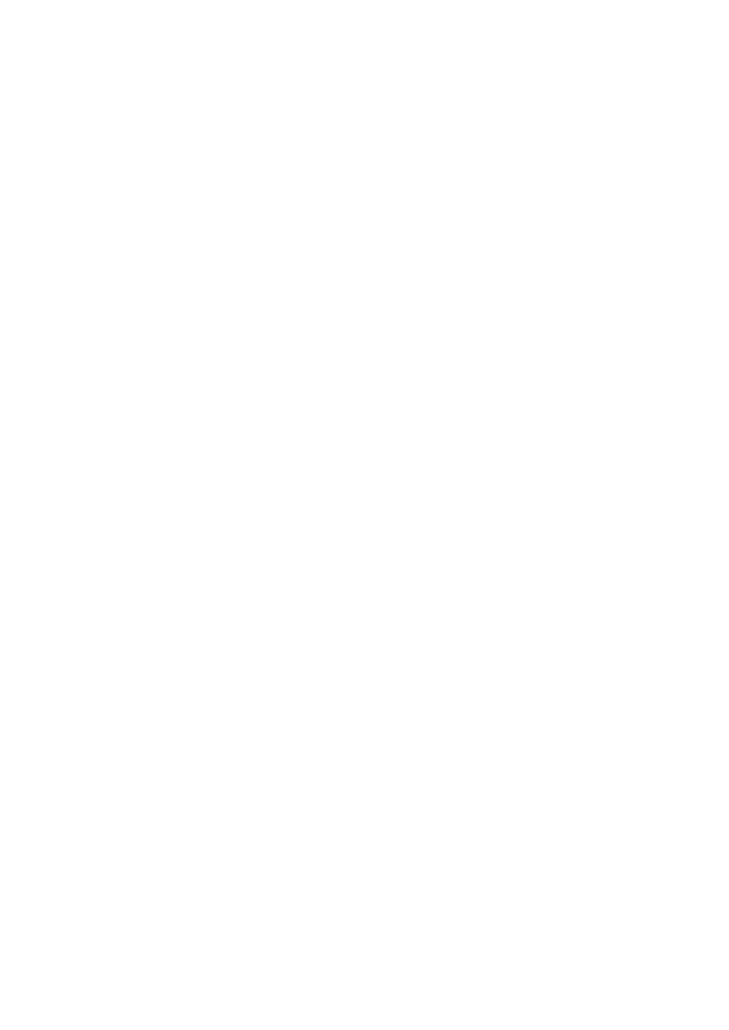| 2306 | 27032212110488 | <b>KOLLOL MALAKAR</b>     | 86 |
|------|----------------|---------------------------|----|
| 2307 | 23143112104031 | SUKANTA DEBBARMA          | 86 |
| 2308 | 22063122101820 | <b>CHANURAM REANG</b>     | 86 |
| 2309 | 28093122111723 | EBRAHIM DEBBARMA          | 86 |
| 2310 | 28062112111439 | <b>TAPAS SARKAR</b>       | 86 |
| 2311 | 22072112102219 | <b>SUSMITA DAS</b>        | 86 |
| 2312 | 23192112104237 | <b>BISHNU DAS</b>         | 86 |
| 2313 | 23022212103202 | <b>DEBASISH DAS</b>       | 86 |
| 2314 | 26202112108225 | <b>RUMA DAS</b>           | 86 |
| 2315 | 24082112105427 | DIPIKA DAS                | 86 |
| 2316 | 27062112110912 | <b>TANTUSHRI DAS</b>      | 86 |
| 2317 | 28422112114055 | SANDEEPA BHOWMIK          | 86 |
| 2318 | 26183122109326 | <b>PAYEL TRIPURA</b>      | 86 |
| 2319 | 28062112111430 | <b>BAPAN HRISHIDAS</b>    | 86 |
| 2320 | 25123112106699 | KHUMPUI DEBBARMA          | 86 |
| 2321 | 28063122111442 | RESHMI DEBBARMA           | 86 |
| 2322 | 26212112108470 | PRIYANKA DAS              | 86 |
| 2323 | 23142212104138 | <b>SUDIP DAS</b>          | 86 |
|      |                |                           |    |
| 2324 | 23052112103676 | <b>BISWAJIT NAMA DAS</b>  | 86 |
| 2325 | 27102112111111 | <b>JAYDIP DAS</b>         | 86 |
| 2326 | 25192112107498 | NARESH CHANDRA DAS        | 85 |
| 2327 | 25152112107000 | <b>SURESH CHANDRA DAS</b> | 85 |
| 2328 | 27032112110501 | <b>MANASHI MALAKAR</b>    | 85 |
| 2329 | 28332112113935 | <b>MANIKA HALDER</b>      | 85 |
| 2330 | 21272112100684 | SHILA DAS                 | 85 |
| 2331 | 25062112106535 | <b>MARAN CHANDRA DAS</b>  | 85 |
| 2332 | 23142112104008 | <b>SUKANTA SARKAR</b>     | 85 |
| 2333 | 26192112109592 | <b>ASHISH DAS</b>         | 85 |
| 2334 | 23232112104400 | <b>NANTU DAS</b>          | 85 |
| 2335 | 28092112111928 | <b>MANASHA SARKAR</b>     | 85 |
| 2336 | 28332112113491 | <b>RUMA SARKAR</b>        | 85 |
| 2337 | 28424112114214 | <b>MITAN SAHA</b>         | 85 |
| 2338 | 26063112110297 | <b>NARESH TRIPURA</b>     | 85 |
| 2339 | 21272112100620 | <b>ANUP DAS</b>           | 85 |
| 2340 | 28283112113227 | SOMA DEBBARMA             | 85 |
| 2341 | 22072112102069 | MITRA DAS SARDAR DEY      | 85 |
| 2342 | 28332112113922 | NABANITA BHOWMIK DATTA    | 85 |
| 2343 | 25052112106221 | BIPASHA SARKAR            | 85 |
| 2344 | 22153122102935 | MALLIKA JAMATIA           | 85 |
| 2345 | 26172112109039 | PRIYABRATA DAS            | 85 |
| 2346 | 23042112103584 | <b>SUKANTA SARKAR</b>     | 85 |
| 2347 | 28164212113077 | RABIUL ISLAM              | 85 |
| 2348 | 25162112107285 | <b>GOUTAM DAS</b>         | 85 |
| 2349 | 28333112113932 | DIPIKA RANI DEBBARMA      | 85 |
| 2350 | 26202112108224 | <b>RANJIT DAS</b>         | 85 |
| 2351 | 25063122106319 | AVIRAM DEBBARMA           | 85 |
| 2352 | 23032112103294 | <b>DIPAK SARKAR</b>       | 85 |
| 2353 | 22053122101544 | MANI SADHAN JAMATIA       | 85 |
| 2354 | 27102112111184 | <b>SUPTA MALAKAR</b>      | 85 |
| 2355 | 27102112111179 | <b>MAMATA DAS</b>         | 85 |
| 2356 | 22072112102079 | SHYAMAL SARKAR            | 85 |
| 2357 | 25202112107824 | MAITRI BISWAS             | 85 |
| 2358 | 28332112113605 | TITAN DAS                 | 85 |
| 2359 | 26192112109621 | <b>GOUTAM NAMA</b>        | 85 |
| 2360 | 23193112104224 | LALSANDAM KAIPENG         | 85 |
| 2361 | 26202112108255 | <b>BHUBAN DAS</b>         | 85 |
| 2362 | 25192112107464 | <b>GOPAL DAS</b>          | 85 |
|      | 23192112104323 | <b>BAPAN DAS</b>          | 85 |
| 2363 |                |                           |    |
| 2364 | 26193112109425 | <b>SUJITA TRIPURA</b>     | 85 |
| 2365 | 28163112112949 | BAGHYASREE DEBBARMA       | 85 |
| 2366 | 22062112101747 | <b>BIKASH DAS</b>         | 85 |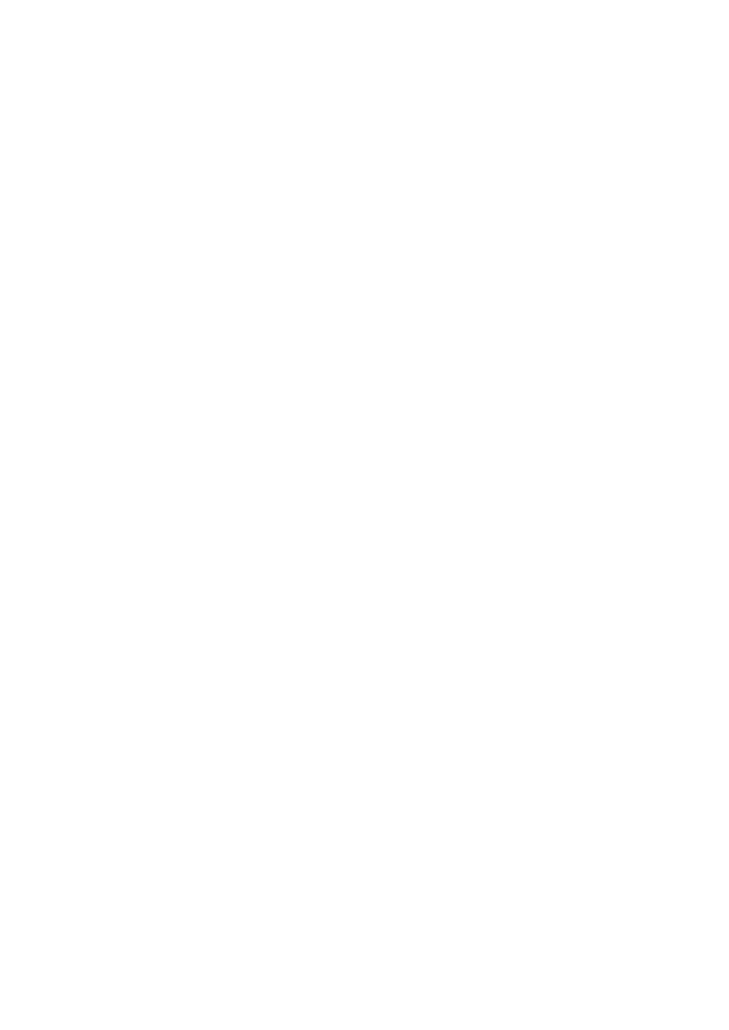| 2367 | 22043122101243 | <b>ABEL JAMATIA</b>     | 85       |
|------|----------------|-------------------------|----------|
| 2368 | 23022112102977 | PANCHAMI DAS            | 85       |
| 2369 | 21083112101023 | <b>MOUMITA TRIPURA</b>  | 85       |
| 2370 | 22062112101816 | <b>SUMAN DAS</b>        | 85       |
| 2371 | 25192112107557 | <b>PRANAB DAS</b>       | 85       |
| 2372 | 21083112101009 | <b>KABERI CHAKMA</b>    | 85       |
| 2373 | 27103112111162 | <b>JAKOPA DARLONG</b>   | 85       |
| 2374 | 21083112101008 | <b>RUPASI TRIPURA</b>   | 85       |
| 2375 | 28602112114796 | SAMRAT SARKAR           | 85       |
| 2376 | 28672212115482 | <b>SURAJIT DAS</b>      | 85       |
| 2377 | 25123122106597 | <b>SERA DEBBARMA</b>    | 85       |
| 2378 | 21293112100800 | MANISHA DEBBARMA        | 85       |
| 2379 | 28162112112917 | CHAMPA BALA DAS         | 85       |
| 2380 | 22053112101517 | NISHAN CHAKMA           | 85       |
| 2381 | 22062112101746 | SHILPI MAJUMDER         | 85       |
| 2382 | 26212112108637 | SUBHANKAR DAS           | 85       |
| 2383 | 21063112100257 | PRIYA JYOTI CHAKMA      | 85       |
| 2384 | 28662112115239 | <b>PUJA DAS</b>         | 85       |
| 2385 | 26033112109935 | <b>ANIL JAMATIA</b>     | 85       |
|      | 21083112100931 | CHIRANJITA CHAKMA       |          |
| 2386 | 28422112114104 |                         | 85<br>85 |
| 2387 |                | <b>SUSMITA DAS</b>      |          |
| 2388 | 28602112114758 | <b>CHAMPA DAS</b>       | 85       |
| 2389 | 28062112111533 | RAMLAL SARKAR           | 85       |
| 2390 | 21273112100664 | KHUKAN DEBBARMA         | 85       |
| 2391 | 21083212100979 | <b>MANISH TRIPURA</b>   | 85       |
| 2392 | 28662112115000 | <b>SANJOY DAS</b>       | 85       |
| 2393 | 28424112114145 | AMIT DEY                | 85       |
| 2394 | 28672112115475 | <b>BINOY DAS</b>        | 85       |
| 2395 | 25055112106214 | <b>JAYANTI BHOWMIK</b>  | 85       |
| 2396 | 22042112101131 | <b>KALYAN DAS</b>       | 85       |
| 2397 | 23193212104274 | ELIZABETH JAMATIA       | 85       |
| 2398 | 28662112115125 | DIP DAS                 | 85       |
| 2399 | 25192112107729 | <b>JHUMA BHOWMIK</b>    | 85       |
| 2400 | 21293112100796 | DIBANI DEBBARMA         | 85       |
| 2401 | 23142112104150 | <b>AJAY NAMA</b>        | 85       |
| 2402 | 26193112109523 | <b>NAYANTI TRIPURA</b>  | 85       |
| 2403 | 26212112108772 | <b>SUMAN DAS</b>        | 85       |
| 2404 | 22042112101265 | SHIULI SARKAR           | 85       |
| 2405 | 25212112108102 | <b>SHIULI MAJUMDER</b>  | 85       |
| 2406 | 25192112107667 | SHIMOUL SARKAR          | 85       |
| 2407 | 28662112115011 | <b>TANDRA CHOUDHURY</b> | 85       |
| 2408 | 22062112101898 | <b>TAMAL SUKLA DAS</b>  | 85       |
| 2409 | 23043112103542 | PRIYA DEBBARMA          | 85       |
| 2410 | 24032212104849 | <b>RAJU BARDHAN</b>     | 85       |
| 2411 | 25152112107044 | <b>SUJIT NAMA</b>       | 85       |
| 2412 | 25042112105920 | <b>SUBHAS SARKAR</b>    | 85       |
| 2413 | 21292112100839 | <b>NARAYAN DAS</b>      | 84       |
| 2414 | 28452112114370 | <b>RANJIT DAS</b>       | 84       |
| 2415 | 25192112107561 | <b>BEAUTY DAS</b>       | 84       |
| 2416 | 21082112100927 | DIPAK BHAKTA            | 84       |
| 2417 | 26192112109456 | KAJAL MAJUMDER          | 84       |
| 2418 | 28093112112093 | <b>DILIP RUPINI</b>     | 84       |
| 2419 | 28602112114716 | <b>RUMA ROY</b>         | 84       |
| 2420 | 24122112105732 | <b>KARABI DAS</b>       | 84       |
| 2421 | 27032112110535 | <b>GOPA DAS</b>         | 84       |
| 2422 | 25192112107693 | <b>KHOKAN DAS</b>       | 84       |
| 2423 | 24032212104905 | <b>DHIRESH DAS</b>      | 84       |
| 2424 | 26173112109146 | <b>MILTAN TRIPURA</b>   | 84       |
| 2425 | 26212112108437 | MIHIR DAS               | 84       |
| 2426 | 26182112109367 | DURJADHAN NAMA          | 84       |
|      |                |                         |          |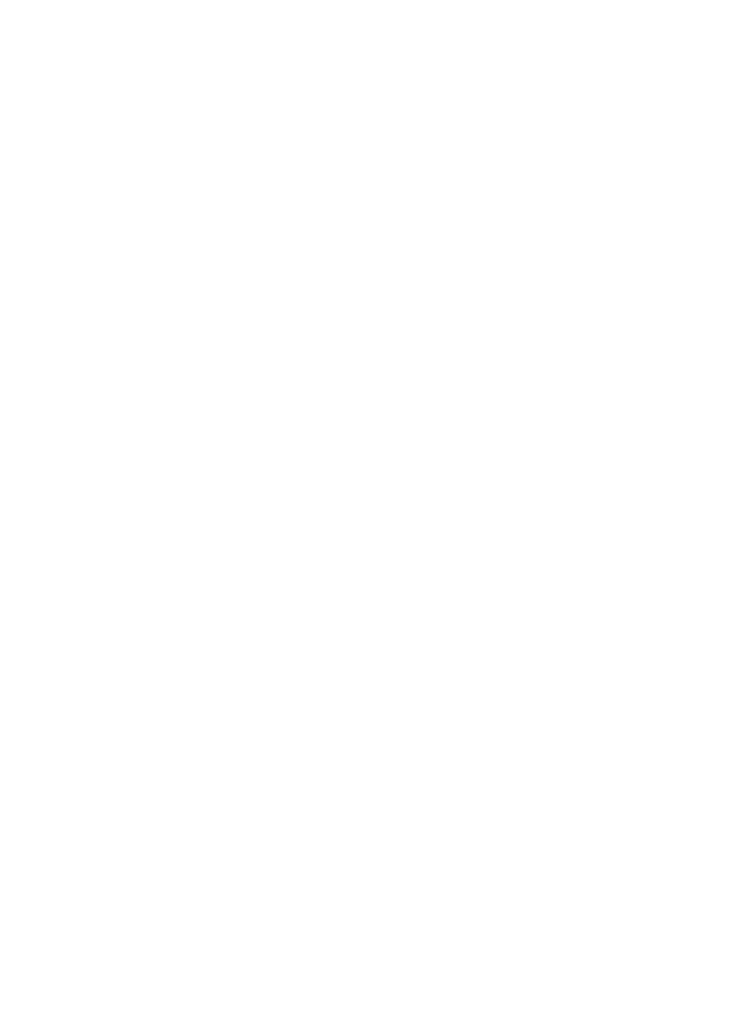| 2428 | 28102112112163 | <b>SUJIT DAS</b>         | 84 |
|------|----------------|--------------------------|----|
| 2429 | 25152112106847 | PRASHENJIT DAS           | 84 |
| 2430 | 28063112111547 | SIYARI DEBBARMA          | 84 |
| 2431 | 28663112115078 | AJAY MARAK               | 84 |
| 2432 | 28153122112535 | RAMESH DEBBARMA          | 84 |
| 2433 | 23193122104268 | NORBERT JAMATIA          | 84 |
| 2434 | 23029122103050 | PADMINI DEBBARMA         | 84 |
| 2435 | 22153112102819 | SHRIDAM DEBBARMA         | 84 |
| 2436 | 26202112108271 | <b>BABUL SARKAR</b>      | 84 |
| 2437 | 23192112104234 | <b>AKHIL BISWAS</b>      | 84 |
| 2438 | 23193122104279 | KALYAN MANIK DEBBARMA    | 84 |
| 2439 | 21063112100241 | NAITHAK JAMATIA          | 84 |
| 2440 | 21083112101113 | ANAB KUMAR CHAKMA        | 84 |
| 2441 | 21292112100773 | SOMA NAMASUDRA           | 84 |
| 2442 | 23023112103118 | CHHAYA DEBBARMA          | 84 |
|      |                |                          |    |
| 2443 | 26032112110199 | PRASENJIT MAHAJAN        | 84 |
| 2444 | 25053122106263 | <b>GOPAL DEBBARMA</b>    | 84 |
| 2445 | 23033122103266 | RIMURUSAN DEBBARMA       | 84 |
| 2446 | 22053122101605 | <b>SANJIT REANG</b>      | 84 |
| 2447 | 26173112109015 | <b>APENDRA TRIPURA</b>   | 84 |
| 2448 | 26015112109653 | PRASENJIT DAS            | 84 |
| 2449 | 26202112108296 | MIHIR BISWAS             | 84 |
| 2450 | 28672112115496 | PALLABI DAS              | 84 |
| 2451 | 28064112111471 | PRITAM DEBNATH           | 84 |
| 2452 | 25202112107872 | <b>BABUL SARKAR</b>      | 84 |
| 2453 | 28422112114172 | <b>TINKU DAS</b>         | 84 |
| 2454 | 28162112112889 | PRASENJIT DAS            | 84 |
| 2455 | 25192112107649 | SANKAR SARKAR            | 84 |
| 2456 | 26212212108555 | <b>BISWAJIT SARKAR</b>   | 84 |
| 2457 | 26012112109927 | <b>GOPAL DAS</b>         | 84 |
| 2458 | 21172112100363 | SANJIT MALAKAR           | 84 |
| 2459 | 26232112108974 | <b>RIPAN PATARI</b>      | 84 |
| 2460 | 25192112107432 | <b>BIKRAM DAS</b>        | 84 |
| 2461 | 26173112109159 | <b>CHANDAN TRIPURA</b>   | 84 |
| 2462 | 27102112111011 | <b>SURAJIT DAS</b>       | 84 |
| 2463 | 25192212107478 | <b>GOLAK BASHI DAS</b>   | 84 |
| 2464 | 26212112108773 | SAIKAT DAS               | 84 |
| 2465 | 22042112101292 | <b>PRASENJIT SARKAR</b>  | 84 |
| 2466 | 25052112106168 | <b>JAYANTI DAS</b>       | 84 |
| 2467 | 23233112104378 | <b>BIRENDRA RUPINI</b>   | 84 |
| 2468 | 28662112114947 | SARALA SARKAR            | 84 |
| 2469 | 24032112104805 | <b>TAMAL DAS</b>         | 84 |
| 2470 | 22102112102534 | <b>JOYDEB SARKAR</b>     | 84 |
| 2471 | 22153112102849 | <b>BILU DEVI JAMATIA</b> | 84 |
| 2472 | 24082112105424 | <b>SUSANTA DAS</b>       | 84 |
| 2473 | 25192212107399 | <b>DEBARATI DAS</b>      | 84 |
| 2474 | 25152112106945 | <b>DIPAK DAS</b>         | 84 |
| 2475 | 28282112113353 | <b>RAJESH DAS</b>        | 84 |
| 2476 | 25192212107546 | <b>TANUSREE DAS</b>      | 84 |
| 2477 | 21013112100042 | KIMI BANSI               | 84 |
| 2478 | 25192212107468 | RINKU DAS                | 84 |
| 2479 | 24042112105177 | <b>CHAMELI SARKAR</b>    | 84 |
| 2480 | 28332112113644 | <b>MUNNA DAS</b>         | 84 |
| 2481 | 28162112113041 | <b>JHUTAN DAS</b>        | 84 |
| 2482 | 21292112100702 | <b>DIPANKAR DAS</b>      | 84 |
| 2483 | 24022112104718 | JAHAR MAHISHYA DAS       | 84 |
| 2484 | 27032112110489 | NILIMESH DAS             | 84 |
| 2485 | 26182212109295 | <b>ASHIS NAMA</b>        | 84 |
| 2486 | 21292112100739 | RAHUL MALAKAR            | 84 |
|      | 25192212107490 |                          | 84 |
| 2487 |                | <b>BISWAJIT BHOWMIK</b>  |    |
| 2488 | 21292212100850 | ANJAN NAMASUDRA          | 84 |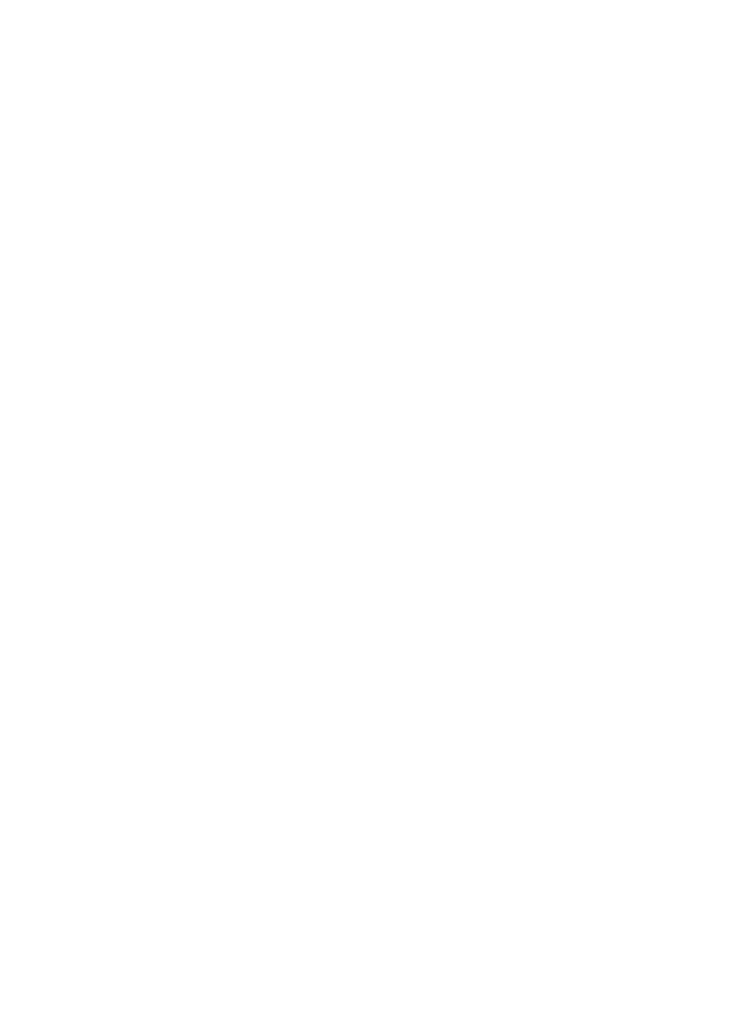| 2489 | 24124112105787 | LIPIKA SINHA                 | 84 |
|------|----------------|------------------------------|----|
| 2490 | 26212212108677 | <b>CHANDAN NANDI</b>         | 84 |
| 2491 | 21083122100938 | <b>AXSAI TRIPURA</b>         | 84 |
| 2492 | 25052112106028 | <b>RAJESH DAS</b>            | 84 |
| 2493 | 26172112109143 | <b>SANJOY DAS</b>            | 84 |
| 2494 | 26192212109620 | <b>RAKESH DAS</b>            | 84 |
| 2495 | 25202112107810 | PARTHA DAS                   | 84 |
| 2496 | 22043122101414 | MANIKA JAMATIA               | 84 |
| 2497 | 28093122112019 | RWNGMARI DEBBARMA            | 84 |
| 2498 | 21172212100372 | <b>LITAN DAS</b>             | 83 |
| 2499 | 28332112113554 | RANI LOTUS ROY MIRDHA        | 83 |
| 2500 | 26212112108500 | UTTAM CHOWDHURY              | 83 |
| 2501 | 28152112112575 | <b>MANA RABI DAS</b>         | 83 |
| 2502 | 25163112107233 | <b>RANJIT KUMAR MURASING</b> | 83 |
| 2503 | 27112112111331 | <b>BIPLAB DAS</b>            | 83 |
| 2504 | 28062112111548 | <b>UMA DAS</b>               | 83 |
| 2505 | 25123122106764 | KRISHNA DEBBARMA             | 83 |
|      |                | <b>NILMANI BISWAS</b>        |    |
| 2506 | 23142112104012 |                              | 83 |
| 2507 | 28334112113532 | JAYANTA KUMAR BHOWMIK        | 83 |
| 2508 | 25202112107830 | RAM PRASAD MALLIK            | 83 |
| 2509 | 26212112108784 | <b>BISWAJIT DAS</b>          | 83 |
| 2510 | 25152112106922 | <b>BIMALA DAS</b>            | 83 |
| 2511 | 28062112111668 | <b>RAJU BISWAS</b>           | 83 |
| 2512 | 26012112109921 | <b>ARPAN DAS</b>             | 83 |
| 2513 | 28602112114664 | <b>IVY DAS</b>               | 83 |
| 2514 | 26012112109836 | <b>MADHURI SARKAR</b>        | 83 |
| 2515 | 28162112112838 | <b>RAKESH DAS</b>            | 83 |
| 2516 | 25163122107253 | PRADIP KUMAR MURASING        | 83 |
| 2517 | 28422112114286 | SANJIB SARKAR                | 83 |
| 2518 | 22073112102196 | DRAMA DEBBARMA               | 83 |
| 2519 | 25123122106676 | MANGALAXMI DEBBARMA          | 83 |
| 2520 | 23043122103567 | SHYAMASHREE DEBBARMA         | 83 |
| 2521 | 22063122101925 | <b>BENJAMIN JAMATIA</b>      | 83 |
| 2522 | 26012112109811 | <b>SAMPA DAS</b>             | 83 |
| 2523 | 28423122114161 | SOMA DEBBARMA                | 83 |
| 2524 | 26193112109440 | <b>BIKESH TRIPURA</b>        | 83 |
| 2525 | 21063112100134 | KISHOR HALAM                 | 83 |
| 2526 | 24022112104648 | POOJA RANI DAS               | 83 |
| 2527 | 28452112114332 | <b>SUBIR DAS</b>             | 83 |
| 2528 | 23142112104153 | <b>CHIRANJIT BISWAS</b>      | 83 |
| 2529 | 28602112114759 | <b>KRIPESH SARKAR</b>        | 83 |
| 2530 | 26202112108395 | AJOY DAS                     | 83 |
| 2531 | 28152212112726 | PURNIMA SARKAR               | 83 |
| 2532 | 25062112106478 | <b>LITAN DAS</b>             | 83 |
| 2533 | 28092112112032 | <b>JHUTAN SARKAR</b>         | 83 |
| 2534 | 27102212111156 | CHIRANJIT DAS                | 83 |
| 2535 | 28153222112532 | SALOMI DEBBARMA              | 83 |
| 2536 | 24022212104541 | <b>SUDIP KANTI DAS</b>       | 83 |
| 2537 | 26232112109008 | <b>RANJIT DAS</b>            | 83 |
| 2538 | 21082112100961 | PARTHA DAS                   | 83 |
| 2539 | 21083112100948 | KUSUM KANTI CHAKMA           | 83 |
| 2540 | 28062112111551 | <b>JUMA MANDAL</b>           | 83 |
| 2541 | 26062112110351 | AJIT DAS                     | 83 |
|      | 25053122105980 | DAVID DEBBARMA               | 83 |
| 2542 |                |                              |    |
| 2543 | 28063112111515 | PRIYA DEBBARMA               | 83 |
| 2544 | 23022112103120 | <b>LIPAN SARKAR</b>          | 83 |
| 2545 | 25123122106659 | SUBENDU DEBBARMA             | 83 |
| 2546 | 22043122101200 | SADHANA DEBBARMA             | 83 |
| 2547 | 28103122112374 | SUNAM DEBBARMA               | 83 |
| 2548 | 25052112106044 | RIMU DAS                     | 83 |
| 2549 | 22062212101776 | PRASENJIT DAS                | 83 |